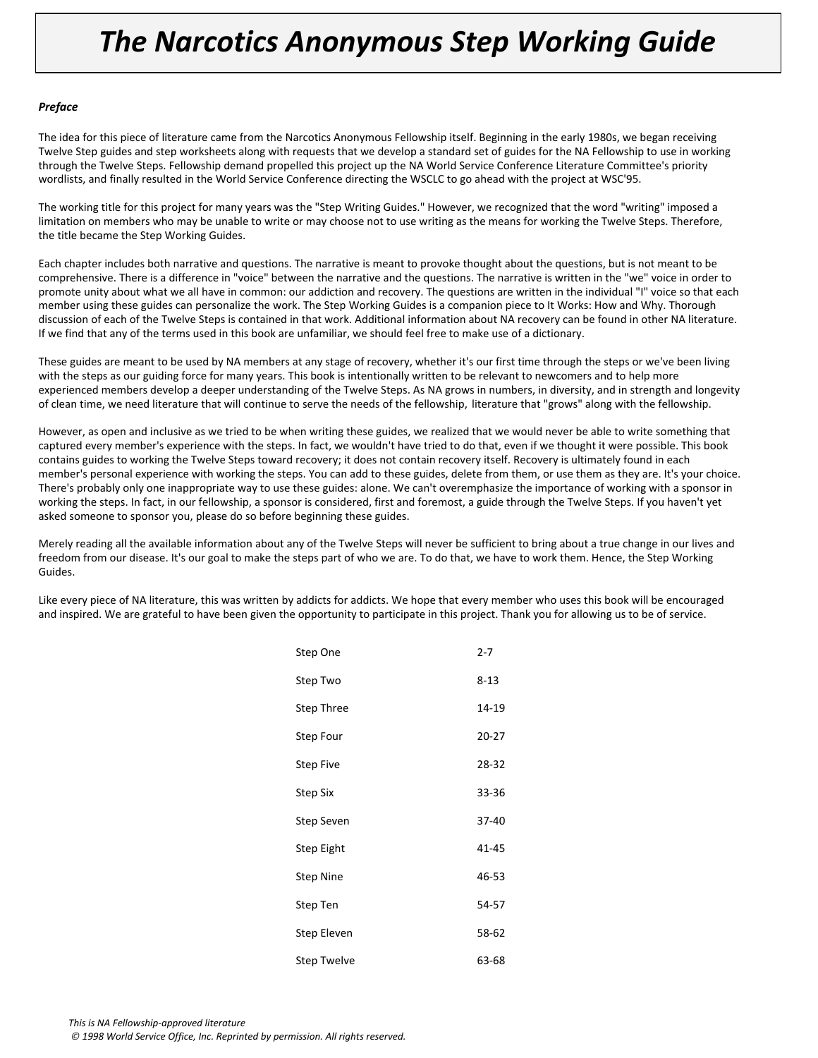## *The Narcotics Anonymous Step Working Guide*

#### *Preface*

The idea for this piece of literature came from the Narcotics Anonymous Fellowship itself. Beginning in the early 1980s, we began receiving Twelve Step guides and step worksheets along with requests that we develop a standard set of guides for the NA Fellowship to use in working through the Twelve Steps. Fellowship demand propelled this project up the NA World Service Conference Literature Committee's priority wordlists, and finally resulted in the World Service Conference directing the WSCLC to go ahead with the project at WSC'95.

The working title for this project for many years was the "Step Writing Guides." However, we recognized that the word "writing" imposed a limitation on members who may be unable to write or may choose not to use writing as the means for working the Twelve Steps. Therefore, the title became the Step Working Guides.

Each chapter includes both narrative and questions. The narrative is meant to provoke thought about the questions, but is not meant to be comprehensive. There is a difference in "voice" between the narrative and the questions. The narrative is written in the "we" voice in order to promote unity about what we all have in common: our addiction and recovery. The questions are written in the individual "I" voice so that each member using these guides can personalize the work. The Step Working Guides is a companion piece to It Works: How and Why. Thorough discussion of each of the Twelve Steps is contained in that work. Additional information about NA recovery can be found in other NA literature. If we find that any of the terms used in this book are unfamiliar, we should feel free to make use of a dictionary.

These guides are meant to be used by NA members at any stage of recovery, whether it's our first time through the steps or we've been living with the steps as our guiding force for many years. This book is intentionally written to be relevant to newcomers and to help more experienced members develop a deeper understanding of the Twelve Steps. As NA grows in numbers, in diversity, and in strength and longevity of clean time, we need literature that will continue to serve the needs of the fellowship, literature that "grows" along with the fellowship.

However, as open and inclusive as we tried to be when writing these guides, we realized that we would never be able to write something that captured every member's experience with the steps. In fact, we wouldn't have tried to do that, even if we thought it were possible. This book contains guides to working the Twelve Steps toward recovery; it does not contain recovery itself. Recovery is ultimately found in each member's personal experience with working the steps. You can add to these guides, delete from them, or use them as they are. It's your choice. There's probably only one inappropriate way to use these guides: alone. We can't overemphasize the importance of working with a sponsor in working the steps. In fact, in our fellowship, a sponsor is considered, first and foremost, a guide through the Twelve Steps. If you haven't yet asked someone to sponsor you, please do so before beginning these guides.

Merely reading all the available information about any of the Twelve Steps will never be sufficient to bring about a true change in our lives and freedom from our disease. It's our goal to make the steps part of who we are. To do that, we have to work them. Hence, the Step Working Guides.

Like every piece of NA literature, this was written by addicts for addicts. We hope that every member who uses this book will be encouraged and inspired. We are grateful to have been given the opportunity to participate in this project. Thank you for allowing us to be of service.

| Step One         | $2 - 7$   |
|------------------|-----------|
| Step Two         | $8 - 13$  |
| Step Three       | 14-19     |
| Step Four        | $20 - 27$ |
| <b>Step Five</b> | 28-32     |
| Step Six         | 33-36     |
| Step Seven       | 37-40     |
| Step Eight       | 41-45     |
| <b>Step Nine</b> | 46-53     |
| Step Ten         | 54-57     |
| Step Eleven      | 58-62     |
| Step Twelve      | 63-68     |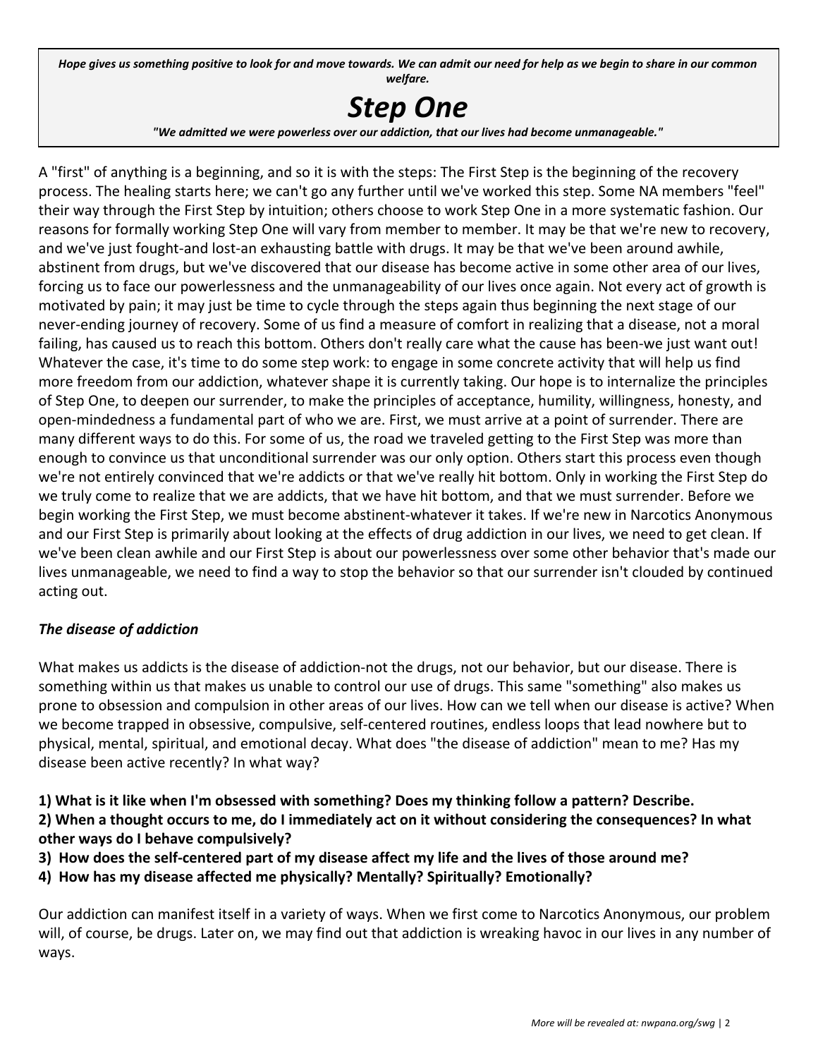Hope gives us something positive to look for and move towards. We can admit our need for help as we begin to share in our common *welfare.*

# *Step One*

*"We admitted we were powerless over our addiction, that our lives had become unmanageable."*

A "first" of anything is a beginning, and so it is with the steps: The First Step is the beginning of the recovery process. The healing starts here; we can't go any further until we've worked this step. Some NA members "feel" their way through the First Step by intuition; others choose to work Step One in a more systematic fashion. Our reasons for formally working Step One will vary from member to member. It may be that we're new to recovery, and we've just fought-and lost-an exhausting battle with drugs. It may be that we've been around awhile, abstinent from drugs, but we've discovered that our disease has become active in some other area of our lives, forcing us to face our powerlessness and the unmanageability of our lives once again. Not every act of growth is motivated by pain; it may just be time to cycle through the steps again thus beginning the next stage of our never-ending journey of recovery. Some of us find a measure of comfort in realizing that a disease, not a moral failing, has caused us to reach this bottom. Others don't really care what the cause has been-we just want out! Whatever the case, it's time to do some step work: to engage in some concrete activity that will help us find more freedom from our addiction, whatever shape it is currently taking. Our hope is to internalize the principles of Step One, to deepen our surrender, to make the principles of acceptance, humility, willingness, honesty, and open-mindedness a fundamental part of who we are. First, we must arrive at a point of surrender. There are many different ways to do this. For some of us, the road we traveled getting to the First Step was more than enough to convince us that unconditional surrender was our only option. Others start this process even though we're not entirely convinced that we're addicts or that we've really hit bottom. Only in working the First Step do we truly come to realize that we are addicts, that we have hit bottom, and that we must surrender. Before we begin working the First Step, we must become abstinent-whatever it takes. If we're new in Narcotics Anonymous and our First Step is primarily about looking at the effects of drug addiction in our lives, we need to get clean. If we've been clean awhile and our First Step is about our powerlessness over some other behavior that's made our lives unmanageable, we need to find a way to stop the behavior so that our surrender isn't clouded by continued acting out.

#### *The disease of addiction*

What makes us addicts is the disease of addiction-not the drugs, not our behavior, but our disease. There is something within us that makes us unable to control our use of drugs. This same "something" also makes us prone to obsession and compulsion in other areas of our lives. How can we tell when our disease is active? When we become trapped in obsessive, compulsive, self-centered routines, endless loops that lead nowhere but to physical, mental, spiritual, and emotional decay. What does "the disease of addiction" mean to me? Has my disease been active recently? In what way?

**1) What is it like when I'm obsessed with something? Does my thinking follow a pattern? Describe. 2) When a thought occurs to me, do I immediately act on it without considering the consequences? In what**

**other ways do I behave compulsively?**

- **3) How does the self-centered part of my disease affect my life and the lives of those around me?**
- **4) How has my disease affected me physically? Mentally? Spiritually? Emotionally?**

Our addiction can manifest itself in a variety of ways. When we first come to Narcotics Anonymous, our problem will, of course, be drugs. Later on, we may find out that addiction is wreaking havoc in our lives in any number of ways.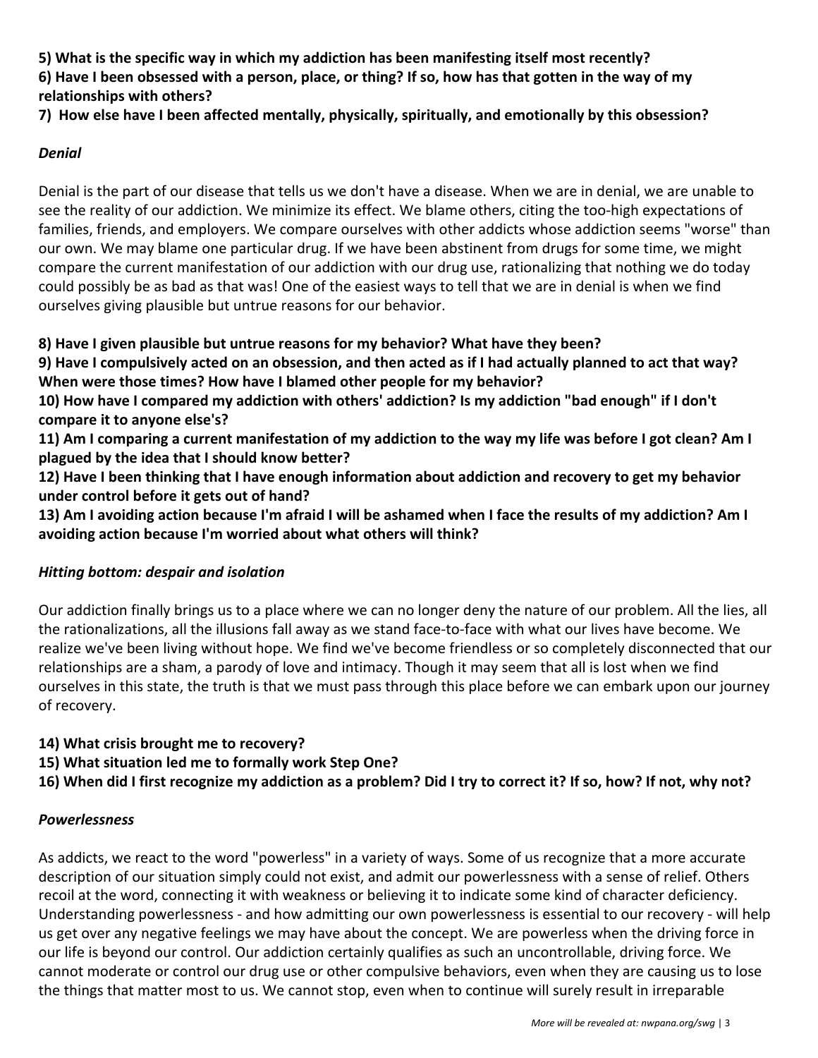**5) What is the specific way in which my addiction has been manifesting itself most recently?**

**6) Have I been obsessed with a person, place, or thing? If so, how has that gotten in the way of my relationships with others?**

**7) How else have I been affected mentally, physically, spiritually, and emotionally by this obsession?**

#### *Denial*

Denial is the part of our disease that tells us we don't have a disease. When we are in denial, we are unable to see the reality of our addiction. We minimize its effect. We blame others, citing the too-high expectations of families, friends, and employers. We compare ourselves with other addicts whose addiction seems "worse" than our own. We may blame one particular drug. If we have been abstinent from drugs for some time, we might compare the current manifestation of our addiction with our drug use, rationalizing that nothing we do today could possibly be as bad as that was! One of the easiest ways to tell that we are in denial is when we find ourselves giving plausible but untrue reasons for our behavior.

#### **8) Have I given plausible but untrue reasons for my behavior? What have they been?**

**9) Have I compulsively acted on an obsession, and then acted as if I had actually planned to act that way? When were those times? How have I blamed other people for my behavior?**

**10) How have I compared my addiction with others' addiction? Is my addiction "bad enough" if I don't compare it to anyone else's?**

**11) Am I comparing a current manifestation of my addiction to the way my life was before I got clean? Am I plagued by the idea that I should know better?**

**12) Have I been thinking that I have enough information about addiction and recovery to get my behavior under control before it gets out of hand?**

**13) Am I avoiding action because I'm afraid I will be ashamed when I face the results of my addiction? Am I avoiding action because I'm worried about what others will think?**

#### *Hitting bottom: despair and isolation*

Our addiction finally brings us to a place where we can no longer deny the nature of our problem. All the lies, all the rationalizations, all the illusions fall away as we stand face-to-face with what our lives have become. We realize we've been living without hope. We find we've become friendless or so completely disconnected that our relationships are a sham, a parody of love and intimacy. Though it may seem that all is lost when we find ourselves in this state, the truth is that we must pass through this place before we can embark upon our journey of recovery.

**14) What crisis brought me to recovery?**

**15) What situation led me to formally work Step One?**

**16) When did I first recognize my addiction as a problem? Did I try to correct it? If so, how? If not, why not?**

#### *Powerlessness*

As addicts, we react to the word "powerless" in a variety of ways. Some of us recognize that a more accurate description of our situation simply could not exist, and admit our powerlessness with a sense of relief. Others recoil at the word, connecting it with weakness or believing it to indicate some kind of character deficiency. Understanding powerlessness - and how admitting our own powerlessness is essential to our recovery - will help us get over any negative feelings we may have about the concept. We are powerless when the driving force in our life is beyond our control. Our addiction certainly qualifies as such an uncontrollable, driving force. We cannot moderate or control our drug use or other compulsive behaviors, even when they are causing us to lose the things that matter most to us. We cannot stop, even when to continue will surely result in irreparable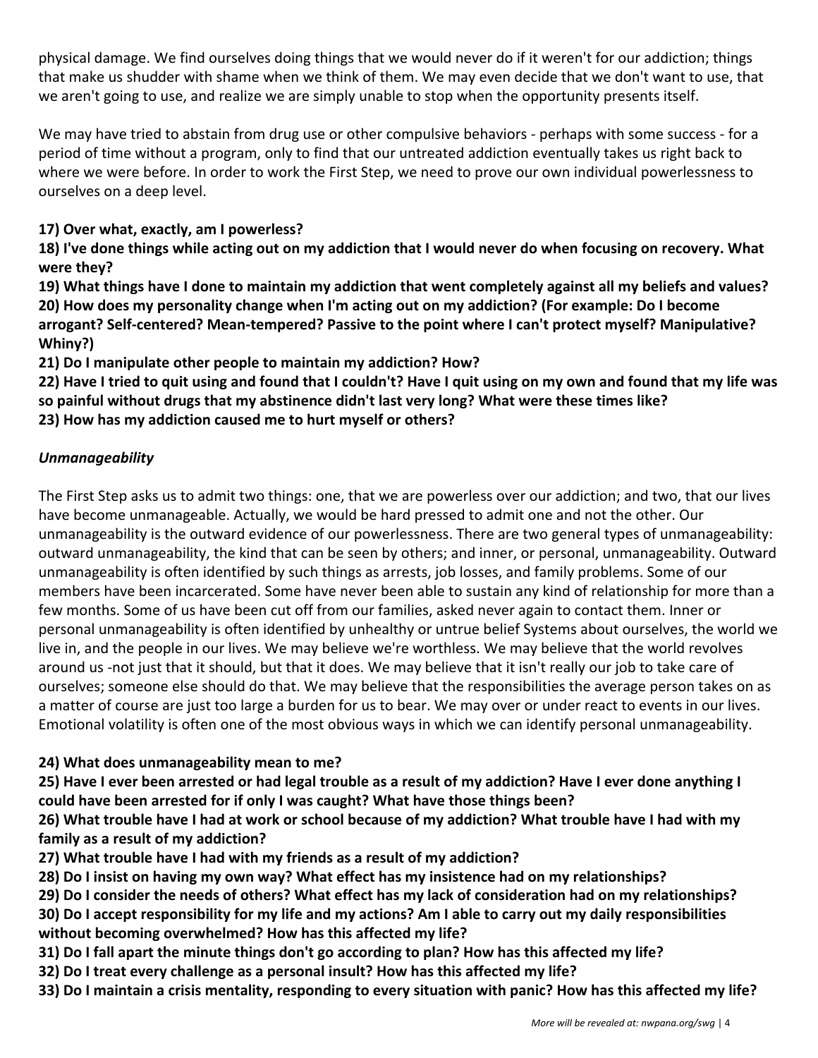physical damage. We find ourselves doing things that we would never do if it weren't for our addiction; things that make us shudder with shame when we think of them. We may even decide that we don't want to use, that we aren't going to use, and realize we are simply unable to stop when the opportunity presents itself.

We may have tried to abstain from drug use or other compulsive behaviors - perhaps with some success - for a period of time without a program, only to find that our untreated addiction eventually takes us right back to where we were before. In order to work the First Step, we need to prove our own individual powerlessness to ourselves on a deep level.

**17) Over what, exactly, am I powerless?**

**18) I've done things while acting out on my addiction that I would never do when focusing on recovery. What were they?**

**19) What things have I done to maintain my addiction that went completely against all my beliefs and values? 20) How does my personality change when I'm acting out on my addiction? (For example: Do I become arrogant? Self-centered? Mean-tempered? Passive to the point where I can't protect myself? Manipulative? Whiny?)**

**21) Do I manipulate other people to maintain my addiction? How?**

**22) Have I tried to quit using and found that I couldn't? Have I quit using on my own and found that my life was so painful without drugs that my abstinence didn't last very long? What were these times like? 23) How has my addiction caused me to hurt myself or others?**

#### *Unmanageability*

The First Step asks us to admit two things: one, that we are powerless over our addiction; and two, that our lives have become unmanageable. Actually, we would be hard pressed to admit one and not the other. Our unmanageability is the outward evidence of our powerlessness. There are two general types of unmanageability: outward unmanageability, the kind that can be seen by others; and inner, or personal, unmanageability. Outward unmanageability is often identified by such things as arrests, job losses, and family problems. Some of our members have been incarcerated. Some have never been able to sustain any kind of relationship for more than a few months. Some of us have been cut off from our families, asked never again to contact them. Inner or personal unmanageability is often identified by unhealthy or untrue belief Systems about ourselves, the world we live in, and the people in our lives. We may believe we're worthless. We may believe that the world revolves around us -not just that it should, but that it does. We may believe that it isn't really our job to take care of ourselves; someone else should do that. We may believe that the responsibilities the average person takes on as a matter of course are just too large a burden for us to bear. We may over or under react to events in our lives. Emotional volatility is often one of the most obvious ways in which we can identify personal unmanageability.

#### **24) What does unmanageability mean to me?**

**25) Have I ever been arrested or had legal trouble as a result of my addiction? Have I ever done anything I could have been arrested for if only I was caught? What have those things been?**

**26) What trouble have I had at work or school because of my addiction? What trouble have I had with my family as a result of my addiction?**

**27) What trouble have I had with my friends as a result of my addiction?**

**28) Do I insist on having my own way? What effect has my insistence had on my relationships?**

**29) Do I consider the needs of others? What effect has my lack of consideration had on my relationships?**

**30) Do I accept responsibility for my life and my actions? Am I able to carry out my daily responsibilities without becoming overwhelmed? How has this affected my life?**

**31) Do I fall apart the minute things don't go according to plan? How has this affected my life?**

**32) Do I treat every challenge as a personal insult? How has this affected my life?**

**33) Do I maintain a crisis mentality, responding to every situation with panic? How has this affected my life?**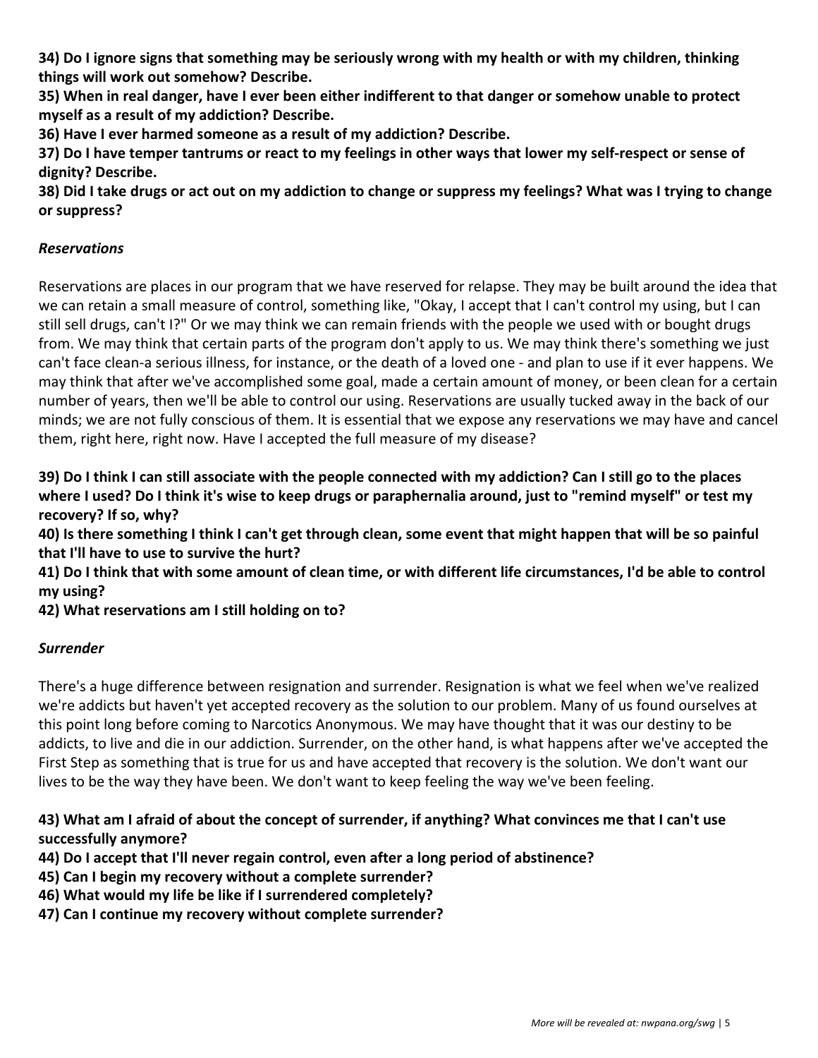**34) Do I ignore signs that something may be seriously wrong with my health or with my children, thinking things will work out somehow? Describe.**

**35) When in real danger, have I ever been either indifferent to that danger or somehow unable to protect myself as a result of my addiction? Describe.**

**36) Have I ever harmed someone as a result of my addiction? Describe.**

**37) Do I have temper tantrums or react to my feelings in other ways that lower my self-respect or sense of dignity? Describe.**

**38) Did I take drugs or act out on my addiction to change or suppress my feelings? What was I trying to change or suppress?**

#### *Reservations*

Reservations are places in our program that we have reserved for relapse. They may be built around the idea that we can retain a small measure of control, something like, "Okay, I accept that I can't control my using, but I can still sell drugs, can't I?" Or we may think we can remain friends with the people we used with or bought drugs from. We may think that certain parts of the program don't apply to us. We may think there's something we just can't face clean-a serious illness, for instance, or the death of a loved one - and plan to use if it ever happens. We may think that after we've accomplished some goal, made a certain amount of money, or been clean for a certain number of years, then we'll be able to control our using. Reservations are usually tucked away in the back of our minds; we are not fully conscious of them. It is essential that we expose any reservations we may have and cancel them, right here, right now. Have I accepted the full measure of my disease?

**39) Do I think I can still associate with the people connected with my addiction? Can I still go to the places where I used? Do I think it's wise to keep drugs or paraphernalia around, just to "remind myself" or test my recovery? If so, why?**

**40) Is there something I think I can't get through clean, some event that might happen that will be so painful that I'll have to use to survive the hurt?**

**41) Do I think that with some amount of clean time, or with different life circumstances, I'd be able to control my using?**

**42) What reservations am I still holding on to?**

#### *Surrender*

There's a huge difference between resignation and surrender. Resignation is what we feel when we've realized we're addicts but haven't yet accepted recovery as the solution to our problem. Many of us found ourselves at this point long before coming to Narcotics Anonymous. We may have thought that it was our destiny to be addicts, to live and die in our addiction. Surrender, on the other hand, is what happens after we've accepted the First Step as something that is true for us and have accepted that recovery is the solution. We don't want our lives to be the way they have been. We don't want to keep feeling the way we've been feeling.

#### **43) What am I afraid of about the concept of surrender, if anything? What convinces me that I can't use successfully anymore?**

- **44) Do I accept that I'll never regain control, even after a long period of abstinence?**
- **45) Can I begin my recovery without a complete surrender?**
- **46) What would my life be like if I surrendered completely?**
- **47) Can I continue my recovery without complete surrender?**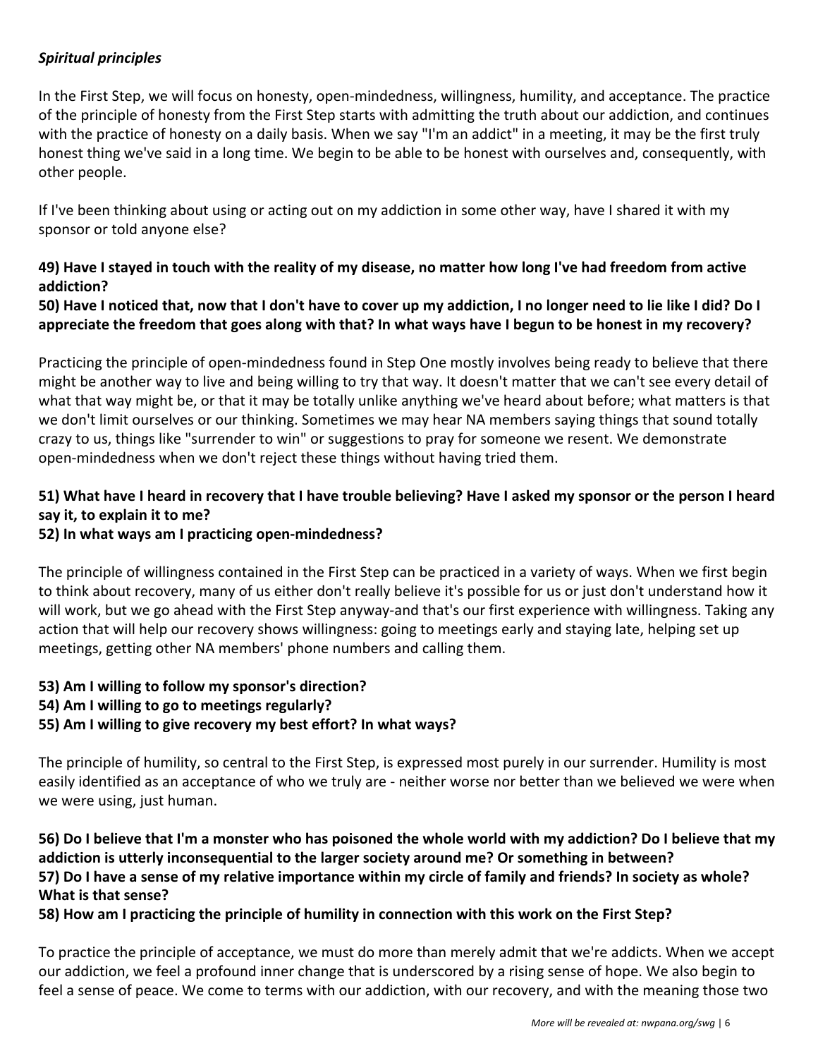#### *Spiritual principles*

In the First Step, we will focus on honesty, open-mindedness, willingness, humility, and acceptance. The practice of the principle of honesty from the First Step starts with admitting the truth about our addiction, and continues with the practice of honesty on a daily basis. When we say "I'm an addict" in a meeting, it may be the first truly honest thing we've said in a long time. We begin to be able to be honest with ourselves and, consequently, with other people.

If I've been thinking about using or acting out on my addiction in some other way, have I shared it with my sponsor or told anyone else?

#### **49) Have I stayed in touch with the reality of my disease, no matter how long I've had freedom from active addiction?**

#### **50) Have I noticed that, now that I don't have to cover up my addiction, I no longer need to lie like I did? Do I appreciate the freedom that goes along with that? In what ways have I begun to be honest in my recovery?**

Practicing the principle of open-mindedness found in Step One mostly involves being ready to believe that there might be another way to live and being willing to try that way. It doesn't matter that we can't see every detail of what that way might be, or that it may be totally unlike anything we've heard about before; what matters is that we don't limit ourselves or our thinking. Sometimes we may hear NA members saying things that sound totally crazy to us, things like "surrender to win" or suggestions to pray for someone we resent. We demonstrate open-mindedness when we don't reject these things without having tried them.

#### **51) What have I heard in recovery that I have trouble believing? Have I asked my sponsor or the person I heard say it, to explain it to me?**

#### **52) In what ways am I practicing open-mindedness?**

The principle of willingness contained in the First Step can be practiced in a variety of ways. When we first begin to think about recovery, many of us either don't really believe it's possible for us or just don't understand how it will work, but we go ahead with the First Step anyway-and that's our first experience with willingness. Taking any action that will help our recovery shows willingness: going to meetings early and staying late, helping set up meetings, getting other NA members' phone numbers and calling them.

#### **53) Am I willing to follow my sponsor's direction?**

**54) Am I willing to go to meetings regularly?**

#### **55) Am I willing to give recovery my best effort? In what ways?**

The principle of humility, so central to the First Step, is expressed most purely in our surrender. Humility is most easily identified as an acceptance of who we truly are - neither worse nor better than we believed we were when we were using, just human.

#### **56) Do I believe that I'm a monster who has poisoned the whole world with my addiction? Do I believe that my addiction is utterly inconsequential to the larger society around me? Or something in between? 57) Do I have a sense of my relative importance within my circle of family and friends? In society as whole? What is that sense?**

#### **58) How am I practicing the principle of humility in connection with this work on the First Step?**

To practice the principle of acceptance, we must do more than merely admit that we're addicts. When we accept our addiction, we feel a profound inner change that is underscored by a rising sense of hope. We also begin to feel a sense of peace. We come to terms with our addiction, with our recovery, and with the meaning those two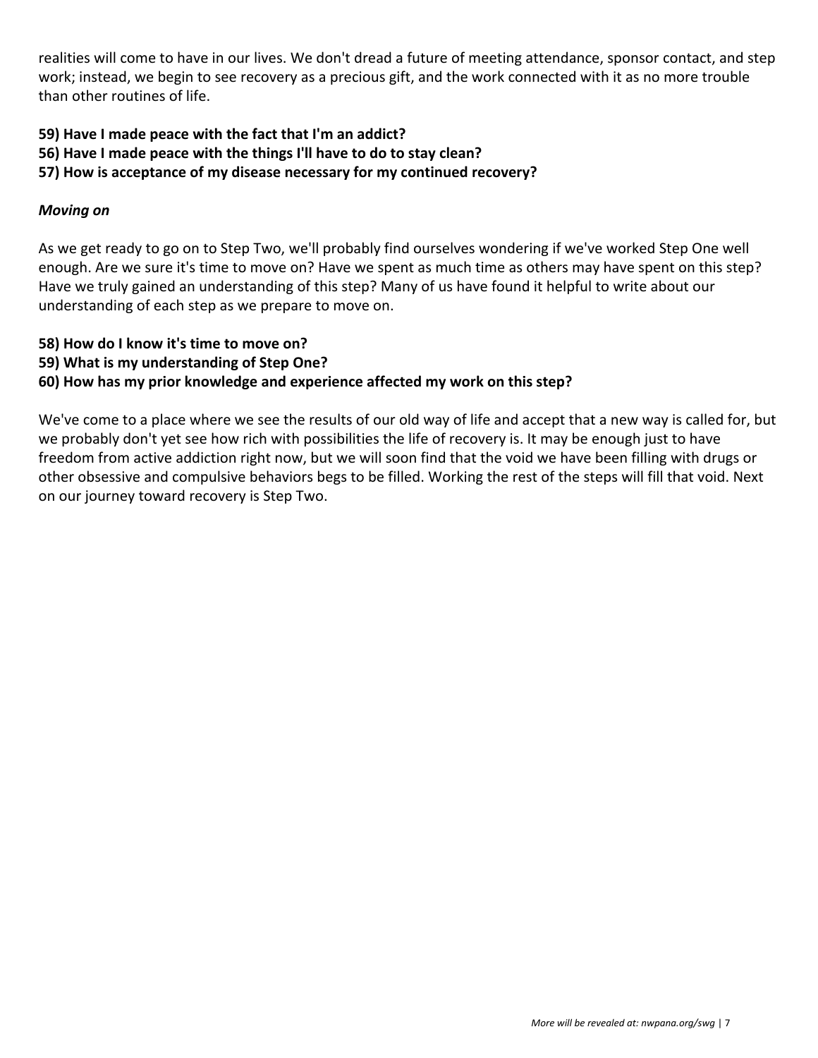realities will come to have in our lives. We don't dread a future of meeting attendance, sponsor contact, and step work; instead, we begin to see recovery as a precious gift, and the work connected with it as no more trouble than other routines of life.

**59) Have I made peace with the fact that I'm an addict?**

**56) Have I made peace with the things I'll have to do to stay clean?**

**57) How is acceptance of my disease necessary for my continued recovery?**

#### *Moving on*

As we get ready to go on to Step Two, we'll probably find ourselves wondering if we've worked Step One well enough. Are we sure it's time to move on? Have we spent as much time as others may have spent on this step? Have we truly gained an understanding of this step? Many of us have found it helpful to write about our understanding of each step as we prepare to move on.

- **58) How do I know it's time to move on?**
- **59) What is my understanding of Step One?**

#### **60) How has my prior knowledge and experience affected my work on this step?**

We've come to a place where we see the results of our old way of life and accept that a new way is called for, but we probably don't yet see how rich with possibilities the life of recovery is. It may be enough just to have freedom from active addiction right now, but we will soon find that the void we have been filling with drugs or other obsessive and compulsive behaviors begs to be filled. Working the rest of the steps will fill that void. Next on our journey toward recovery is Step Two.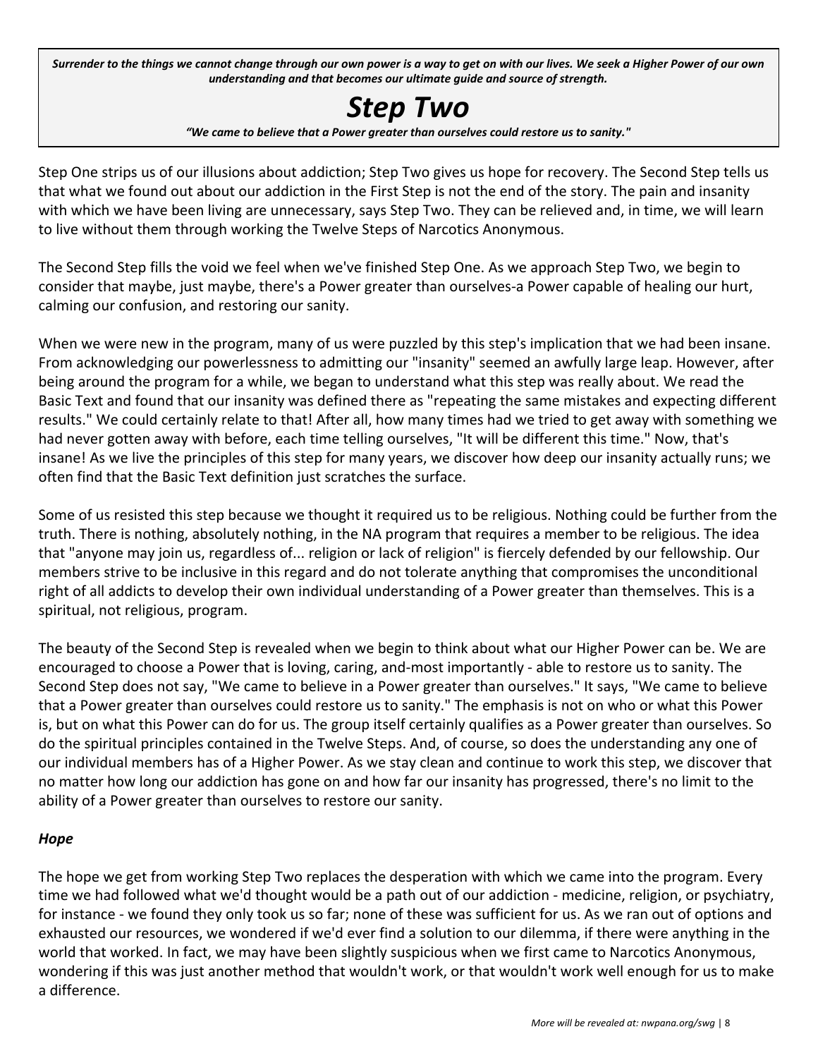Surrender to the things we cannot change through our own power is a way to get on with our lives. We seek a Higher Power of our own *understanding and that becomes our ultimate guide and source of strength.*

# *Step Two*

*"We came to believe that a Power greater than ourselves could restore us to sanity."*

Step One strips us of our illusions about addiction; Step Two gives us hope for recovery. The Second Step tells us that what we found out about our addiction in the First Step is not the end of the story. The pain and insanity with which we have been living are unnecessary, says Step Two. They can be relieved and, in time, we will learn to live without them through working the Twelve Steps of Narcotics Anonymous.

The Second Step fills the void we feel when we've finished Step One. As we approach Step Two, we begin to consider that maybe, just maybe, there's a Power greater than ourselves-a Power capable of healing our hurt, calming our confusion, and restoring our sanity.

When we were new in the program, many of us were puzzled by this step's implication that we had been insane. From acknowledging our powerlessness to admitting our "insanity" seemed an awfully large leap. However, after being around the program for a while, we began to understand what this step was really about. We read the Basic Text and found that our insanity was defined there as "repeating the same mistakes and expecting different results." We could certainly relate to that! After all, how many times had we tried to get away with something we had never gotten away with before, each time telling ourselves, "It will be different this time." Now, that's insane! As we live the principles of this step for many years, we discover how deep our insanity actually runs; we often find that the Basic Text definition just scratches the surface.

Some of us resisted this step because we thought it required us to be religious. Nothing could be further from the truth. There is nothing, absolutely nothing, in the NA program that requires a member to be religious. The idea that "anyone may join us, regardless of... religion or lack of religion" is fiercely defended by our fellowship. Our members strive to be inclusive in this regard and do not tolerate anything that compromises the unconditional right of all addicts to develop their own individual understanding of a Power greater than themselves. This is a spiritual, not religious, program.

The beauty of the Second Step is revealed when we begin to think about what our Higher Power can be. We are encouraged to choose a Power that is loving, caring, and-most importantly - able to restore us to sanity. The Second Step does not say, "We came to believe in a Power greater than ourselves." It says, "We came to believe that a Power greater than ourselves could restore us to sanity." The emphasis is not on who or what this Power is, but on what this Power can do for us. The group itself certainly qualifies as a Power greater than ourselves. So do the spiritual principles contained in the Twelve Steps. And, of course, so does the understanding any one of our individual members has of a Higher Power. As we stay clean and continue to work this step, we discover that no matter how long our addiction has gone on and how far our insanity has progressed, there's no limit to the ability of a Power greater than ourselves to restore our sanity.

#### *Hope*

The hope we get from working Step Two replaces the desperation with which we came into the program. Every time we had followed what we'd thought would be a path out of our addiction - medicine, religion, or psychiatry, for instance - we found they only took us so far; none of these was sufficient for us. As we ran out of options and exhausted our resources, we wondered if we'd ever find a solution to our dilemma, if there were anything in the world that worked. In fact, we may have been slightly suspicious when we first came to Narcotics Anonymous, wondering if this was just another method that wouldn't work, or that wouldn't work well enough for us to make a difference.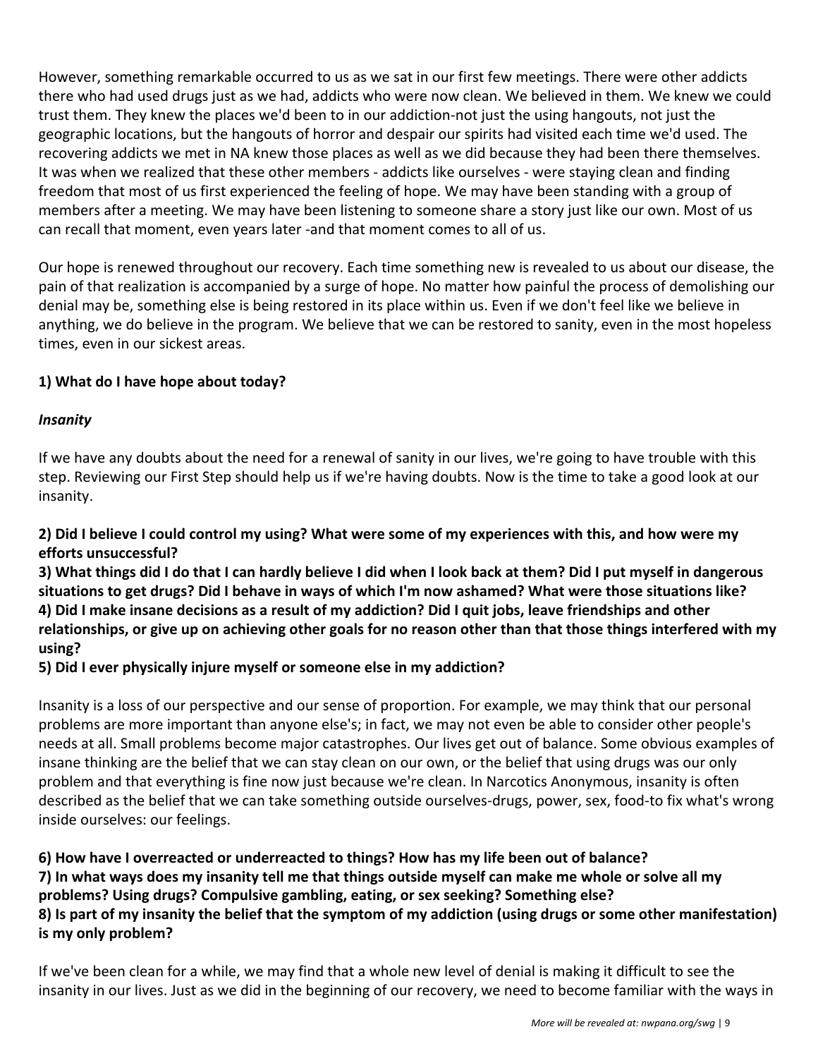However, something remarkable occurred to us as we sat in our first few meetings. There were other addicts there who had used drugs just as we had, addicts who were now clean. We believed in them. We knew we could trust them. They knew the places we'd been to in our addiction-not just the using hangouts, not just the geographic locations, but the hangouts of horror and despair our spirits had visited each time we'd used. The recovering addicts we met in NA knew those places as well as we did because they had been there themselves. It was when we realized that these other members - addicts like ourselves - were staying clean and finding freedom that most of us first experienced the feeling of hope. We may have been standing with a group of members after a meeting. We may have been listening to someone share a story just like our own. Most of us can recall that moment, even years later -and that moment comes to all of us.

Our hope is renewed throughout our recovery. Each time something new is revealed to us about our disease, the pain of that realization is accompanied by a surge of hope. No matter how painful the process of demolishing our denial may be, something else is being restored in its place within us. Even if we don't feel like we believe in anything, we do believe in the program. We believe that we can be restored to sanity, even in the most hopeless times, even in our sickest areas.

#### **1) What do I have hope about today?**

#### *Insanity*

If we have any doubts about the need for a renewal of sanity in our lives, we're going to have trouble with this step. Reviewing our First Step should help us if we're having doubts. Now is the time to take a good look at our insanity.

#### **2) Did I believe I could control my using? What were some of my experiences with this, and how were my efforts unsuccessful?**

**3) What things did I do that I can hardly believe I did when I look back at them? Did I put myself in dangerous situations to get drugs? Did I behave in ways of which I'm now ashamed? What were those situations like? 4) Did I make insane decisions as a result of my addiction? Did I quit jobs, leave friendships and other relationships, or give up on achieving other goals for no reason other than that those things interfered with my using?**

#### **5) Did I ever physically injure myself or someone else in my addiction?**

Insanity is a loss of our perspective and our sense of proportion. For example, we may think that our personal problems are more important than anyone else's; in fact, we may not even be able to consider other people's needs at all. Small problems become major catastrophes. Our lives get out of balance. Some obvious examples of insane thinking are the belief that we can stay clean on our own, or the belief that using drugs was our only problem and that everything is fine now just because we're clean. In Narcotics Anonymous, insanity is often described as the belief that we can take something outside ourselves-drugs, power, sex, food-to fix what's wrong inside ourselves: our feelings.

**6) How have I overreacted or underreacted to things? How has my life been out of balance? 7) In what ways does my insanity tell me that things outside myself can make me whole or solve all my problems? Using drugs? Compulsive gambling, eating, or sex seeking? Something else? 8) Is part of my insanity the belief that the symptom of my addiction (using drugs or some other manifestation) is my only problem?**

If we've been clean for a while, we may find that a whole new level of denial is making it difficult to see the insanity in our lives. Just as we did in the beginning of our recovery, we need to become familiar with the ways in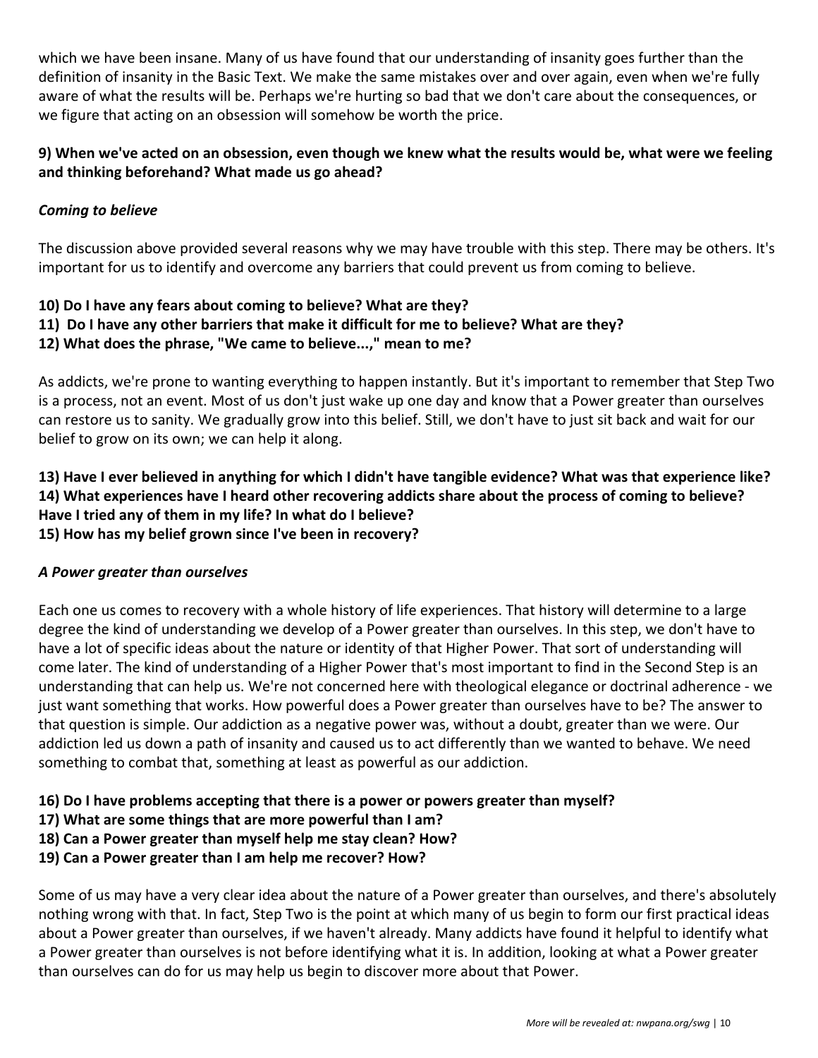which we have been insane. Many of us have found that our understanding of insanity goes further than the definition of insanity in the Basic Text. We make the same mistakes over and over again, even when we're fully aware of what the results will be. Perhaps we're hurting so bad that we don't care about the consequences, or we figure that acting on an obsession will somehow be worth the price.

#### **9) When we've acted on an obsession, even though we knew what the results would be, what were we feeling and thinking beforehand? What made us go ahead?**

#### *Coming to believe*

The discussion above provided several reasons why we may have trouble with this step. There may be others. It's important for us to identify and overcome any barriers that could prevent us from coming to believe.

#### **10) Do I have any fears about coming to believe? What are they?**

**11) Do I have any other barriers that make it difficult for me to believe? What are they?**

#### **12) What does the phrase, "We came to believe...," mean to me?**

As addicts, we're prone to wanting everything to happen instantly. But it's important to remember that Step Two is a process, not an event. Most of us don't just wake up one day and know that a Power greater than ourselves can restore us to sanity. We gradually grow into this belief. Still, we don't have to just sit back and wait for our belief to grow on its own; we can help it along.

#### **13) Have I ever believed in anything for which I didn't have tangible evidence? What was that experience like? 14) What experiences have I heard other recovering addicts share about the process of coming to believe? Have I tried any of them in my life? In what do I believe? 15) How has my belief grown since I've been in recovery?**

#### *A Power greater than ourselves*

Each one us comes to recovery with a whole history of life experiences. That history will determine to a large degree the kind of understanding we develop of a Power greater than ourselves. In this step, we don't have to have a lot of specific ideas about the nature or identity of that Higher Power. That sort of understanding will come later. The kind of understanding of a Higher Power that's most important to find in the Second Step is an understanding that can help us. We're not concerned here with theological elegance or doctrinal adherence - we just want something that works. How powerful does a Power greater than ourselves have to be? The answer to that question is simple. Our addiction as a negative power was, without a doubt, greater than we were. Our addiction led us down a path of insanity and caused us to act differently than we wanted to behave. We need something to combat that, something at least as powerful as our addiction.

#### **16) Do I have problems accepting that there is a power or powers greater than myself?**

- **17) What are some things that are more powerful than I am?**
- **18) Can a Power greater than myself help me stay clean? How?**
- **19) Can a Power greater than I am help me recover? How?**

Some of us may have a very clear idea about the nature of a Power greater than ourselves, and there's absolutely nothing wrong with that. In fact, Step Two is the point at which many of us begin to form our first practical ideas about a Power greater than ourselves, if we haven't already. Many addicts have found it helpful to identify what a Power greater than ourselves is not before identifying what it is. In addition, looking at what a Power greater than ourselves can do for us may help us begin to discover more about that Power.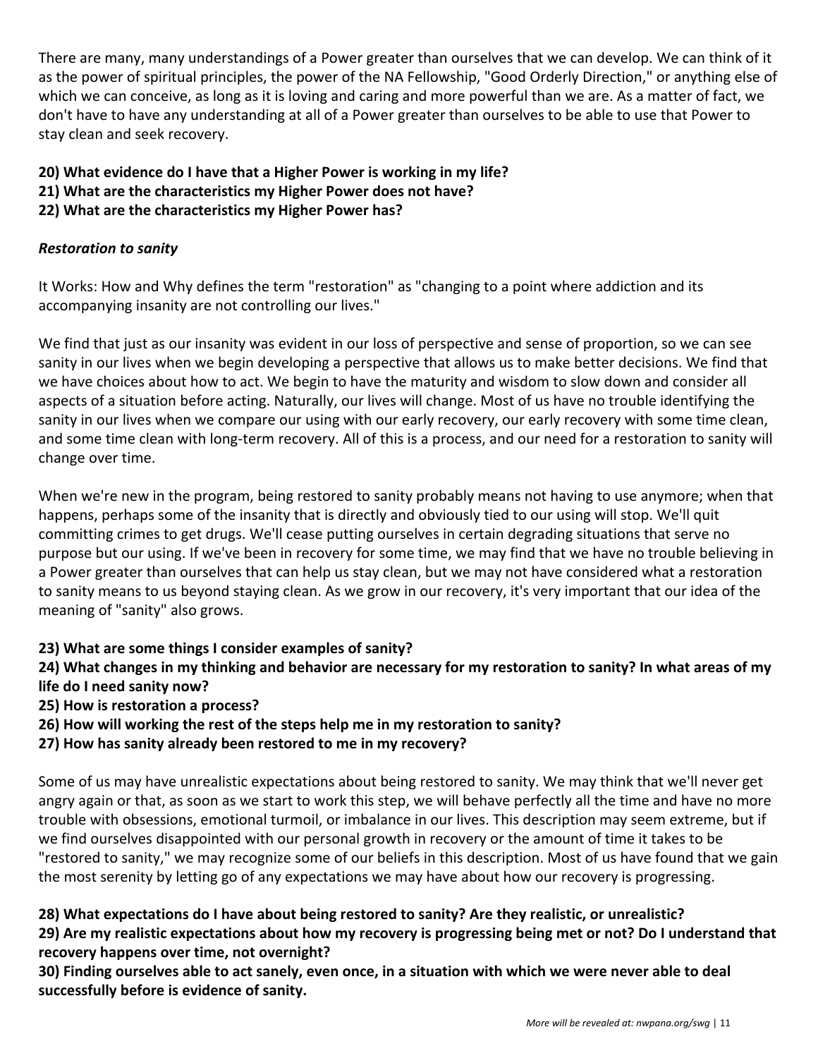There are many, many understandings of a Power greater than ourselves that we can develop. We can think of it as the power of spiritual principles, the power of the NA Fellowship, "Good Orderly Direction," or anything else of which we can conceive, as long as it is loving and caring and more powerful than we are. As a matter of fact, we don't have to have any understanding at all of a Power greater than ourselves to be able to use that Power to stay clean and seek recovery.

- **20) What evidence do I have that a Higher Power is working in my life?**
- **21) What are the characteristics my Higher Power does not have?**
- **22) What are the characteristics my Higher Power has?**

#### *Restoration to sanity*

It Works: How and Why defines the term "restoration" as "changing to a point where addiction and its accompanying insanity are not controlling our lives."

We find that just as our insanity was evident in our loss of perspective and sense of proportion, so we can see sanity in our lives when we begin developing a perspective that allows us to make better decisions. We find that we have choices about how to act. We begin to have the maturity and wisdom to slow down and consider all aspects of a situation before acting. Naturally, our lives will change. Most of us have no trouble identifying the sanity in our lives when we compare our using with our early recovery, our early recovery with some time clean, and some time clean with long-term recovery. All of this is a process, and our need for a restoration to sanity will change over time.

When we're new in the program, being restored to sanity probably means not having to use anymore; when that happens, perhaps some of the insanity that is directly and obviously tied to our using will stop. We'll quit committing crimes to get drugs. We'll cease putting ourselves in certain degrading situations that serve no purpose but our using. If we've been in recovery for some time, we may find that we have no trouble believing in a Power greater than ourselves that can help us stay clean, but we may not have considered what a restoration to sanity means to us beyond staying clean. As we grow in our recovery, it's very important that our idea of the meaning of "sanity" also grows.

#### **23) What are some things I consider examples of sanity?**

#### **24) What changes in my thinking and behavior are necessary for my restoration to sanity? In what areas of my life do I need sanity now?**

**25) How is restoration a process?**

- **26) How will working the rest of the steps help me in my restoration to sanity?**
- **27) How has sanity already been restored to me in my recovery?**

Some of us may have unrealistic expectations about being restored to sanity. We may think that we'll never get angry again or that, as soon as we start to work this step, we will behave perfectly all the time and have no more trouble with obsessions, emotional turmoil, or imbalance in our lives. This description may seem extreme, but if we find ourselves disappointed with our personal growth in recovery or the amount of time it takes to be "restored to sanity," we may recognize some of our beliefs in this description. Most of us have found that we gain the most serenity by letting go of any expectations we may have about how our recovery is progressing.

#### **28) What expectations do I have about being restored to sanity? Are they realistic, or unrealistic?**

**29) Are my realistic expectations about how my recovery is progressing being met or not? Do I understand that recovery happens over time, not overnight?**

**30) Finding ourselves able to act sanely, even once, in a situation with which we were never able to deal successfully before is evidence of sanity.**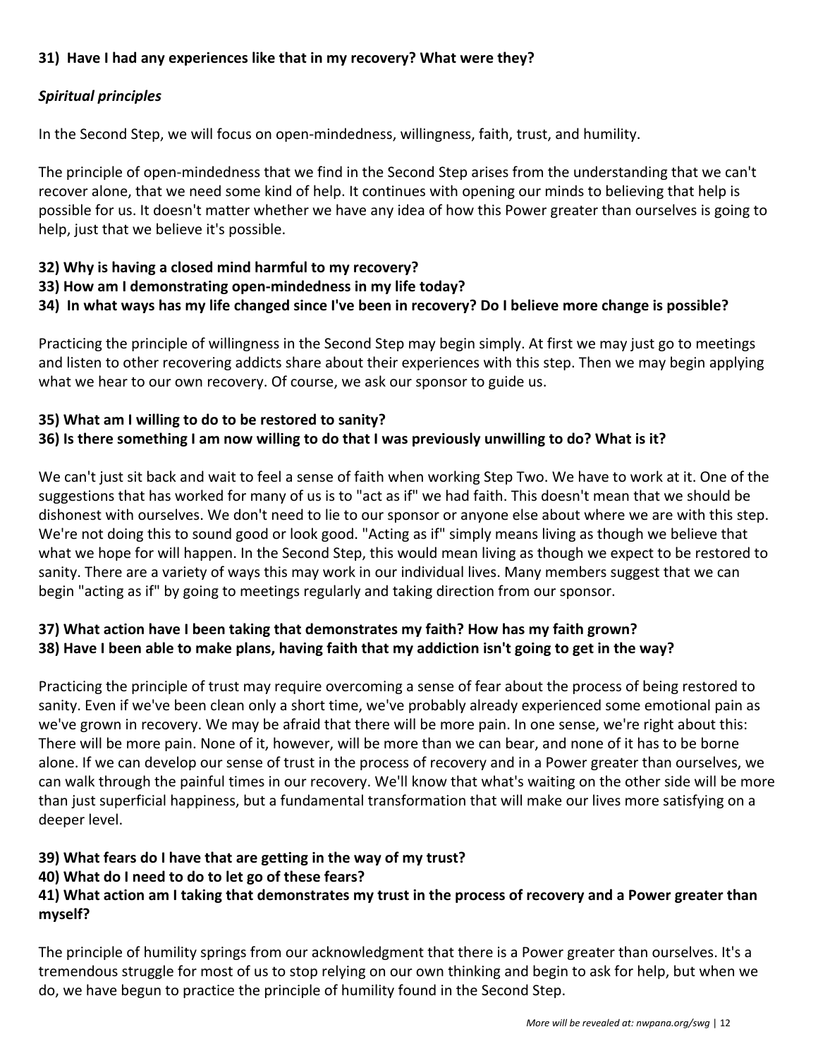#### **31) Have I had any experiences like that in my recovery? What were they?**

#### *Spiritual principles*

In the Second Step, we will focus on open-mindedness, willingness, faith, trust, and humility.

The principle of open-mindedness that we find in the Second Step arises from the understanding that we can't recover alone, that we need some kind of help. It continues with opening our minds to believing that help is possible for us. It doesn't matter whether we have any idea of how this Power greater than ourselves is going to help, just that we believe it's possible.

#### **32) Why is having a closed mind harmful to my recovery?**

- **33) How am I demonstrating open-mindedness in my life today?**
- **34) In what ways has my life changed since I've been in recovery? Do I believe more change is possible?**

Practicing the principle of willingness in the Second Step may begin simply. At first we may just go to meetings and listen to other recovering addicts share about their experiences with this step. Then we may begin applying what we hear to our own recovery. Of course, we ask our sponsor to guide us.

#### **35) What am I willing to do to be restored to sanity?**

#### **36) Is there something I am now willing to do that I was previously unwilling to do? What is it?**

We can't just sit back and wait to feel a sense of faith when working Step Two. We have to work at it. One of the suggestions that has worked for many of us is to "act as if" we had faith. This doesn't mean that we should be dishonest with ourselves. We don't need to lie to our sponsor or anyone else about where we are with this step. We're not doing this to sound good or look good. "Acting as if" simply means living as though we believe that what we hope for will happen. In the Second Step, this would mean living as though we expect to be restored to sanity. There are a variety of ways this may work in our individual lives. Many members suggest that we can begin "acting as if" by going to meetings regularly and taking direction from our sponsor.

#### **37) What action have I been taking that demonstrates my faith? How has my faith grown? 38) Have I been able to make plans, having faith that my addiction isn't going to get in the way?**

Practicing the principle of trust may require overcoming a sense of fear about the process of being restored to sanity. Even if we've been clean only a short time, we've probably already experienced some emotional pain as we've grown in recovery. We may be afraid that there will be more pain. In one sense, we're right about this: There will be more pain. None of it, however, will be more than we can bear, and none of it has to be borne alone. If we can develop our sense of trust in the process of recovery and in a Power greater than ourselves, we can walk through the painful times in our recovery. We'll know that what's waiting on the other side will be more than just superficial happiness, but a fundamental transformation that will make our lives more satisfying on a deeper level.

#### **39) What fears do I have that are getting in the way of my trust?**

#### **40) What do I need to do to let go of these fears?**

#### **41) What action am I taking that demonstrates my trust in the process of recovery and a Power greater than myself?**

The principle of humility springs from our acknowledgment that there is a Power greater than ourselves. It's a tremendous struggle for most of us to stop relying on our own thinking and begin to ask for help, but when we do, we have begun to practice the principle of humility found in the Second Step.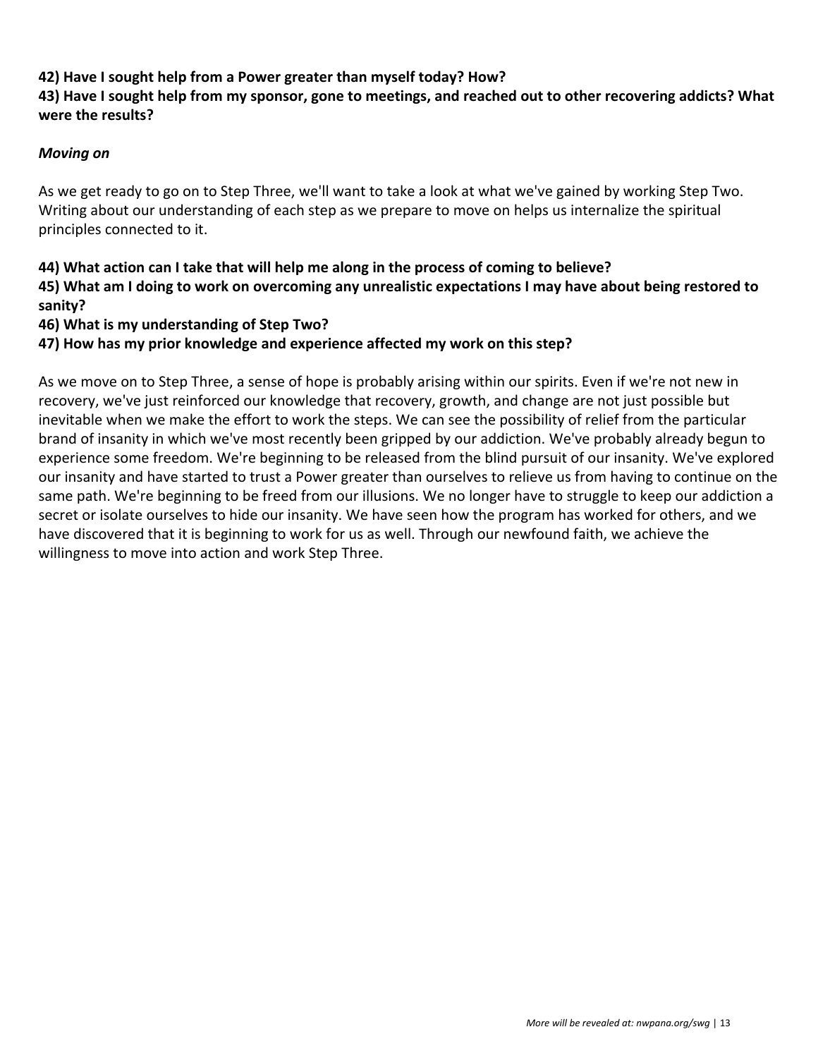#### **42) Have I sought help from a Power greater than myself today? How?**

#### **43) Have I sought help from my sponsor, gone to meetings, and reached out to other recovering addicts? What were the results?**

#### *Moving on*

As we get ready to go on to Step Three, we'll want to take a look at what we've gained by working Step Two. Writing about our understanding of each step as we prepare to move on helps us internalize the spiritual principles connected to it.

#### **44) What action can I take that will help me along in the process of coming to believe?**

**45) What am I doing to work on overcoming any unrealistic expectations I may have about being restored to sanity?**

#### **46) What is my understanding of Step Two?**

**47) How has my prior knowledge and experience affected my work on this step?**

As we move on to Step Three, a sense of hope is probably arising within our spirits. Even if we're not new in recovery, we've just reinforced our knowledge that recovery, growth, and change are not just possible but inevitable when we make the effort to work the steps. We can see the possibility of relief from the particular brand of insanity in which we've most recently been gripped by our addiction. We've probably already begun to experience some freedom. We're beginning to be released from the blind pursuit of our insanity. We've explored our insanity and have started to trust a Power greater than ourselves to relieve us from having to continue on the same path. We're beginning to be freed from our illusions. We no longer have to struggle to keep our addiction a secret or isolate ourselves to hide our insanity. We have seen how the program has worked for others, and we have discovered that it is beginning to work for us as well. Through our newfound faith, we achieve the willingness to move into action and work Step Three.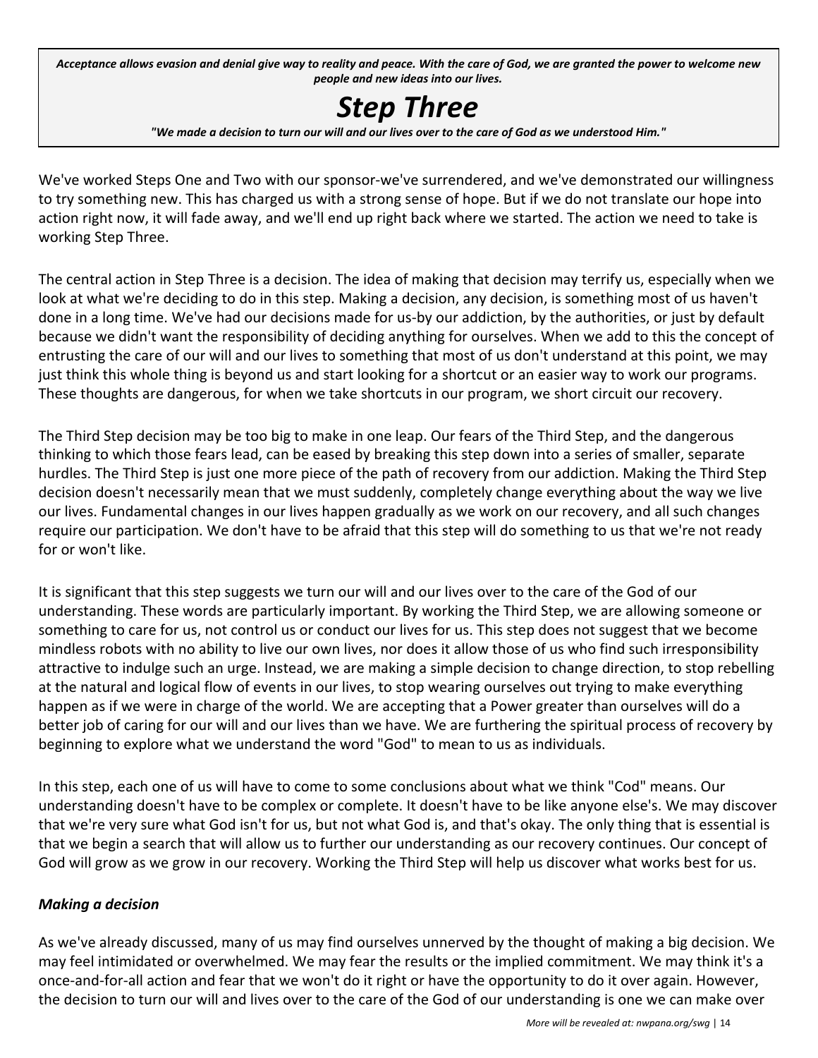Acceptance allows evasion and denial give way to reality and peace. With the care of God, we are granted the power to welcome new *people and new ideas into our lives.*

# *Step Three*

"We made a decision to turn our will and our lives over to the care of God as we understood Him."

We've worked Steps One and Two with our sponsor-we've surrendered, and we've demonstrated our willingness to try something new. This has charged us with a strong sense of hope. But if we do not translate our hope into action right now, it will fade away, and we'll end up right back where we started. The action we need to take is working Step Three.

The central action in Step Three is a decision. The idea of making that decision may terrify us, especially when we look at what we're deciding to do in this step. Making a decision, any decision, is something most of us haven't done in a long time. We've had our decisions made for us-by our addiction, by the authorities, or just by default because we didn't want the responsibility of deciding anything for ourselves. When we add to this the concept of entrusting the care of our will and our lives to something that most of us don't understand at this point, we may just think this whole thing is beyond us and start looking for a shortcut or an easier way to work our programs. These thoughts are dangerous, for when we take shortcuts in our program, we short circuit our recovery.

The Third Step decision may be too big to make in one leap. Our fears of the Third Step, and the dangerous thinking to which those fears lead, can be eased by breaking this step down into a series of smaller, separate hurdles. The Third Step is just one more piece of the path of recovery from our addiction. Making the Third Step decision doesn't necessarily mean that we must suddenly, completely change everything about the way we live our lives. Fundamental changes in our lives happen gradually as we work on our recovery, and all such changes require our participation. We don't have to be afraid that this step will do something to us that we're not ready for or won't like.

It is significant that this step suggests we turn our will and our lives over to the care of the God of our understanding. These words are particularly important. By working the Third Step, we are allowing someone or something to care for us, not control us or conduct our lives for us. This step does not suggest that we become mindless robots with no ability to live our own lives, nor does it allow those of us who find such irresponsibility attractive to indulge such an urge. Instead, we are making a simple decision to change direction, to stop rebelling at the natural and logical flow of events in our lives, to stop wearing ourselves out trying to make everything happen as if we were in charge of the world. We are accepting that a Power greater than ourselves will do a better job of caring for our will and our lives than we have. We are furthering the spiritual process of recovery by beginning to explore what we understand the word "God" to mean to us as individuals.

In this step, each one of us will have to come to some conclusions about what we think "Cod" means. Our understanding doesn't have to be complex or complete. It doesn't have to be like anyone else's. We may discover that we're very sure what God isn't for us, but not what God is, and that's okay. The only thing that is essential is that we begin a search that will allow us to further our understanding as our recovery continues. Our concept of God will grow as we grow in our recovery. Working the Third Step will help us discover what works best for us.

#### *Making a decision*

As we've already discussed, many of us may find ourselves unnerved by the thought of making a big decision. We may feel intimidated or overwhelmed. We may fear the results or the implied commitment. We may think it's a once-and-for-all action and fear that we won't do it right or have the opportunity to do it over again. However, the decision to turn our will and lives over to the care of the God of our understanding is one we can make over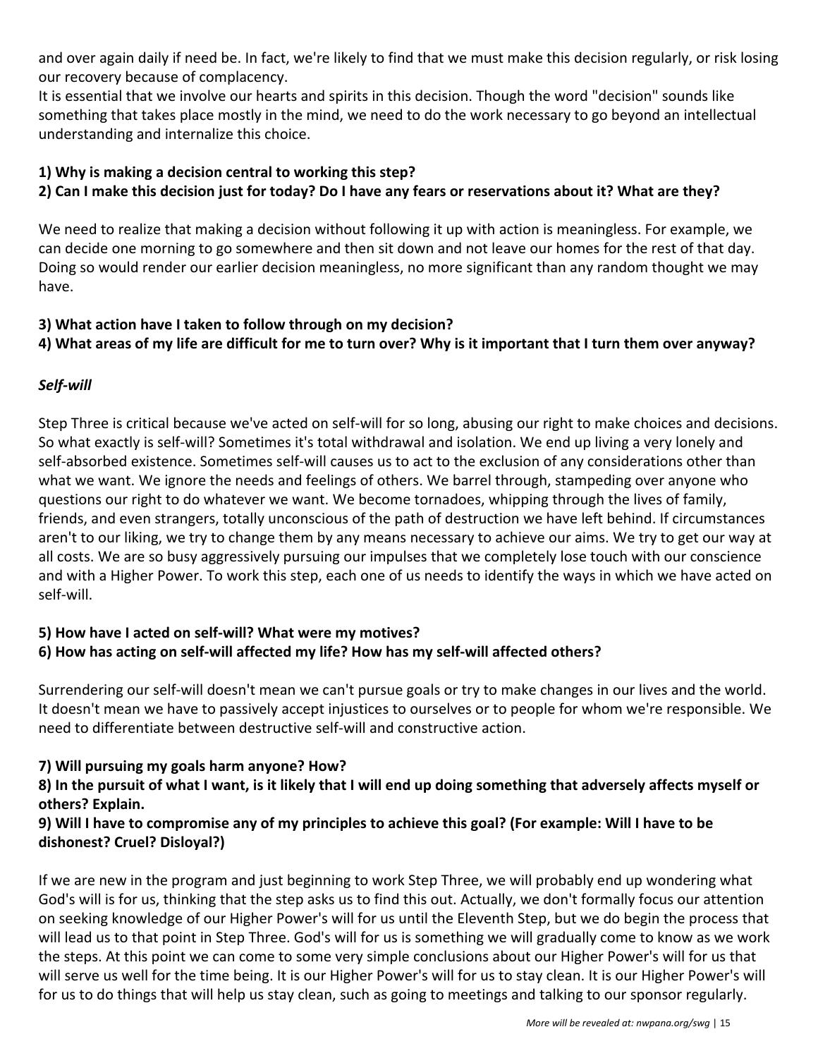and over again daily if need be. In fact, we're likely to find that we must make this decision regularly, or risk losing our recovery because of complacency.

It is essential that we involve our hearts and spirits in this decision. Though the word "decision" sounds like something that takes place mostly in the mind, we need to do the work necessary to go beyond an intellectual understanding and internalize this choice.

#### **1) Why is making a decision central to working this step?**

#### **2) Can I make this decision just for today? Do I have any fears or reservations about it? What are they?**

We need to realize that making a decision without following it up with action is meaningless. For example, we can decide one morning to go somewhere and then sit down and not leave our homes for the rest of that day. Doing so would render our earlier decision meaningless, no more significant than any random thought we may have.

#### **3) What action have I taken to follow through on my decision?**

#### **4) What areas of my life are difficult for me to turn over? Why is it important that I turn them over anyway?**

#### *Self-will*

Step Three is critical because we've acted on self-will for so long, abusing our right to make choices and decisions. So what exactly is self-will? Sometimes it's total withdrawal and isolation. We end up living a very lonely and self-absorbed existence. Sometimes self-will causes us to act to the exclusion of any considerations other than what we want. We ignore the needs and feelings of others. We barrel through, stampeding over anyone who questions our right to do whatever we want. We become tornadoes, whipping through the lives of family, friends, and even strangers, totally unconscious of the path of destruction we have left behind. If circumstances aren't to our liking, we try to change them by any means necessary to achieve our aims. We try to get our way at all costs. We are so busy aggressively pursuing our impulses that we completely lose touch with our conscience and with a Higher Power. To work this step, each one of us needs to identify the ways in which we have acted on self-will.

#### **5) How have I acted on self-will? What were my motives? 6) How has acting on self-will affected my life? How has my self-will affected others?**

Surrendering our self-will doesn't mean we can't pursue goals or try to make changes in our lives and the world. It doesn't mean we have to passively accept injustices to ourselves or to people for whom we're responsible. We need to differentiate between destructive self-will and constructive action.

#### **7) Will pursuing my goals harm anyone? How?**

#### **8) In the pursuit of what I want, is it likely that I will end up doing something that adversely affects myself or others? Explain.**

#### **9) Will I have to compromise any of my principles to achieve this goal? (For example: Will I have to be dishonest? Cruel? Disloyal?)**

If we are new in the program and just beginning to work Step Three, we will probably end up wondering what God's will is for us, thinking that the step asks us to find this out. Actually, we don't formally focus our attention on seeking knowledge of our Higher Power's will for us until the Eleventh Step, but we do begin the process that will lead us to that point in Step Three. God's will for us is something we will gradually come to know as we work the steps. At this point we can come to some very simple conclusions about our Higher Power's will for us that will serve us well for the time being. It is our Higher Power's will for us to stay clean. It is our Higher Power's will for us to do things that will help us stay clean, such as going to meetings and talking to our sponsor regularly.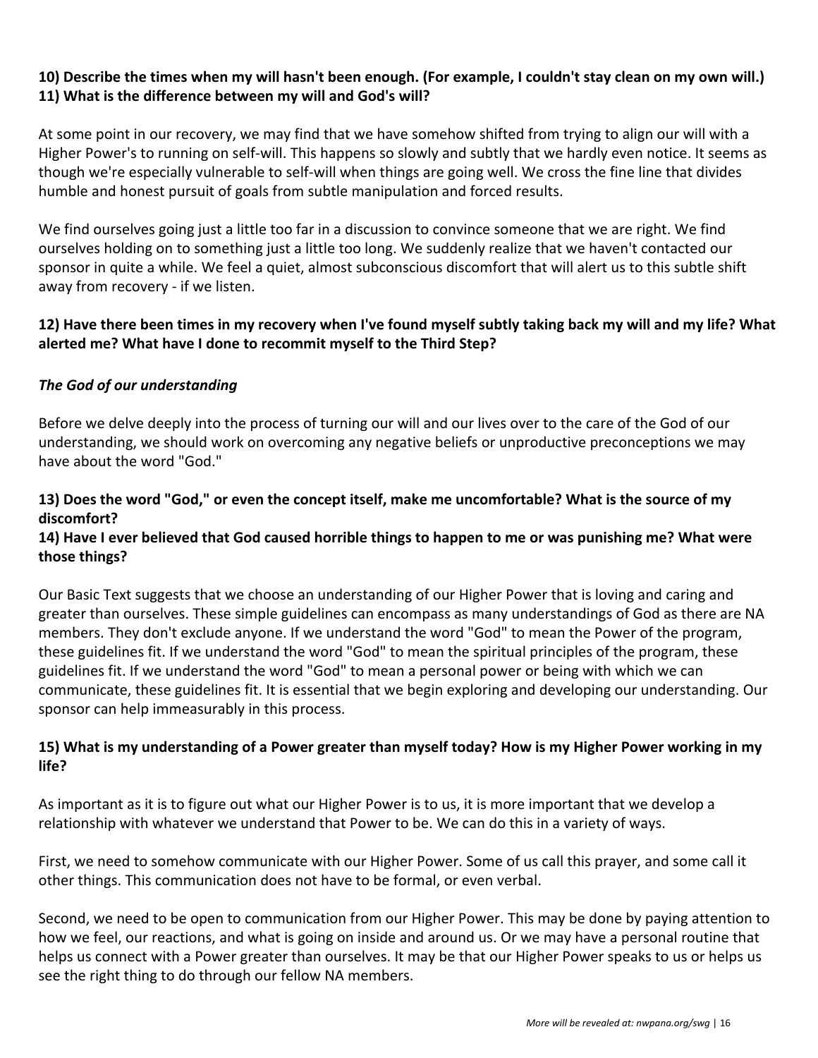#### **10) Describe the times when my will hasn't been enough. (For example, I couldn't stay clean on my own will.) 11) What is the difference between my will and God's will?**

At some point in our recovery, we may find that we have somehow shifted from trying to align our will with a Higher Power's to running on self-will. This happens so slowly and subtly that we hardly even notice. It seems as though we're especially vulnerable to self-will when things are going well. We cross the fine line that divides humble and honest pursuit of goals from subtle manipulation and forced results.

We find ourselves going just a little too far in a discussion to convince someone that we are right. We find ourselves holding on to something just a little too long. We suddenly realize that we haven't contacted our sponsor in quite a while. We feel a quiet, almost subconscious discomfort that will alert us to this subtle shift away from recovery - if we listen.

#### **12) Have there been times in my recovery when I've found myself subtly taking back my will and my life? What alerted me? What have I done to recommit myself to the Third Step?**

#### *The God of our understanding*

Before we delve deeply into the process of turning our will and our lives over to the care of the God of our understanding, we should work on overcoming any negative beliefs or unproductive preconceptions we may have about the word "God."

#### **13) Does the word "God," or even the concept itself, make me uncomfortable? What is the source of my discomfort?**

#### **14) Have I ever believed that God caused horrible things to happen to me or was punishing me? What were those things?**

Our Basic Text suggests that we choose an understanding of our Higher Power that is loving and caring and greater than ourselves. These simple guidelines can encompass as many understandings of God as there are NA members. They don't exclude anyone. If we understand the word "God" to mean the Power of the program, these guidelines fit. If we understand the word "God" to mean the spiritual principles of the program, these guidelines fit. If we understand the word "God" to mean a personal power or being with which we can communicate, these guidelines fit. It is essential that we begin exploring and developing our understanding. Our sponsor can help immeasurably in this process.

#### **15) What is my understanding of a Power greater than myself today? How is my Higher Power working in my life?**

As important as it is to figure out what our Higher Power is to us, it is more important that we develop a relationship with whatever we understand that Power to be. We can do this in a variety of ways.

First, we need to somehow communicate with our Higher Power. Some of us call this prayer, and some call it other things. This communication does not have to be formal, or even verbal.

Second, we need to be open to communication from our Higher Power. This may be done by paying attention to how we feel, our reactions, and what is going on inside and around us. Or we may have a personal routine that helps us connect with a Power greater than ourselves. It may be that our Higher Power speaks to us or helps us see the right thing to do through our fellow NA members.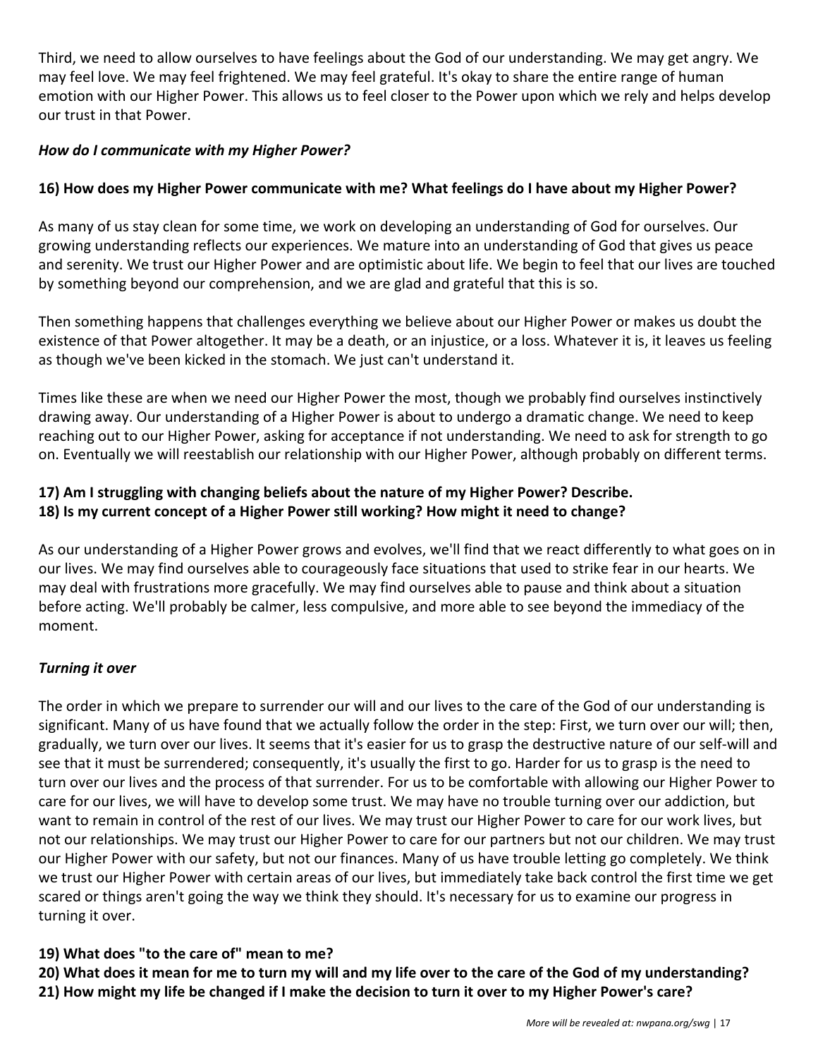Third, we need to allow ourselves to have feelings about the God of our understanding. We may get angry. We may feel love. We may feel frightened. We may feel grateful. It's okay to share the entire range of human emotion with our Higher Power. This allows us to feel closer to the Power upon which we rely and helps develop our trust in that Power.

#### *How do I communicate with my Higher Power?*

#### **16) How does my Higher Power communicate with me? What feelings do I have about my Higher Power?**

As many of us stay clean for some time, we work on developing an understanding of God for ourselves. Our growing understanding reflects our experiences. We mature into an understanding of God that gives us peace and serenity. We trust our Higher Power and are optimistic about life. We begin to feel that our lives are touched by something beyond our comprehension, and we are glad and grateful that this is so.

Then something happens that challenges everything we believe about our Higher Power or makes us doubt the existence of that Power altogether. It may be a death, or an injustice, or a loss. Whatever it is, it leaves us feeling as though we've been kicked in the stomach. We just can't understand it.

Times like these are when we need our Higher Power the most, though we probably find ourselves instinctively drawing away. Our understanding of a Higher Power is about to undergo a dramatic change. We need to keep reaching out to our Higher Power, asking for acceptance if not understanding. We need to ask for strength to go on. Eventually we will reestablish our relationship with our Higher Power, although probably on different terms.

#### **17) Am I struggling with changing beliefs about the nature of my Higher Power? Describe. 18) Is my current concept of a Higher Power still working? How might it need to change?**

As our understanding of a Higher Power grows and evolves, we'll find that we react differently to what goes on in our lives. We may find ourselves able to courageously face situations that used to strike fear in our hearts. We may deal with frustrations more gracefully. We may find ourselves able to pause and think about a situation before acting. We'll probably be calmer, less compulsive, and more able to see beyond the immediacy of the moment.

#### *Turning it over*

The order in which we prepare to surrender our will and our lives to the care of the God of our understanding is significant. Many of us have found that we actually follow the order in the step: First, we turn over our will; then, gradually, we turn over our lives. It seems that it's easier for us to grasp the destructive nature of our self-will and see that it must be surrendered; consequently, it's usually the first to go. Harder for us to grasp is the need to turn over our lives and the process of that surrender. For us to be comfortable with allowing our Higher Power to care for our lives, we will have to develop some trust. We may have no trouble turning over our addiction, but want to remain in control of the rest of our lives. We may trust our Higher Power to care for our work lives, but not our relationships. We may trust our Higher Power to care for our partners but not our children. We may trust our Higher Power with our safety, but not our finances. Many of us have trouble letting go completely. We think we trust our Higher Power with certain areas of our lives, but immediately take back control the first time we get scared or things aren't going the way we think they should. It's necessary for us to examine our progress in turning it over.

#### **19) What does "to the care of" mean to me?**

**20) What does it mean for me to turn my will and my life over to the care of the God of my understanding? 21) How might my life be changed if I make the decision to turn it over to my Higher Power's care?**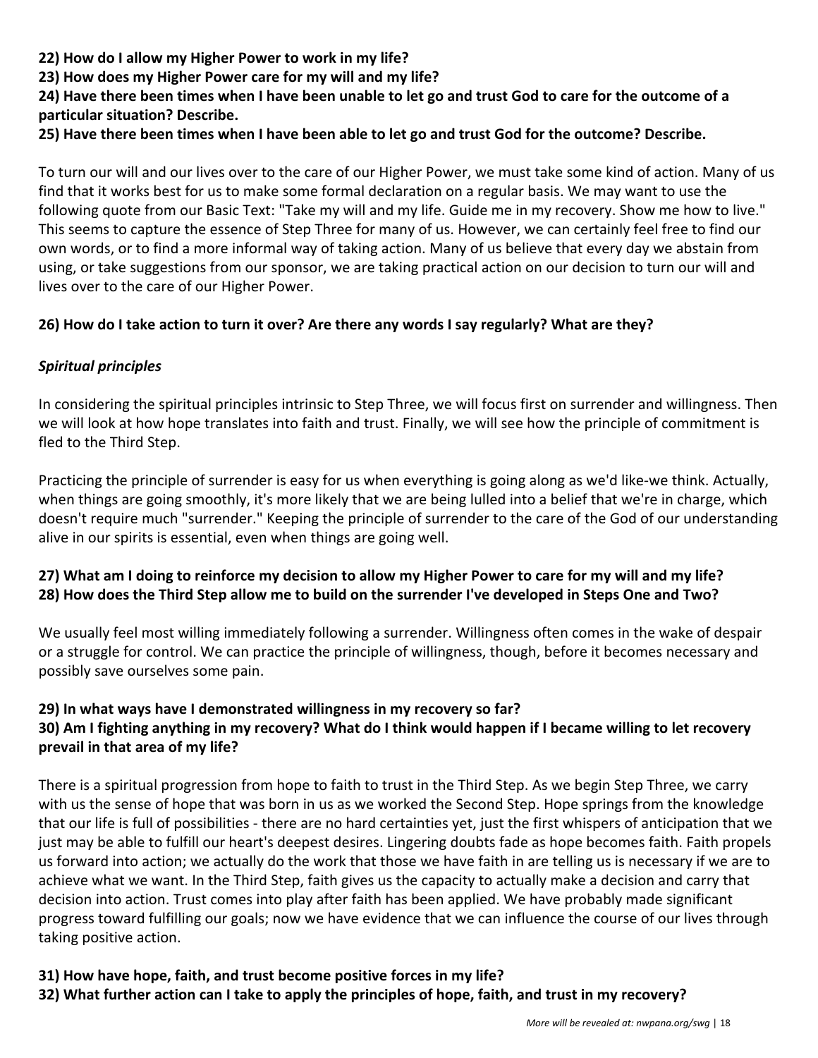**22) How do I allow my Higher Power to work in my life?**

**23) How does my Higher Power care for my will and my life?**

#### **24) Have there been times when I have been unable to let go and trust God to care for the outcome of a particular situation? Describe.**

#### **25) Have there been times when I have been able to let go and trust God for the outcome? Describe.**

To turn our will and our lives over to the care of our Higher Power, we must take some kind of action. Many of us find that it works best for us to make some formal declaration on a regular basis. We may want to use the following quote from our Basic Text: "Take my will and my life. Guide me in my recovery. Show me how to live." This seems to capture the essence of Step Three for many of us. However, we can certainly feel free to find our own words, or to find a more informal way of taking action. Many of us believe that every day we abstain from using, or take suggestions from our sponsor, we are taking practical action on our decision to turn our will and lives over to the care of our Higher Power.

#### **26) How do I take action to turn it over? Are there any words I say regularly? What are they?**

#### *Spiritual principles*

In considering the spiritual principles intrinsic to Step Three, we will focus first on surrender and willingness. Then we will look at how hope translates into faith and trust. Finally, we will see how the principle of commitment is fled to the Third Step.

Practicing the principle of surrender is easy for us when everything is going along as we'd like-we think. Actually, when things are going smoothly, it's more likely that we are being lulled into a belief that we're in charge, which doesn't require much "surrender." Keeping the principle of surrender to the care of the God of our understanding alive in our spirits is essential, even when things are going well.

#### **27) What am I doing to reinforce my decision to allow my Higher Power to care for my will and my life? 28) How does the Third Step allow me to build on the surrender I've developed in Steps One and Two?**

We usually feel most willing immediately following a surrender. Willingness often comes in the wake of despair or a struggle for control. We can practice the principle of willingness, though, before it becomes necessary and possibly save ourselves some pain.

#### **29) In what ways have I demonstrated willingness in my recovery so far? 30) Am I fighting anything in my recovery? What do I think would happen if I became willing to let recovery prevail in that area of my life?**

There is a spiritual progression from hope to faith to trust in the Third Step. As we begin Step Three, we carry with us the sense of hope that was born in us as we worked the Second Step. Hope springs from the knowledge that our life is full of possibilities - there are no hard certainties yet, just the first whispers of anticipation that we just may be able to fulfill our heart's deepest desires. Lingering doubts fade as hope becomes faith. Faith propels us forward into action; we actually do the work that those we have faith in are telling us is necessary if we are to achieve what we want. In the Third Step, faith gives us the capacity to actually make a decision and carry that decision into action. Trust comes into play after faith has been applied. We have probably made significant progress toward fulfilling our goals; now we have evidence that we can influence the course of our lives through taking positive action.

#### **31) How have hope, faith, and trust become positive forces in my life? 32) What further action can I take to apply the principles of hope, faith, and trust in my recovery?**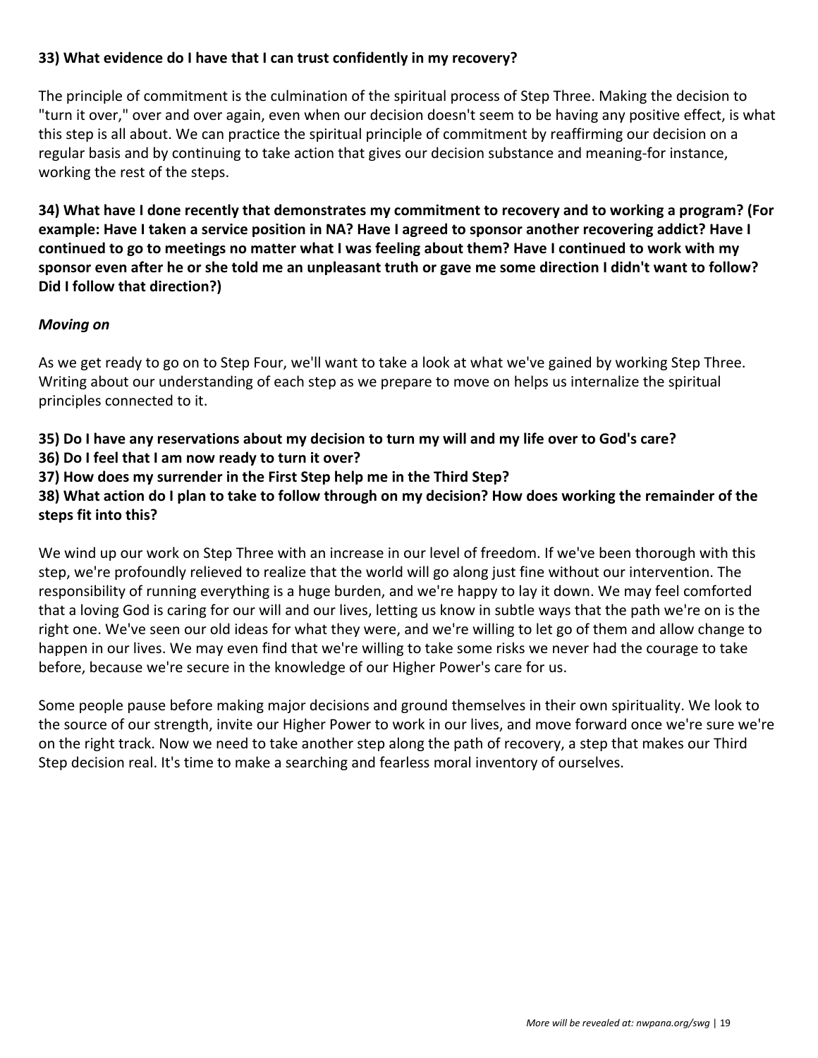#### **33) What evidence do I have that I can trust confidently in my recovery?**

The principle of commitment is the culmination of the spiritual process of Step Three. Making the decision to "turn it over," over and over again, even when our decision doesn't seem to be having any positive effect, is what this step is all about. We can practice the spiritual principle of commitment by reaffirming our decision on a regular basis and by continuing to take action that gives our decision substance and meaning-for instance, working the rest of the steps.

**34) What have I done recently that demonstrates my commitment to recovery and to working a program? (For example: Have I taken a service position in NA? Have I agreed to sponsor another recovering addict? Have I continued to go to meetings no matter what I was feeling about them? Have I continued to work with my sponsor even after he or she told me an unpleasant truth or gave me some direction I didn't want to follow? Did I follow that direction?)**

#### *Moving on*

As we get ready to go on to Step Four, we'll want to take a look at what we've gained by working Step Three. Writing about our understanding of each step as we prepare to move on helps us internalize the spiritual principles connected to it.

**35) Do I have any reservations about my decision to turn my will and my life over to God's care?**

- **36) Do I feel that I am now ready to turn it over?**
- **37) How does my surrender in the First Step help me in the Third Step?**

**38) What action do I plan to take to follow through on my decision? How does working the remainder of the steps fit into this?**

We wind up our work on Step Three with an increase in our level of freedom. If we've been thorough with this step, we're profoundly relieved to realize that the world will go along just fine without our intervention. The responsibility of running everything is a huge burden, and we're happy to lay it down. We may feel comforted that a loving God is caring for our will and our lives, letting us know in subtle ways that the path we're on is the right one. We've seen our old ideas for what they were, and we're willing to let go of them and allow change to happen in our lives. We may even find that we're willing to take some risks we never had the courage to take before, because we're secure in the knowledge of our Higher Power's care for us.

Some people pause before making major decisions and ground themselves in their own spirituality. We look to the source of our strength, invite our Higher Power to work in our lives, and move forward once we're sure we're on the right track. Now we need to take another step along the path of recovery, a step that makes our Third Step decision real. It's time to make a searching and fearless moral inventory of ourselves.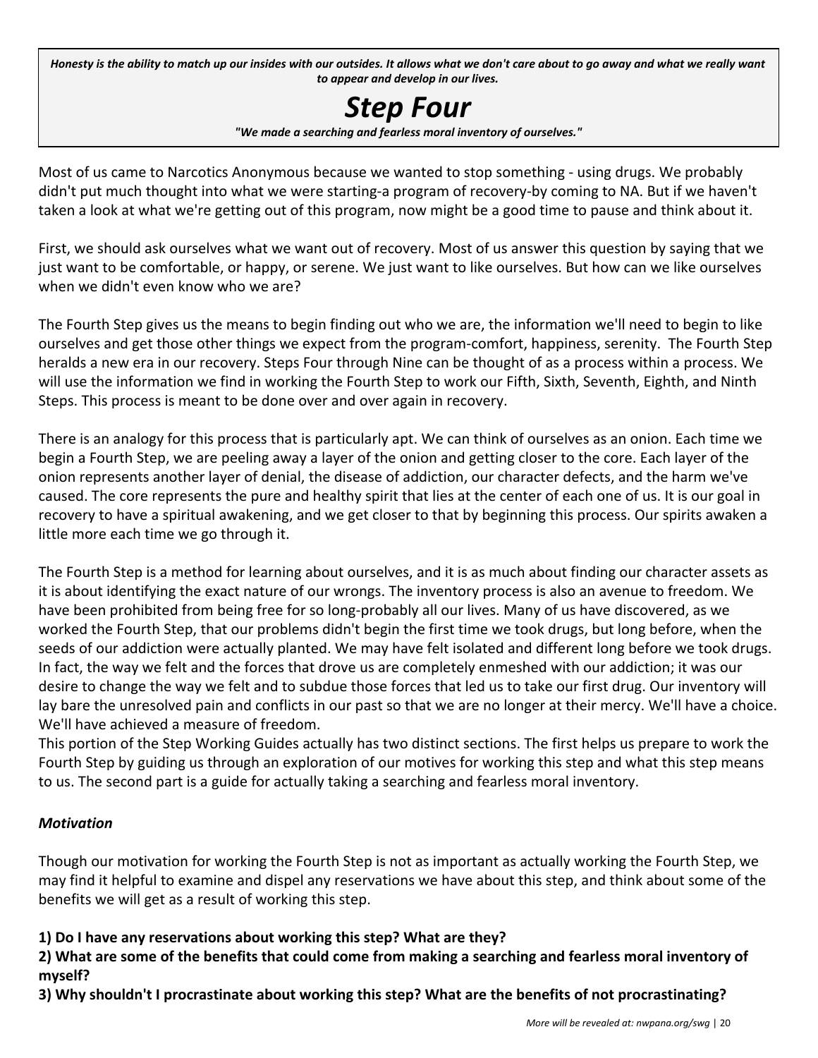Honesty is the ability to match up our insides with our outsides. It allows what we don't care about to go away and what we really want *to appear and develop in our lives.*

# *Step Four*

*"We made a searching and fearless moral inventory of ourselves."*

Most of us came to Narcotics Anonymous because we wanted to stop something - using drugs. We probably didn't put much thought into what we were starting-a program of recovery-by coming to NA. But if we haven't taken a look at what we're getting out of this program, now might be a good time to pause and think about it.

First, we should ask ourselves what we want out of recovery. Most of us answer this question by saying that we just want to be comfortable, or happy, or serene. We just want to like ourselves. But how can we like ourselves when we didn't even know who we are?

The Fourth Step gives us the means to begin finding out who we are, the information we'll need to begin to like ourselves and get those other things we expect from the program-comfort, happiness, serenity. The Fourth Step heralds a new era in our recovery. Steps Four through Nine can be thought of as a process within a process. We will use the information we find in working the Fourth Step to work our Fifth, Sixth, Seventh, Eighth, and Ninth Steps. This process is meant to be done over and over again in recovery.

There is an analogy for this process that is particularly apt. We can think of ourselves as an onion. Each time we begin a Fourth Step, we are peeling away a layer of the onion and getting closer to the core. Each layer of the onion represents another layer of denial, the disease of addiction, our character defects, and the harm we've caused. The core represents the pure and healthy spirit that lies at the center of each one of us. It is our goal in recovery to have a spiritual awakening, and we get closer to that by beginning this process. Our spirits awaken a little more each time we go through it.

The Fourth Step is a method for learning about ourselves, and it is as much about finding our character assets as it is about identifying the exact nature of our wrongs. The inventory process is also an avenue to freedom. We have been prohibited from being free for so long-probably all our lives. Many of us have discovered, as we worked the Fourth Step, that our problems didn't begin the first time we took drugs, but long before, when the seeds of our addiction were actually planted. We may have felt isolated and different long before we took drugs. In fact, the way we felt and the forces that drove us are completely enmeshed with our addiction; it was our desire to change the way we felt and to subdue those forces that led us to take our first drug. Our inventory will lay bare the unresolved pain and conflicts in our past so that we are no longer at their mercy. We'll have a choice. We'll have achieved a measure of freedom.

This portion of the Step Working Guides actually has two distinct sections. The first helps us prepare to work the Fourth Step by guiding us through an exploration of our motives for working this step and what this step means to us. The second part is a guide for actually taking a searching and fearless moral inventory.

#### *Motivation*

Though our motivation for working the Fourth Step is not as important as actually working the Fourth Step, we may find it helpful to examine and dispel any reservations we have about this step, and think about some of the benefits we will get as a result of working this step.

**1) Do I have any reservations about working this step? What are they?**

**2) What are some of the benefits that could come from making a searching and fearless moral inventory of myself?**

**3) Why shouldn't I procrastinate about working this step? What are the benefits of not procrastinating?**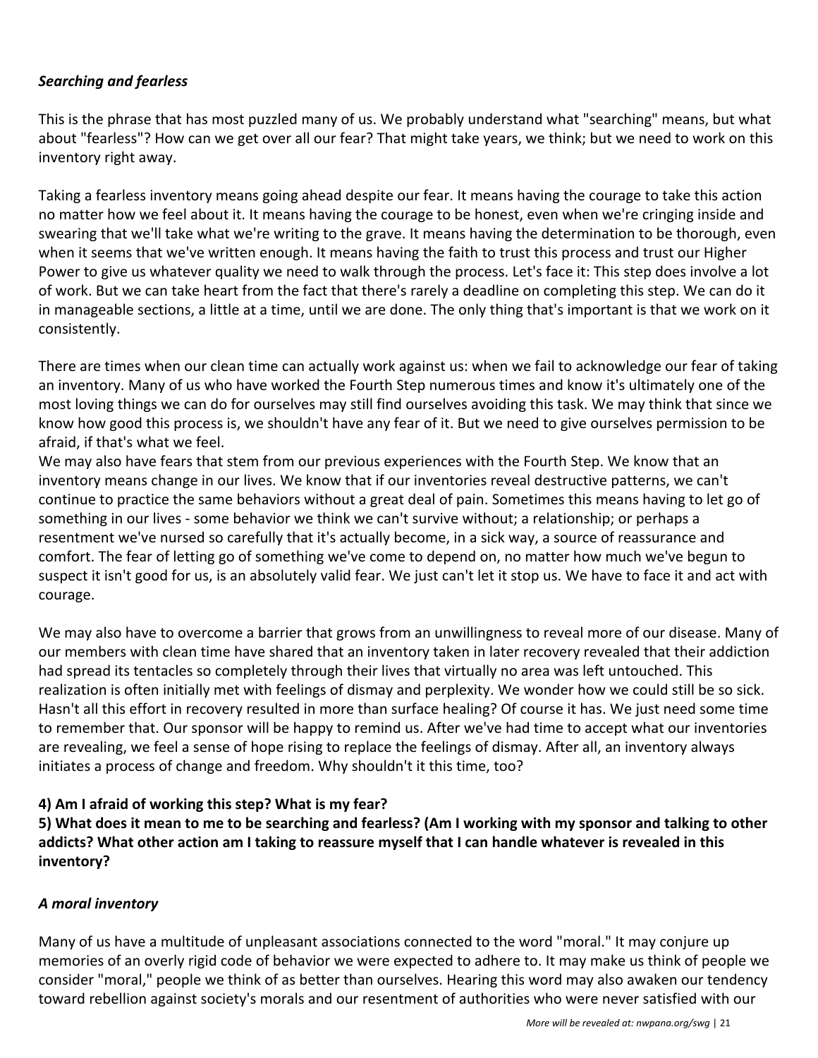#### *Searching and fearless*

This is the phrase that has most puzzled many of us. We probably understand what "searching" means, but what about "fearless"? How can we get over all our fear? That might take years, we think; but we need to work on this inventory right away.

Taking a fearless inventory means going ahead despite our fear. It means having the courage to take this action no matter how we feel about it. It means having the courage to be honest, even when we're cringing inside and swearing that we'll take what we're writing to the grave. It means having the determination to be thorough, even when it seems that we've written enough. It means having the faith to trust this process and trust our Higher Power to give us whatever quality we need to walk through the process. Let's face it: This step does involve a lot of work. But we can take heart from the fact that there's rarely a deadline on completing this step. We can do it in manageable sections, a little at a time, until we are done. The only thing that's important is that we work on it consistently.

There are times when our clean time can actually work against us: when we fail to acknowledge our fear of taking an inventory. Many of us who have worked the Fourth Step numerous times and know it's ultimately one of the most loving things we can do for ourselves may still find ourselves avoiding this task. We may think that since we know how good this process is, we shouldn't have any fear of it. But we need to give ourselves permission to be afraid, if that's what we feel.

We may also have fears that stem from our previous experiences with the Fourth Step. We know that an inventory means change in our lives. We know that if our inventories reveal destructive patterns, we can't continue to practice the same behaviors without a great deal of pain. Sometimes this means having to let go of something in our lives - some behavior we think we can't survive without; a relationship; or perhaps a resentment we've nursed so carefully that it's actually become, in a sick way, a source of reassurance and comfort. The fear of letting go of something we've come to depend on, no matter how much we've begun to suspect it isn't good for us, is an absolutely valid fear. We just can't let it stop us. We have to face it and act with courage.

We may also have to overcome a barrier that grows from an unwillingness to reveal more of our disease. Many of our members with clean time have shared that an inventory taken in later recovery revealed that their addiction had spread its tentacles so completely through their lives that virtually no area was left untouched. This realization is often initially met with feelings of dismay and perplexity. We wonder how we could still be so sick. Hasn't all this effort in recovery resulted in more than surface healing? Of course it has. We just need some time to remember that. Our sponsor will be happy to remind us. After we've had time to accept what our inventories are revealing, we feel a sense of hope rising to replace the feelings of dismay. After all, an inventory always initiates a process of change and freedom. Why shouldn't it this time, too?

#### **4) Am I afraid of working this step? What is my fear?**

**5) What does it mean to me to be searching and fearless? (Am I working with my sponsor and talking to other addicts? What other action am I taking to reassure myself that I can handle whatever is revealed in this inventory?**

#### *A moral inventory*

Many of us have a multitude of unpleasant associations connected to the word "moral." It may conjure up memories of an overly rigid code of behavior we were expected to adhere to. It may make us think of people we consider "moral," people we think of as better than ourselves. Hearing this word may also awaken our tendency toward rebellion against society's morals and our resentment of authorities who were never satisfied with our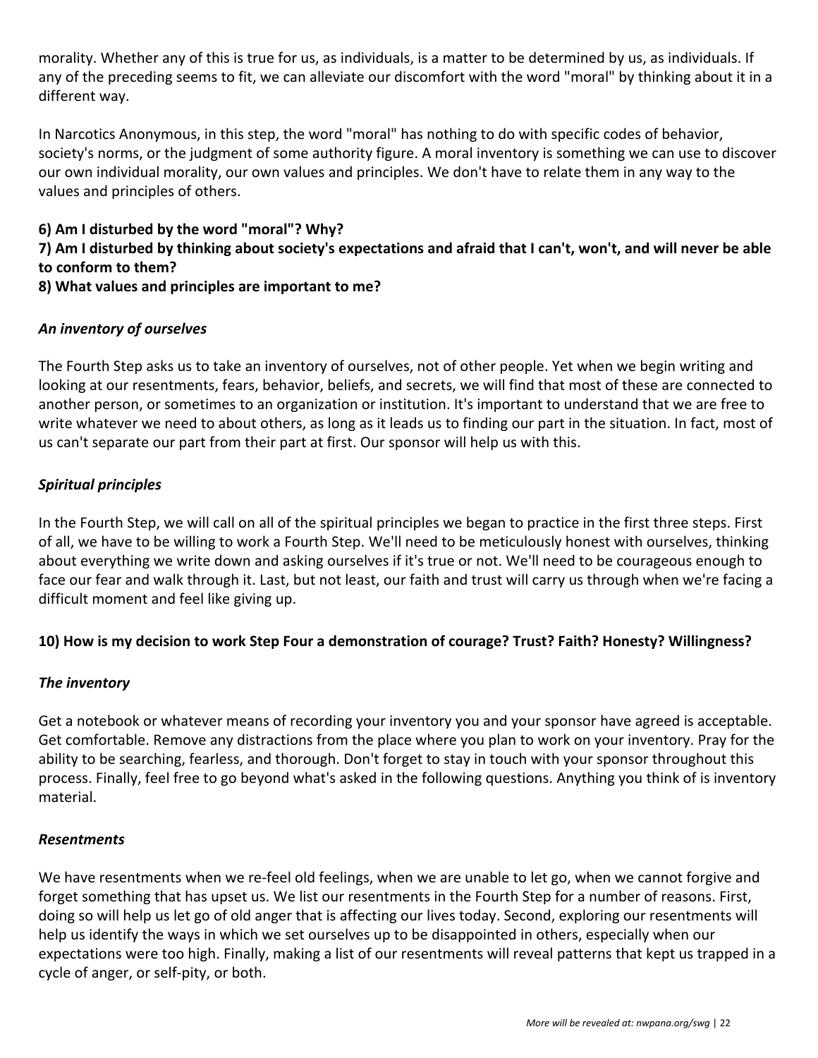morality. Whether any of this is true for us, as individuals, is a matter to be determined by us, as individuals. If any of the preceding seems to fit, we can alleviate our discomfort with the word "moral" by thinking about it in a different way.

In Narcotics Anonymous, in this step, the word "moral" has nothing to do with specific codes of behavior, society's norms, or the judgment of some authority figure. A moral inventory is something we can use to discover our own individual morality, our own values and principles. We don't have to relate them in any way to the values and principles of others.

### **6) Am I disturbed by the word "moral"? Why?**

#### **7) Am I disturbed by thinking about society's expectations and afraid that I can't, won't, and will never be able to conform to them?**

**8) What values and principles are important to me?**

#### *An inventory of ourselves*

The Fourth Step asks us to take an inventory of ourselves, not of other people. Yet when we begin writing and looking at our resentments, fears, behavior, beliefs, and secrets, we will find that most of these are connected to another person, or sometimes to an organization or institution. It's important to understand that we are free to write whatever we need to about others, as long as it leads us to finding our part in the situation. In fact, most of us can't separate our part from their part at first. Our sponsor will help us with this.

#### *Spiritual principles*

In the Fourth Step, we will call on all of the spiritual principles we began to practice in the first three steps. First of all, we have to be willing to work a Fourth Step. We'll need to be meticulously honest with ourselves, thinking about everything we write down and asking ourselves if it's true or not. We'll need to be courageous enough to face our fear and walk through it. Last, but not least, our faith and trust will carry us through when we're facing a difficult moment and feel like giving up.

#### **10) How is my decision to work Step Four a demonstration of courage? Trust? Faith? Honesty? Willingness?**

#### *The inventory*

Get a notebook or whatever means of recording your inventory you and your sponsor have agreed is acceptable. Get comfortable. Remove any distractions from the place where you plan to work on your inventory. Pray for the ability to be searching, fearless, and thorough. Don't forget to stay in touch with your sponsor throughout this process. Finally, feel free to go beyond what's asked in the following questions. Anything you think of is inventory material.

#### *Resentments*

We have resentments when we re-feel old feelings, when we are unable to let go, when we cannot forgive and forget something that has upset us. We list our resentments in the Fourth Step for a number of reasons. First, doing so will help us let go of old anger that is affecting our lives today. Second, exploring our resentments will help us identify the ways in which we set ourselves up to be disappointed in others, especially when our expectations were too high. Finally, making a list of our resentments will reveal patterns that kept us trapped in a cycle of anger, or self-pity, or both.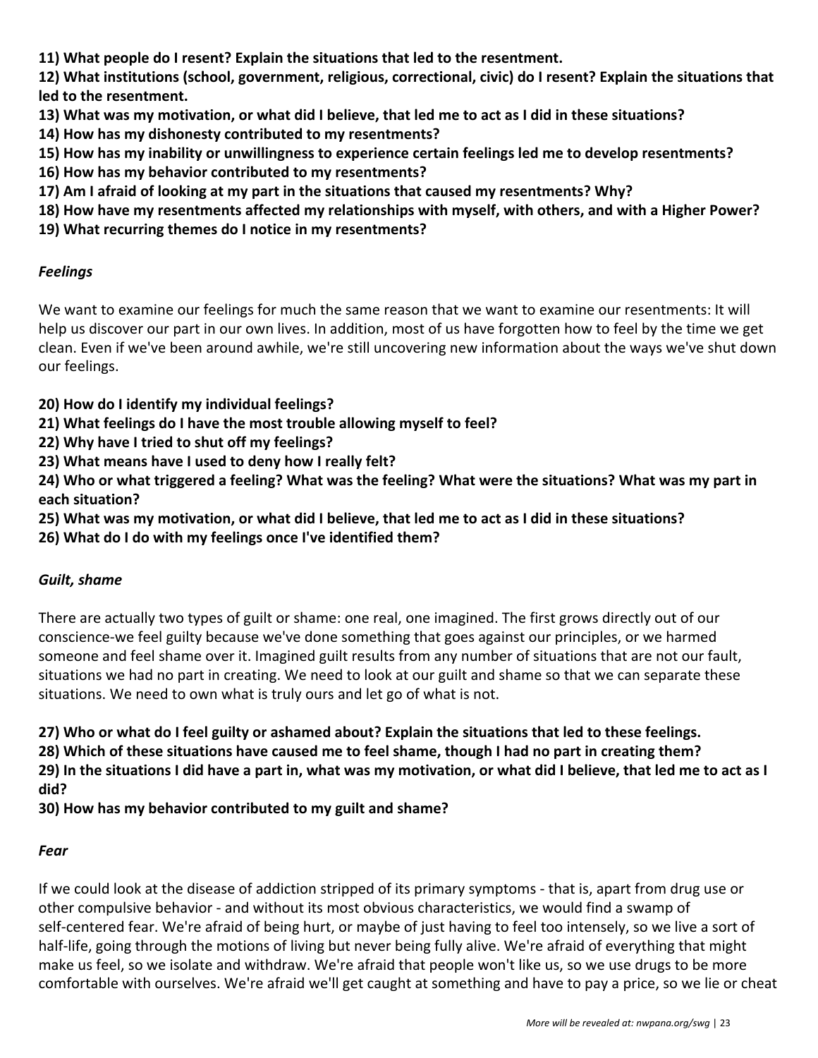**11) What people do I resent? Explain the situations that led to the resentment.**

**12) What institutions (school, government, religious, correctional, civic) do I resent? Explain the situations that led to the resentment.**

- **13) What was my motivation, or what did I believe, that led me to act as I did in these situations?**
- **14) How has my dishonesty contributed to my resentments?**
- **15) How has my inability or unwillingness to experience certain feelings led me to develop resentments?**
- **16) How has my behavior contributed to my resentments?**
- **17) Am I afraid of looking at my part in the situations that caused my resentments? Why?**
- **18) How have my resentments affected my relationships with myself, with others, and with a Higher Power?**
- **19) What recurring themes do I notice in my resentments?**

#### *Feelings*

We want to examine our feelings for much the same reason that we want to examine our resentments: It will help us discover our part in our own lives. In addition, most of us have forgotten how to feel by the time we get clean. Even if we've been around awhile, we're still uncovering new information about the ways we've shut down our feelings.

- **20) How do I identify my individual feelings?**
- **21) What feelings do I have the most trouble allowing myself to feel?**
- **22) Why have I tried to shut off my feelings?**
- **23) What means have I used to deny how I really felt?**

**24) Who or what triggered a feeling? What was the feeling? What were the situations? What was my part in each situation?**

- **25) What was my motivation, or what did I believe, that led me to act as I did in these situations?**
- **26) What do I do with my feelings once I've identified them?**

#### *Guilt, shame*

There are actually two types of guilt or shame: one real, one imagined. The first grows directly out of our conscience-we feel guilty because we've done something that goes against our principles, or we harmed someone and feel shame over it. Imagined guilt results from any number of situations that are not our fault, situations we had no part in creating. We need to look at our guilt and shame so that we can separate these situations. We need to own what is truly ours and let go of what is not.

**27) Who or what do I feel guilty or ashamed about? Explain the situations that led to these feelings.**

**28) Which of these situations have caused me to feel shame, though I had no part in creating them? 29) In the situations I did have a part in, what was my motivation, or what did I believe, that led me to act as I**

**did?**

**30) How has my behavior contributed to my guilt and shame?**

#### *Fear*

If we could look at the disease of addiction stripped of its primary symptoms - that is, apart from drug use or other compulsive behavior - and without its most obvious characteristics, we would find a swamp of self-centered fear. We're afraid of being hurt, or maybe of just having to feel too intensely, so we live a sort of half-life, going through the motions of living but never being fully alive. We're afraid of everything that might make us feel, so we isolate and withdraw. We're afraid that people won't like us, so we use drugs to be more comfortable with ourselves. We're afraid we'll get caught at something and have to pay a price, so we lie or cheat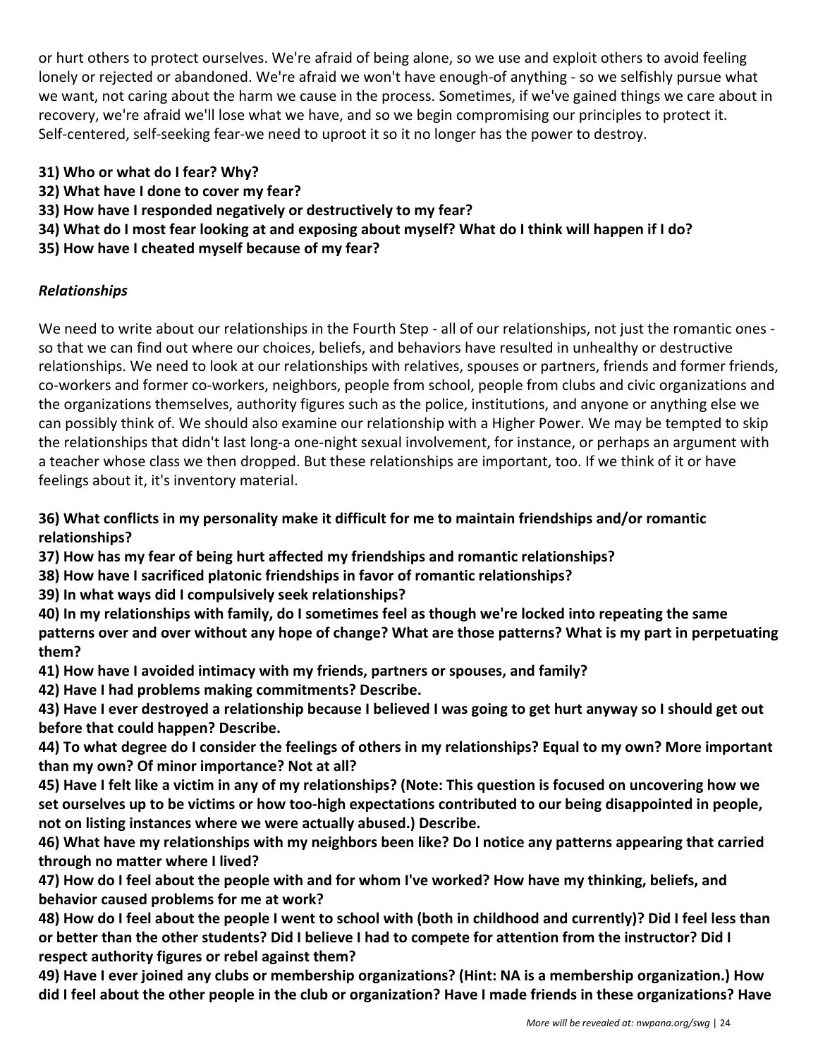or hurt others to protect ourselves. We're afraid of being alone, so we use and exploit others to avoid feeling lonely or rejected or abandoned. We're afraid we won't have enough-of anything - so we selfishly pursue what we want, not caring about the harm we cause in the process. Sometimes, if we've gained things we care about in recovery, we're afraid we'll lose what we have, and so we begin compromising our principles to protect it. Self-centered, self-seeking fear-we need to uproot it so it no longer has the power to destroy.

- **31) Who or what do I fear? Why?**
- **32) What have I done to cover my fear?**
- **33) How have I responded negatively or destructively to my fear?**
- **34) What do I most fear looking at and exposing about myself? What do I think will happen if I do?**
- **35) How have I cheated myself because of my fear?**

#### *Relationships*

We need to write about our relationships in the Fourth Step - all of our relationships, not just the romantic ones so that we can find out where our choices, beliefs, and behaviors have resulted in unhealthy or destructive relationships. We need to look at our relationships with relatives, spouses or partners, friends and former friends, co-workers and former co-workers, neighbors, people from school, people from clubs and civic organizations and the organizations themselves, authority figures such as the police, institutions, and anyone or anything else we can possibly think of. We should also examine our relationship with a Higher Power. We may be tempted to skip the relationships that didn't last long-a one-night sexual involvement, for instance, or perhaps an argument with a teacher whose class we then dropped. But these relationships are important, too. If we think of it or have feelings about it, it's inventory material.

#### **36) What conflicts in my personality make it difficult for me to maintain friendships and/or romantic relationships?**

**37) How has my fear of being hurt affected my friendships and romantic relationships?**

- **38) How have I sacrificed platonic friendships in favor of romantic relationships?**
- **39) In what ways did I compulsively seek relationships?**
- **40) In my relationships with family, do I sometimes feel as though we're locked into repeating the same patterns over and over without any hope of change? What are those patterns? What is my part in perpetuating them?**
- **41) How have I avoided intimacy with my friends, partners or spouses, and family?**
- **42) Have I had problems making commitments? Describe.**

**43) Have I ever destroyed a relationship because I believed I was going to get hurt anyway so I should get out before that could happen? Describe.**

**44) To what degree do I consider the feelings of others in my relationships? Equal to my own? More important than my own? Of minor importance? Not at all?**

**45) Have I felt like a victim in any of my relationships? (Note: This question is focused on uncovering how we set ourselves up to be victims or how too-high expectations contributed to our being disappointed in people, not on listing instances where we were actually abused.) Describe.**

**46) What have my relationships with my neighbors been like? Do I notice any patterns appearing that carried through no matter where I lived?**

**47) How do I feel about the people with and for whom I've worked? How have my thinking, beliefs, and behavior caused problems for me at work?**

**48) How do I feel about the people I went to school with (both in childhood and currently)? Did I feel less than or better than the other students? Did I believe I had to compete for attention from the instructor? Did I respect authority figures or rebel against them?**

**49) Have I ever joined any clubs or membership organizations? (Hint: NA is a membership organization.) How did I feel about the other people in the club or organization? Have I made friends in these organizations? Have**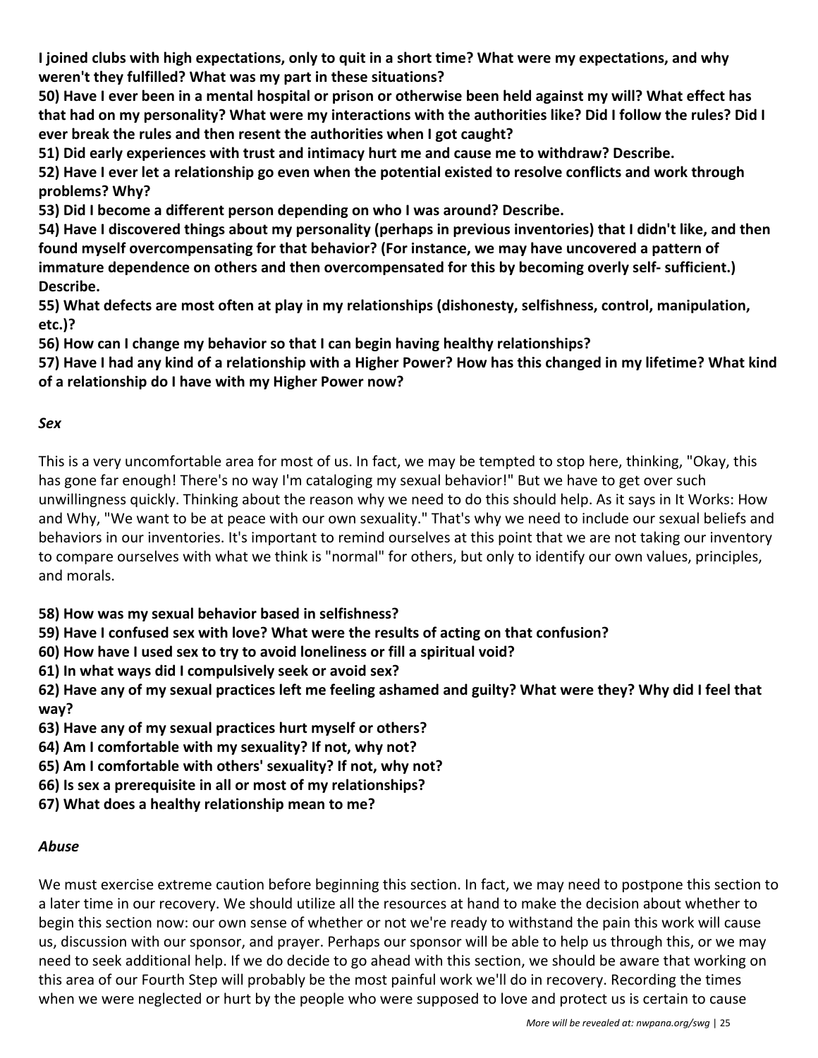**I joined clubs with high expectations, only to quit in a short time? What were my expectations, and why weren't they fulfilled? What was my part in these situations?**

**50) Have I ever been in a mental hospital or prison or otherwise been held against my will? What effect has that had on my personality? What were my interactions with the authorities like? Did I follow the rules? Did I ever break the rules and then resent the authorities when I got caught?**

**51) Did early experiences with trust and intimacy hurt me and cause me to withdraw? Describe.**

**52) Have I ever let a relationship go even when the potential existed to resolve conflicts and work through problems? Why?**

**53) Did I become a different person depending on who I was around? Describe.**

**54) Have I discovered things about my personality (perhaps in previous inventories) that I didn't like, and then found myself overcompensating for that behavior? (For instance, we may have uncovered a pattern of immature dependence on others and then overcompensated for this by becoming overly self- sufficient.) Describe.**

**55) What defects are most often at play in my relationships (dishonesty, selfishness, control, manipulation, etc.)?**

**56) How can I change my behavior so that I can begin having healthy relationships?**

**57) Have I had any kind of a relationship with a Higher Power? How has this changed in my lifetime? What kind of a relationship do I have with my Higher Power now?**

#### *Sex*

This is a very uncomfortable area for most of us. In fact, we may be tempted to stop here, thinking, "Okay, this has gone far enough! There's no way I'm cataloging my sexual behavior!" But we have to get over such unwillingness quickly. Thinking about the reason why we need to do this should help. As it says in It Works: How and Why, "We want to be at peace with our own sexuality." That's why we need to include our sexual beliefs and behaviors in our inventories. It's important to remind ourselves at this point that we are not taking our inventory to compare ourselves with what we think is "normal" for others, but only to identify our own values, principles, and morals.

**58) How was my sexual behavior based in selfishness?**

**59) Have I confused sex with love? What were the results of acting on that confusion?**

**60) How have I used sex to try to avoid loneliness or fill a spiritual void?**

**61) In what ways did I compulsively seek or avoid sex?**

**62) Have any of my sexual practices left me feeling ashamed and guilty? What were they? Why did I feel that way?**

**63) Have any of my sexual practices hurt myself or others?**

**64) Am I comfortable with my sexuality? If not, why not?**

**65) Am I comfortable with others' sexuality? If not, why not?**

**66) Is sex a prerequisite in all or most of my relationships?**

**67) What does a healthy relationship mean to me?**

#### *Abuse*

We must exercise extreme caution before beginning this section. In fact, we may need to postpone this section to a later time in our recovery. We should utilize all the resources at hand to make the decision about whether to begin this section now: our own sense of whether or not we're ready to withstand the pain this work will cause us, discussion with our sponsor, and prayer. Perhaps our sponsor will be able to help us through this, or we may need to seek additional help. If we do decide to go ahead with this section, we should be aware that working on this area of our Fourth Step will probably be the most painful work we'll do in recovery. Recording the times when we were neglected or hurt by the people who were supposed to love and protect us is certain to cause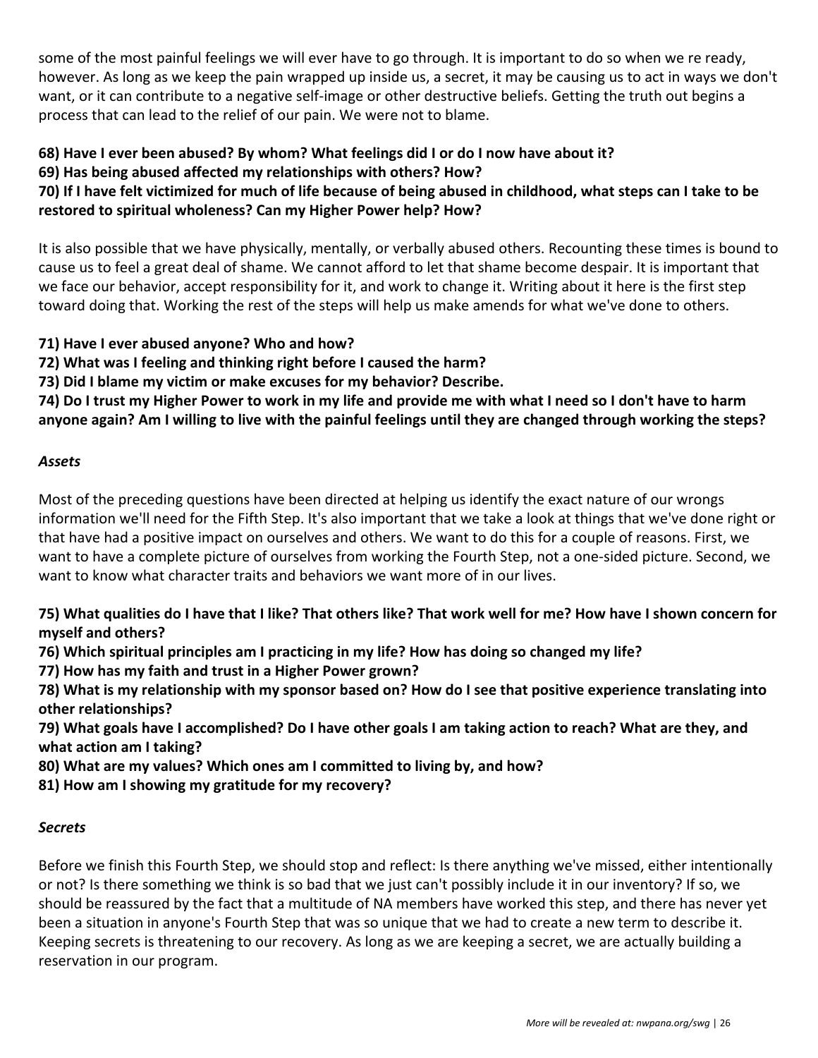some of the most painful feelings we will ever have to go through. It is important to do so when we re ready, however. As long as we keep the pain wrapped up inside us, a secret, it may be causing us to act in ways we don't want, or it can contribute to a negative self-image or other destructive beliefs. Getting the truth out begins a process that can lead to the relief of our pain. We were not to blame.

#### **68) Have I ever been abused? By whom? What feelings did I or do I now have about it? 69) Has being abused affected my relationships with others? How?**

**70) If I have felt victimized for much of life because of being abused in childhood, what steps can I take to be restored to spiritual wholeness? Can my Higher Power help? How?**

It is also possible that we have physically, mentally, or verbally abused others. Recounting these times is bound to cause us to feel a great deal of shame. We cannot afford to let that shame become despair. It is important that we face our behavior, accept responsibility for it, and work to change it. Writing about it here is the first step toward doing that. Working the rest of the steps will help us make amends for what we've done to others.

- **71) Have I ever abused anyone? Who and how?**
- **72) What was I feeling and thinking right before I caused the harm?**
- **73) Did I blame my victim or make excuses for my behavior? Describe.**

**74) Do I trust my Higher Power to work in my life and provide me with what I need so I don't have to harm anyone again? Am I willing to live with the painful feelings until they are changed through working the steps?**

#### *Assets*

Most of the preceding questions have been directed at helping us identify the exact nature of our wrongs information we'll need for the Fifth Step. It's also important that we take a look at things that we've done right or that have had a positive impact on ourselves and others. We want to do this for a couple of reasons. First, we want to have a complete picture of ourselves from working the Fourth Step, not a one-sided picture. Second, we want to know what character traits and behaviors we want more of in our lives.

**75) What qualities do I have that I like? That others like? That work well for me? How have I shown concern for myself and others?**

**76) Which spiritual principles am I practicing in my life? How has doing so changed my life?**

**77) How has my faith and trust in a Higher Power grown?**

**78) What is my relationship with my sponsor based on? How do I see that positive experience translating into other relationships?**

**79) What goals have I accomplished? Do I have other goals I am taking action to reach? What are they, and what action am I taking?**

**80) What are my values? Which ones am I committed to living by, and how?**

**81) How am I showing my gratitude for my recovery?**

#### *Secrets*

Before we finish this Fourth Step, we should stop and reflect: Is there anything we've missed, either intentionally or not? Is there something we think is so bad that we just can't possibly include it in our inventory? If so, we should be reassured by the fact that a multitude of NA members have worked this step, and there has never yet been a situation in anyone's Fourth Step that was so unique that we had to create a new term to describe it. Keeping secrets is threatening to our recovery. As long as we are keeping a secret, we are actually building a reservation in our program.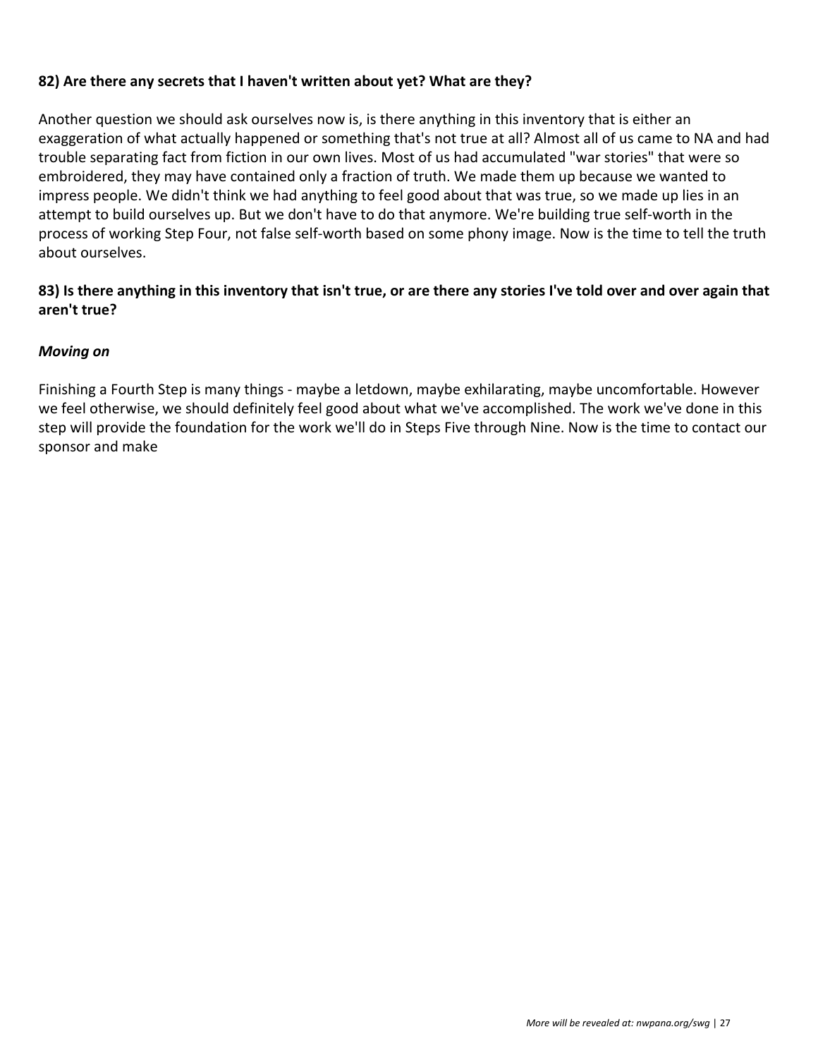#### **82) Are there any secrets that I haven't written about yet? What are they?**

Another question we should ask ourselves now is, is there anything in this inventory that is either an exaggeration of what actually happened or something that's not true at all? Almost all of us came to NA and had trouble separating fact from fiction in our own lives. Most of us had accumulated "war stories" that were so embroidered, they may have contained only a fraction of truth. We made them up because we wanted to impress people. We didn't think we had anything to feel good about that was true, so we made up lies in an attempt to build ourselves up. But we don't have to do that anymore. We're building true self-worth in the process of working Step Four, not false self-worth based on some phony image. Now is the time to tell the truth about ourselves.

#### **83) Is there anything in this inventory that isn't true, or are there any stories I've told over and over again that aren't true?**

#### *Moving on*

Finishing a Fourth Step is many things - maybe a letdown, maybe exhilarating, maybe uncomfortable. However we feel otherwise, we should definitely feel good about what we've accomplished. The work we've done in this step will provide the foundation for the work we'll do in Steps Five through Nine. Now is the time to contact our sponsor and make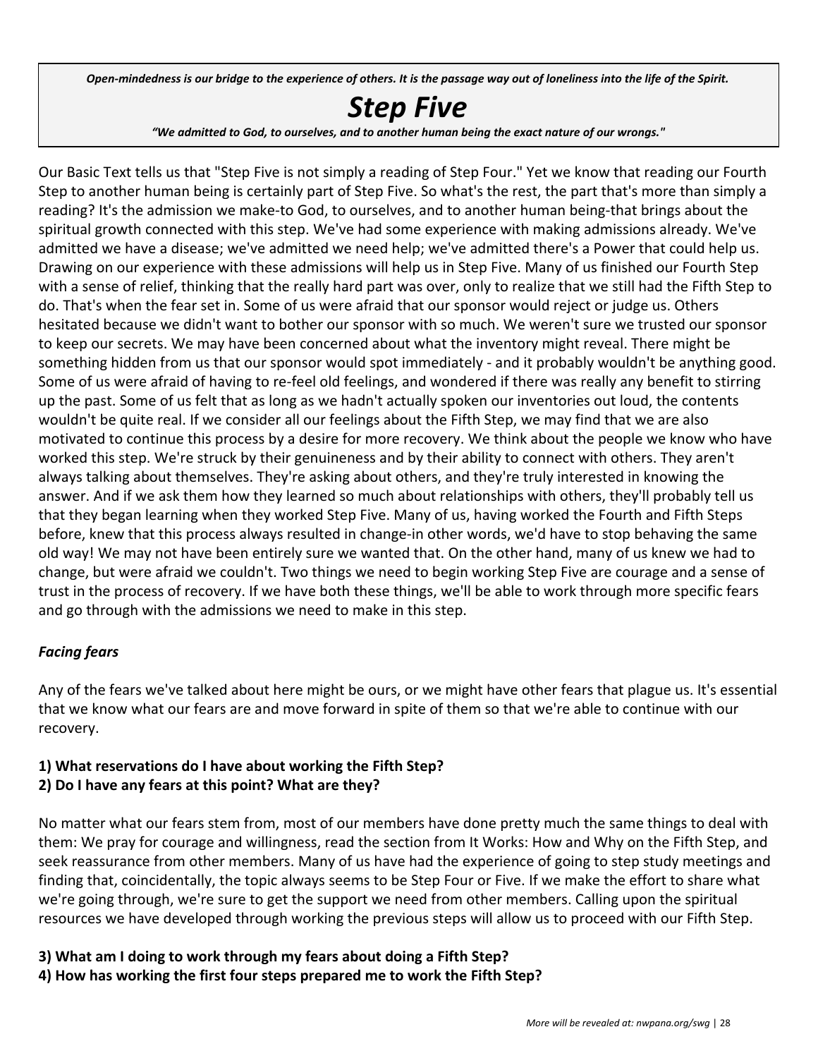Open-mindedness is our bridge to the experience of others. It is the passage way out of loneliness into the life of the Spirit.

# *Step Five*

*"We admitted to God, to ourselves, and to another human being the exact nature of our wrongs."*

Our Basic Text tells us that "Step Five is not simply a reading of Step Four." Yet we know that reading our Fourth Step to another human being is certainly part of Step Five. So what's the rest, the part that's more than simply a reading? It's the admission we make-to God, to ourselves, and to another human being-that brings about the spiritual growth connected with this step. We've had some experience with making admissions already. We've admitted we have a disease; we've admitted we need help; we've admitted there's a Power that could help us. Drawing on our experience with these admissions will help us in Step Five. Many of us finished our Fourth Step with a sense of relief, thinking that the really hard part was over, only to realize that we still had the Fifth Step to do. That's when the fear set in. Some of us were afraid that our sponsor would reject or judge us. Others hesitated because we didn't want to bother our sponsor with so much. We weren't sure we trusted our sponsor to keep our secrets. We may have been concerned about what the inventory might reveal. There might be something hidden from us that our sponsor would spot immediately - and it probably wouldn't be anything good. Some of us were afraid of having to re-feel old feelings, and wondered if there was really any benefit to stirring up the past. Some of us felt that as long as we hadn't actually spoken our inventories out loud, the contents wouldn't be quite real. If we consider all our feelings about the Fifth Step, we may find that we are also motivated to continue this process by a desire for more recovery. We think about the people we know who have worked this step. We're struck by their genuineness and by their ability to connect with others. They aren't always talking about themselves. They're asking about others, and they're truly interested in knowing the answer. And if we ask them how they learned so much about relationships with others, they'll probably tell us that they began learning when they worked Step Five. Many of us, having worked the Fourth and Fifth Steps before, knew that this process always resulted in change-in other words, we'd have to stop behaving the same old way! We may not have been entirely sure we wanted that. On the other hand, many of us knew we had to change, but were afraid we couldn't. Two things we need to begin working Step Five are courage and a sense of trust in the process of recovery. If we have both these things, we'll be able to work through more specific fears and go through with the admissions we need to make in this step.

#### *Facing fears*

Any of the fears we've talked about here might be ours, or we might have other fears that plague us. It's essential that we know what our fears are and move forward in spite of them so that we're able to continue with our recovery.

#### **1) What reservations do I have about working the Fifth Step? 2) Do I have any fears at this point? What are they?**

No matter what our fears stem from, most of our members have done pretty much the same things to deal with them: We pray for courage and willingness, read the section from It Works: How and Why on the Fifth Step, and seek reassurance from other members. Many of us have had the experience of going to step study meetings and finding that, coincidentally, the topic always seems to be Step Four or Five. If we make the effort to share what we're going through, we're sure to get the support we need from other members. Calling upon the spiritual resources we have developed through working the previous steps will allow us to proceed with our Fifth Step.

**3) What am I doing to work through my fears about doing a Fifth Step?**

**4) How has working the first four steps prepared me to work the Fifth Step?**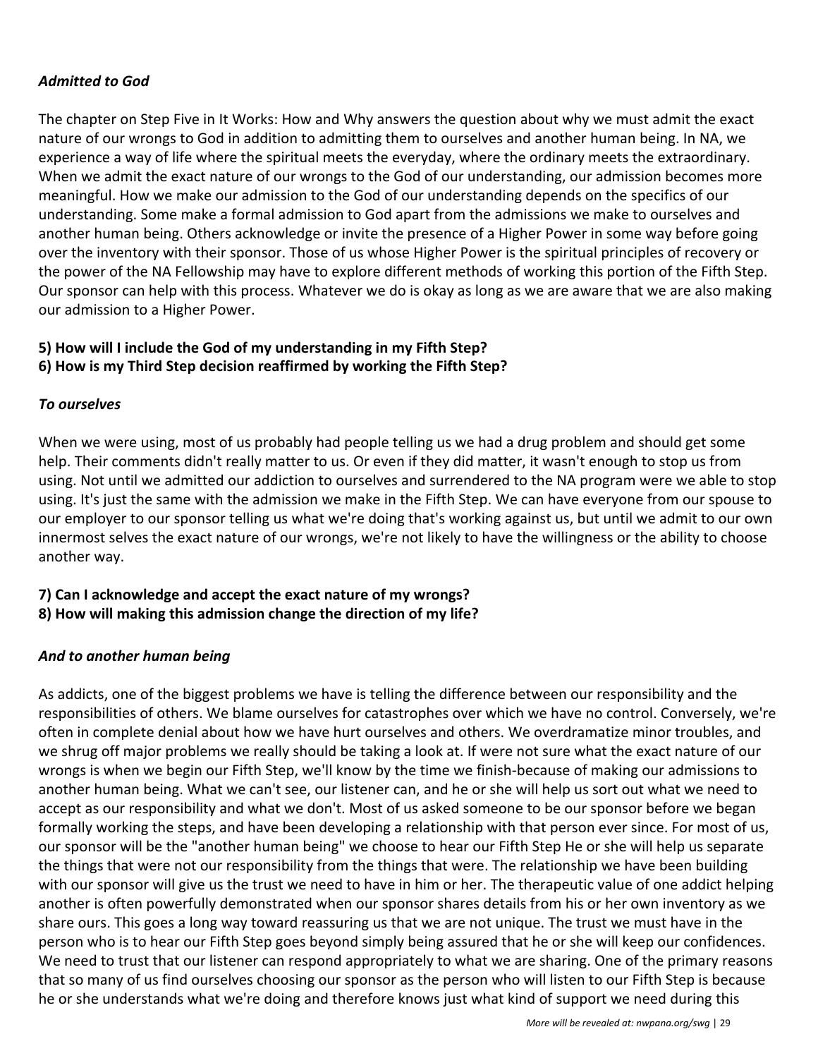#### *Admitted to God*

The chapter on Step Five in It Works: How and Why answers the question about why we must admit the exact nature of our wrongs to God in addition to admitting them to ourselves and another human being. In NA, we experience a way of life where the spiritual meets the everyday, where the ordinary meets the extraordinary. When we admit the exact nature of our wrongs to the God of our understanding, our admission becomes more meaningful. How we make our admission to the God of our understanding depends on the specifics of our understanding. Some make a formal admission to God apart from the admissions we make to ourselves and another human being. Others acknowledge or invite the presence of a Higher Power in some way before going over the inventory with their sponsor. Those of us whose Higher Power is the spiritual principles of recovery or the power of the NA Fellowship may have to explore different methods of working this portion of the Fifth Step. Our sponsor can help with this process. Whatever we do is okay as long as we are aware that we are also making our admission to a Higher Power.

#### **5) How will I include the God of my understanding in my Fifth Step? 6) How is my Third Step decision reaffirmed by working the Fifth Step?**

#### *To ourselves*

When we were using, most of us probably had people telling us we had a drug problem and should get some help. Their comments didn't really matter to us. Or even if they did matter, it wasn't enough to stop us from using. Not until we admitted our addiction to ourselves and surrendered to the NA program were we able to stop using. It's just the same with the admission we make in the Fifth Step. We can have everyone from our spouse to our employer to our sponsor telling us what we're doing that's working against us, but until we admit to our own innermost selves the exact nature of our wrongs, we're not likely to have the willingness or the ability to choose another way.

#### **7) Can I acknowledge and accept the exact nature of my wrongs?**

**8) How will making this admission change the direction of my life?**

#### *And to another human being*

As addicts, one of the biggest problems we have is telling the difference between our responsibility and the responsibilities of others. We blame ourselves for catastrophes over which we have no control. Conversely, we're often in complete denial about how we have hurt ourselves and others. We overdramatize minor troubles, and we shrug off major problems we really should be taking a look at. If were not sure what the exact nature of our wrongs is when we begin our Fifth Step, we'll know by the time we finish-because of making our admissions to another human being. What we can't see, our listener can, and he or she will help us sort out what we need to accept as our responsibility and what we don't. Most of us asked someone to be our sponsor before we began formally working the steps, and have been developing a relationship with that person ever since. For most of us, our sponsor will be the "another human being" we choose to hear our Fifth Step He or she will help us separate the things that were not our responsibility from the things that were. The relationship we have been building with our sponsor will give us the trust we need to have in him or her. The therapeutic value of one addict helping another is often powerfully demonstrated when our sponsor shares details from his or her own inventory as we share ours. This goes a long way toward reassuring us that we are not unique. The trust we must have in the person who is to hear our Fifth Step goes beyond simply being assured that he or she will keep our confidences. We need to trust that our listener can respond appropriately to what we are sharing. One of the primary reasons that so many of us find ourselves choosing our sponsor as the person who will listen to our Fifth Step is because he or she understands what we're doing and therefore knows just what kind of support we need during this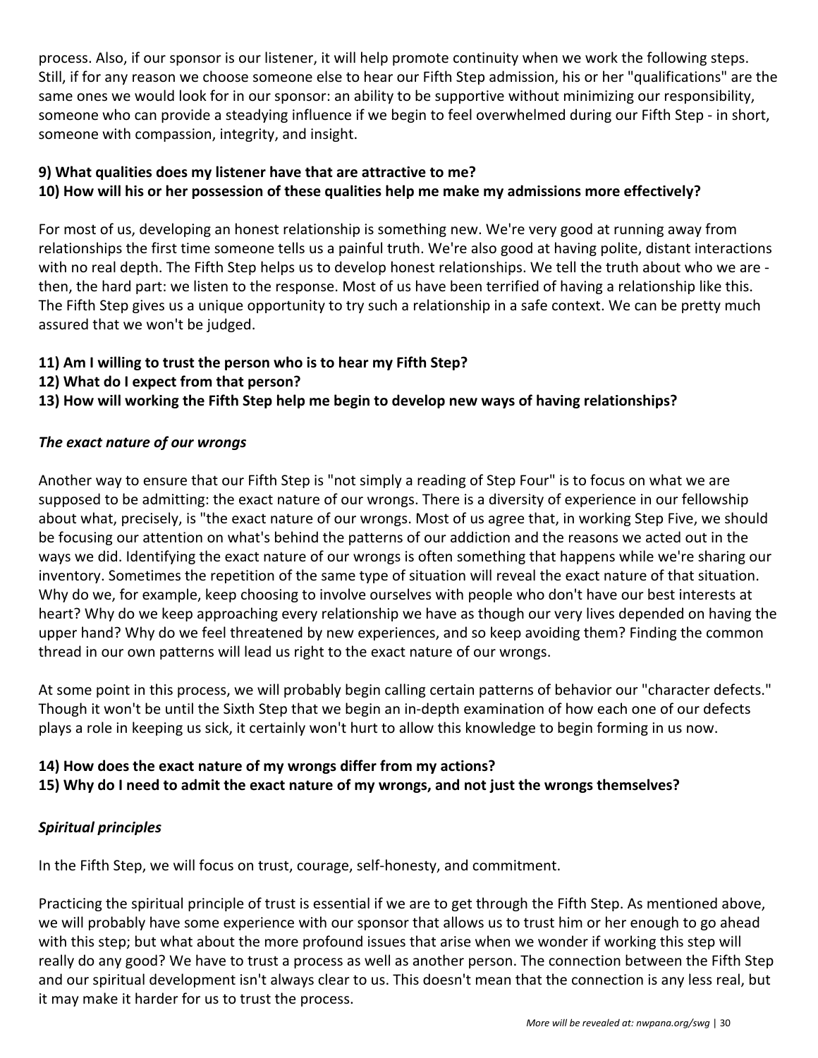process. Also, if our sponsor is our listener, it will help promote continuity when we work the following steps. Still, if for any reason we choose someone else to hear our Fifth Step admission, his or her "qualifications" are the same ones we would look for in our sponsor: an ability to be supportive without minimizing our responsibility, someone who can provide a steadying influence if we begin to feel overwhelmed during our Fifth Step - in short, someone with compassion, integrity, and insight.

#### **9) What qualities does my listener have that are attractive to me? 10) How will his or her possession of these qualities help me make my admissions more effectively?**

For most of us, developing an honest relationship is something new. We're very good at running away from relationships the first time someone tells us a painful truth. We're also good at having polite, distant interactions with no real depth. The Fifth Step helps us to develop honest relationships. We tell the truth about who we are then, the hard part: we listen to the response. Most of us have been terrified of having a relationship like this. The Fifth Step gives us a unique opportunity to try such a relationship in a safe context. We can be pretty much assured that we won't be judged.

#### **11) Am I willing to trust the person who is to hear my Fifth Step?**

- **12) What do I expect from that person?**
- **13) How will working the Fifth Step help me begin to develop new ways of having relationships?**

#### *The exact nature of our wrongs*

Another way to ensure that our Fifth Step is "not simply a reading of Step Four" is to focus on what we are supposed to be admitting: the exact nature of our wrongs. There is a diversity of experience in our fellowship about what, precisely, is "the exact nature of our wrongs. Most of us agree that, in working Step Five, we should be focusing our attention on what's behind the patterns of our addiction and the reasons we acted out in the ways we did. Identifying the exact nature of our wrongs is often something that happens while we're sharing our inventory. Sometimes the repetition of the same type of situation will reveal the exact nature of that situation. Why do we, for example, keep choosing to involve ourselves with people who don't have our best interests at heart? Why do we keep approaching every relationship we have as though our very lives depended on having the upper hand? Why do we feel threatened by new experiences, and so keep avoiding them? Finding the common thread in our own patterns will lead us right to the exact nature of our wrongs.

At some point in this process, we will probably begin calling certain patterns of behavior our "character defects." Though it won't be until the Sixth Step that we begin an in-depth examination of how each one of our defects plays a role in keeping us sick, it certainly won't hurt to allow this knowledge to begin forming in us now.

#### **14) How does the exact nature of my wrongs differ from my actions?**

#### **15) Why do I need to admit the exact nature of my wrongs, and not just the wrongs themselves?**

#### *Spiritual principles*

In the Fifth Step, we will focus on trust, courage, self-honesty, and commitment.

Practicing the spiritual principle of trust is essential if we are to get through the Fifth Step. As mentioned above, we will probably have some experience with our sponsor that allows us to trust him or her enough to go ahead with this step; but what about the more profound issues that arise when we wonder if working this step will really do any good? We have to trust a process as well as another person. The connection between the Fifth Step and our spiritual development isn't always clear to us. This doesn't mean that the connection is any less real, but it may make it harder for us to trust the process.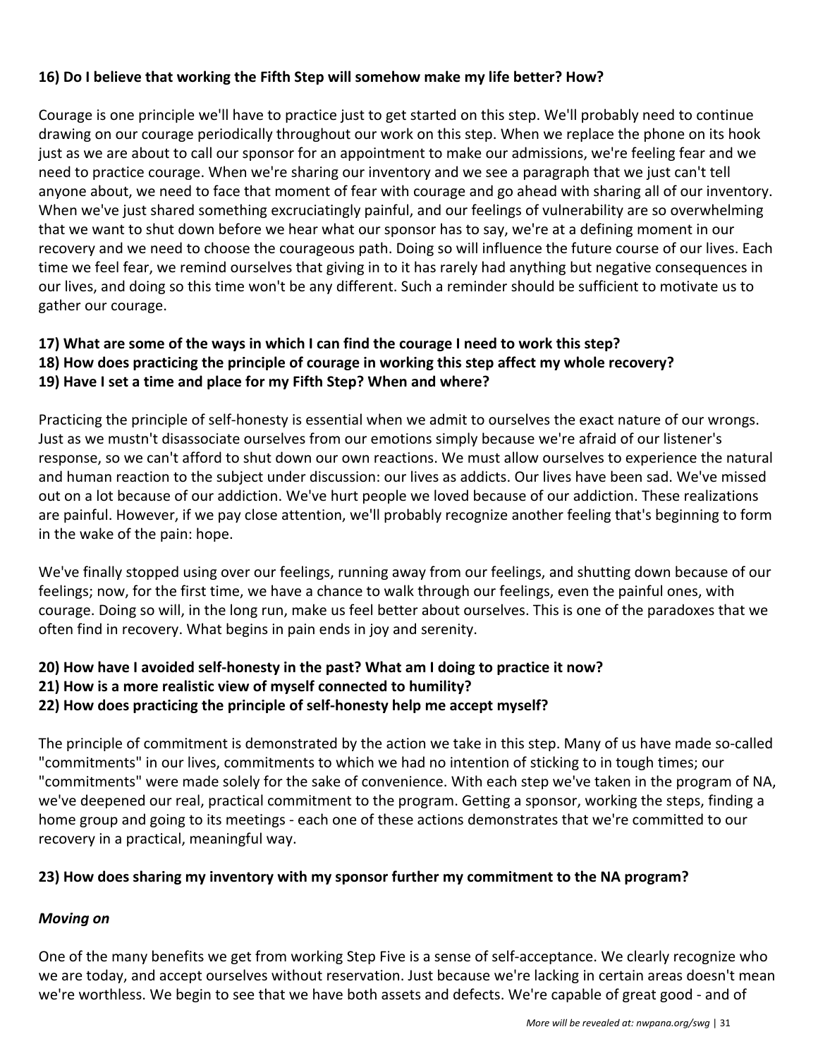#### **16) Do I believe that working the Fifth Step will somehow make my life better? How?**

Courage is one principle we'll have to practice just to get started on this step. We'll probably need to continue drawing on our courage periodically throughout our work on this step. When we replace the phone on its hook just as we are about to call our sponsor for an appointment to make our admissions, we're feeling fear and we need to practice courage. When we're sharing our inventory and we see a paragraph that we just can't tell anyone about, we need to face that moment of fear with courage and go ahead with sharing all of our inventory. When we've just shared something excruciatingly painful, and our feelings of vulnerability are so overwhelming that we want to shut down before we hear what our sponsor has to say, we're at a defining moment in our recovery and we need to choose the courageous path. Doing so will influence the future course of our lives. Each time we feel fear, we remind ourselves that giving in to it has rarely had anything but negative consequences in our lives, and doing so this time won't be any different. Such a reminder should be sufficient to motivate us to gather our courage.

#### **17) What are some of the ways in which I can find the courage I need to work this step? 18) How does practicing the principle of courage in working this step affect my whole recovery? 19) Have I set a time and place for my Fifth Step? When and where?**

Practicing the principle of self-honesty is essential when we admit to ourselves the exact nature of our wrongs. Just as we mustn't disassociate ourselves from our emotions simply because we're afraid of our listener's response, so we can't afford to shut down our own reactions. We must allow ourselves to experience the natural and human reaction to the subject under discussion: our lives as addicts. Our lives have been sad. We've missed out on a lot because of our addiction. We've hurt people we loved because of our addiction. These realizations are painful. However, if we pay close attention, we'll probably recognize another feeling that's beginning to form in the wake of the pain: hope.

We've finally stopped using over our feelings, running away from our feelings, and shutting down because of our feelings; now, for the first time, we have a chance to walk through our feelings, even the painful ones, with courage. Doing so will, in the long run, make us feel better about ourselves. This is one of the paradoxes that we often find in recovery. What begins in pain ends in joy and serenity.

### **20) How have I avoided self-honesty in the past? What am I doing to practice it now?**

**21) How is a more realistic view of myself connected to humility?**

**22) How does practicing the principle of self-honesty help me accept myself?**

The principle of commitment is demonstrated by the action we take in this step. Many of us have made so-called "commitments" in our lives, commitments to which we had no intention of sticking to in tough times; our "commitments" were made solely for the sake of convenience. With each step we've taken in the program of NA, we've deepened our real, practical commitment to the program. Getting a sponsor, working the steps, finding a home group and going to its meetings - each one of these actions demonstrates that we're committed to our recovery in a practical, meaningful way.

#### **23) How does sharing my inventory with my sponsor further my commitment to the NA program?**

#### *Moving on*

One of the many benefits we get from working Step Five is a sense of self-acceptance. We clearly recognize who we are today, and accept ourselves without reservation. Just because we're lacking in certain areas doesn't mean we're worthless. We begin to see that we have both assets and defects. We're capable of great good - and of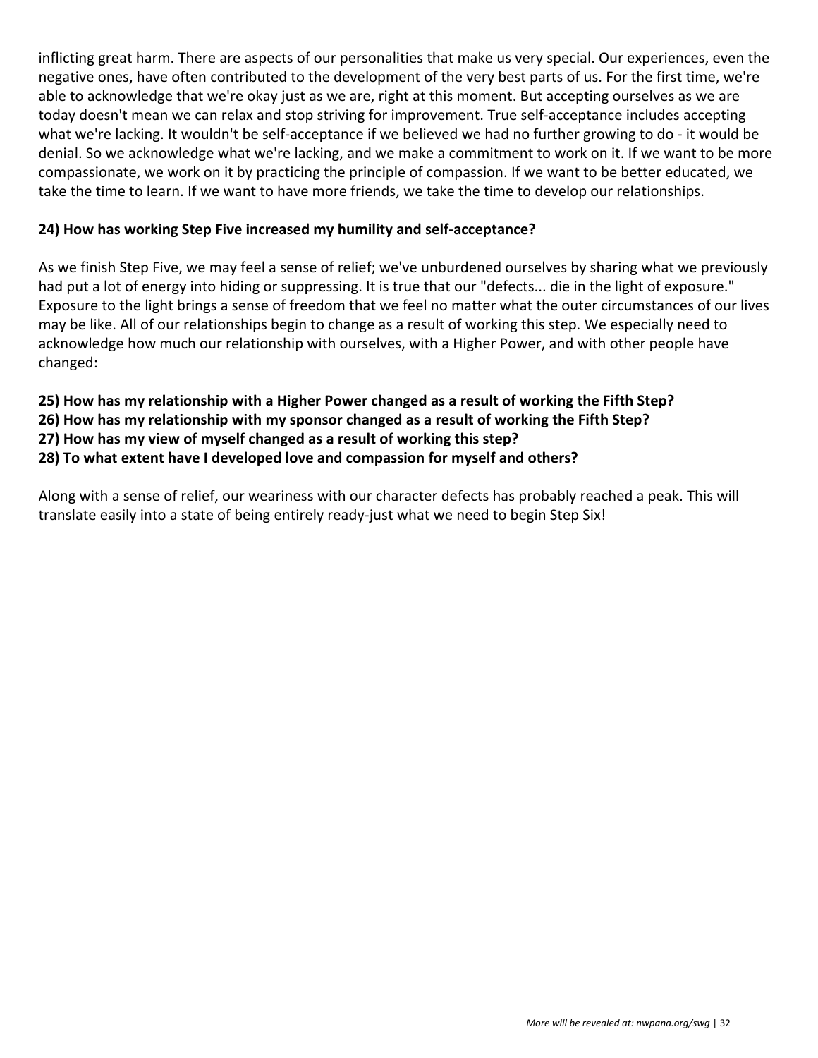inflicting great harm. There are aspects of our personalities that make us very special. Our experiences, even the negative ones, have often contributed to the development of the very best parts of us. For the first time, we're able to acknowledge that we're okay just as we are, right at this moment. But accepting ourselves as we are today doesn't mean we can relax and stop striving for improvement. True self-acceptance includes accepting what we're lacking. It wouldn't be self-acceptance if we believed we had no further growing to do - it would be denial. So we acknowledge what we're lacking, and we make a commitment to work on it. If we want to be more compassionate, we work on it by practicing the principle of compassion. If we want to be better educated, we take the time to learn. If we want to have more friends, we take the time to develop our relationships.

#### **24) How has working Step Five increased my humility and self-acceptance?**

As we finish Step Five, we may feel a sense of relief; we've unburdened ourselves by sharing what we previously had put a lot of energy into hiding or suppressing. It is true that our "defects... die in the light of exposure." Exposure to the light brings a sense of freedom that we feel no matter what the outer circumstances of our lives may be like. All of our relationships begin to change as a result of working this step. We especially need to acknowledge how much our relationship with ourselves, with a Higher Power, and with other people have changed:

- **25) How has my relationship with a Higher Power changed as a result of working the Fifth Step?**
- **26) How has my relationship with my sponsor changed as a result of working the Fifth Step?**
- **27) How has my view of myself changed as a result of working this step?**
- **28) To what extent have I developed love and compassion for myself and others?**

Along with a sense of relief, our weariness with our character defects has probably reached a peak. This will translate easily into a state of being entirely ready-just what we need to begin Step Six!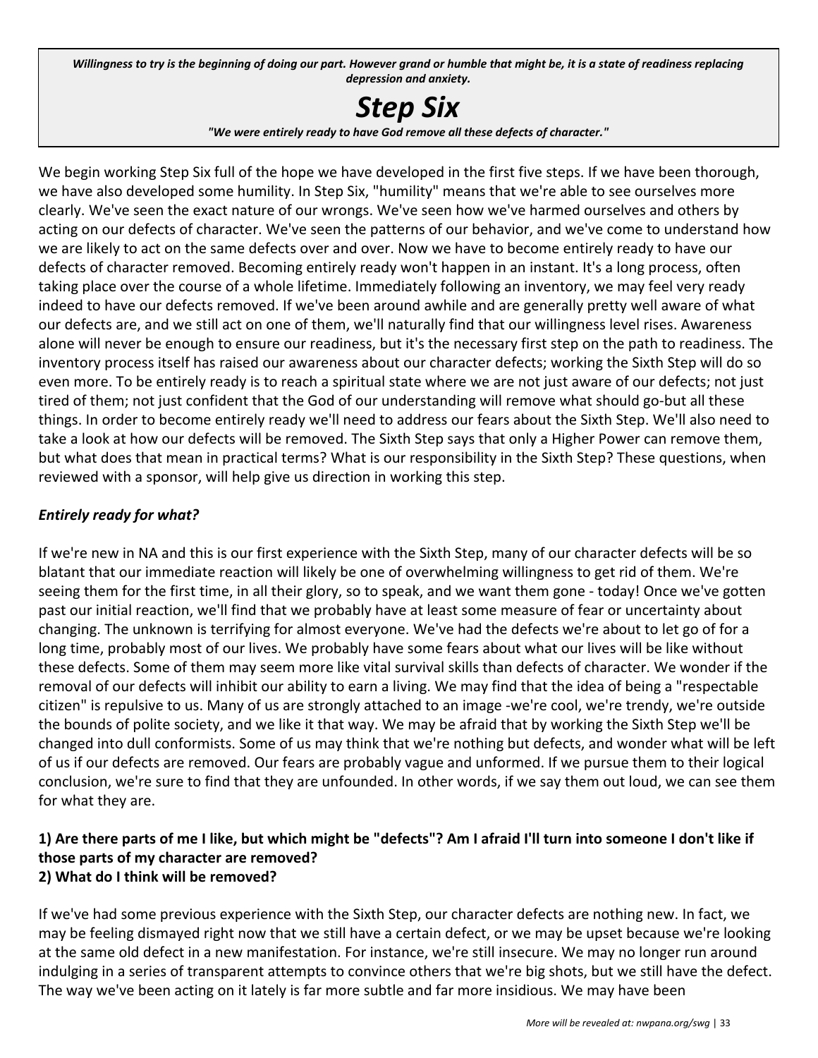Willingness to try is the beginning of doing our part. However grand or humble that might be, it is a state of readiness replacing *depression and anxiety.*

# *Step Six*

*"We were entirely ready to have God remove all these defects of character."*

We begin working Step Six full of the hope we have developed in the first five steps. If we have been thorough, we have also developed some humility. In Step Six, "humility" means that we're able to see ourselves more clearly. We've seen the exact nature of our wrongs. We've seen how we've harmed ourselves and others by acting on our defects of character. We've seen the patterns of our behavior, and we've come to understand how we are likely to act on the same defects over and over. Now we have to become entirely ready to have our defects of character removed. Becoming entirely ready won't happen in an instant. It's a long process, often taking place over the course of a whole lifetime. Immediately following an inventory, we may feel very ready indeed to have our defects removed. If we've been around awhile and are generally pretty well aware of what our defects are, and we still act on one of them, we'll naturally find that our willingness level rises. Awareness alone will never be enough to ensure our readiness, but it's the necessary first step on the path to readiness. The inventory process itself has raised our awareness about our character defects; working the Sixth Step will do so even more. To be entirely ready is to reach a spiritual state where we are not just aware of our defects; not just tired of them; not just confident that the God of our understanding will remove what should go-but all these things. In order to become entirely ready we'll need to address our fears about the Sixth Step. We'll also need to take a look at how our defects will be removed. The Sixth Step says that only a Higher Power can remove them, but what does that mean in practical terms? What is our responsibility in the Sixth Step? These questions, when reviewed with a sponsor, will help give us direction in working this step.

#### *Entirely ready for what?*

If we're new in NA and this is our first experience with the Sixth Step, many of our character defects will be so blatant that our immediate reaction will likely be one of overwhelming willingness to get rid of them. We're seeing them for the first time, in all their glory, so to speak, and we want them gone - today! Once we've gotten past our initial reaction, we'll find that we probably have at least some measure of fear or uncertainty about changing. The unknown is terrifying for almost everyone. We've had the defects we're about to let go of for a long time, probably most of our lives. We probably have some fears about what our lives will be like without these defects. Some of them may seem more like vital survival skills than defects of character. We wonder if the removal of our defects will inhibit our ability to earn a living. We may find that the idea of being a "respectable citizen" is repulsive to us. Many of us are strongly attached to an image -we're cool, we're trendy, we're outside the bounds of polite society, and we like it that way. We may be afraid that by working the Sixth Step we'll be changed into dull conformists. Some of us may think that we're nothing but defects, and wonder what will be left of us if our defects are removed. Our fears are probably vague and unformed. If we pursue them to their logical conclusion, we're sure to find that they are unfounded. In other words, if we say them out loud, we can see them for what they are.

#### **1) Are there parts of me I like, but which might be "defects"? Am I afraid I'll turn into someone I don't like if those parts of my character are removed? 2) What do I think will be removed?**

If we've had some previous experience with the Sixth Step, our character defects are nothing new. In fact, we may be feeling dismayed right now that we still have a certain defect, or we may be upset because we're looking at the same old defect in a new manifestation. For instance, we're still insecure. We may no longer run around indulging in a series of transparent attempts to convince others that we're big shots, but we still have the defect. The way we've been acting on it lately is far more subtle and far more insidious. We may have been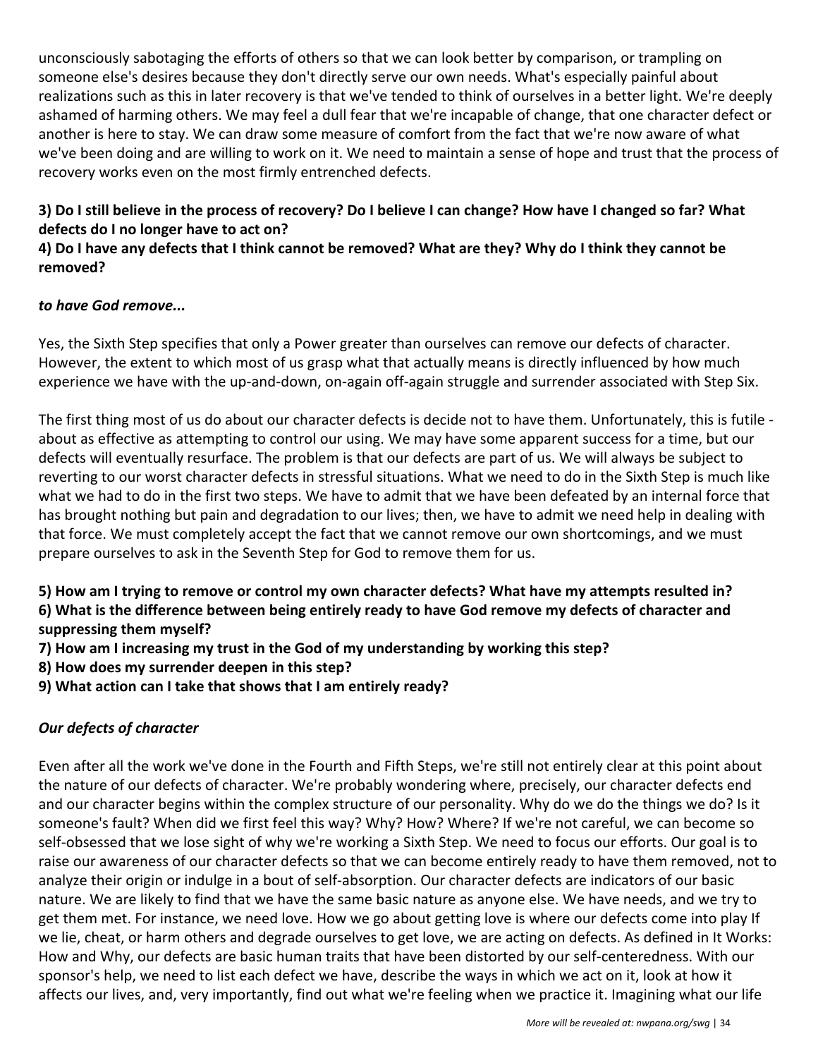unconsciously sabotaging the efforts of others so that we can look better by comparison, or trampling on someone else's desires because they don't directly serve our own needs. What's especially painful about realizations such as this in later recovery is that we've tended to think of ourselves in a better light. We're deeply ashamed of harming others. We may feel a dull fear that we're incapable of change, that one character defect or another is here to stay. We can draw some measure of comfort from the fact that we're now aware of what we've been doing and are willing to work on it. We need to maintain a sense of hope and trust that the process of recovery works even on the most firmly entrenched defects.

#### **3) Do I still believe in the process of recovery? Do I believe I can change? How have I changed so far? What defects do I no longer have to act on?**

#### **4) Do I have any defects that I think cannot be removed? What are they? Why do I think they cannot be removed?**

#### *to have God remove...*

Yes, the Sixth Step specifies that only a Power greater than ourselves can remove our defects of character. However, the extent to which most of us grasp what that actually means is directly influenced by how much experience we have with the up-and-down, on-again off-again struggle and surrender associated with Step Six.

The first thing most of us do about our character defects is decide not to have them. Unfortunately, this is futile about as effective as attempting to control our using. We may have some apparent success for a time, but our defects will eventually resurface. The problem is that our defects are part of us. We will always be subject to reverting to our worst character defects in stressful situations. What we need to do in the Sixth Step is much like what we had to do in the first two steps. We have to admit that we have been defeated by an internal force that has brought nothing but pain and degradation to our lives; then, we have to admit we need help in dealing with that force. We must completely accept the fact that we cannot remove our own shortcomings, and we must prepare ourselves to ask in the Seventh Step for God to remove them for us.

**5) How am I trying to remove or control my own character defects? What have my attempts resulted in? 6) What is the difference between being entirely ready to have God remove my defects of character and suppressing them myself?**

- **7) How am I increasing my trust in the God of my understanding by working this step?**
- **8) How does my surrender deepen in this step?**
- **9) What action can I take that shows that I am entirely ready?**

#### *Our defects of character*

Even after all the work we've done in the Fourth and Fifth Steps, we're still not entirely clear at this point about the nature of our defects of character. We're probably wondering where, precisely, our character defects end and our character begins within the complex structure of our personality. Why do we do the things we do? Is it someone's fault? When did we first feel this way? Why? How? Where? If we're not careful, we can become so self-obsessed that we lose sight of why we're working a Sixth Step. We need to focus our efforts. Our goal is to raise our awareness of our character defects so that we can become entirely ready to have them removed, not to analyze their origin or indulge in a bout of self-absorption. Our character defects are indicators of our basic nature. We are likely to find that we have the same basic nature as anyone else. We have needs, and we try to get them met. For instance, we need love. How we go about getting love is where our defects come into play If we lie, cheat, or harm others and degrade ourselves to get love, we are acting on defects. As defined in It Works: How and Why, our defects are basic human traits that have been distorted by our self-centeredness. With our sponsor's help, we need to list each defect we have, describe the ways in which we act on it, look at how it affects our lives, and, very importantly, find out what we're feeling when we practice it. Imagining what our life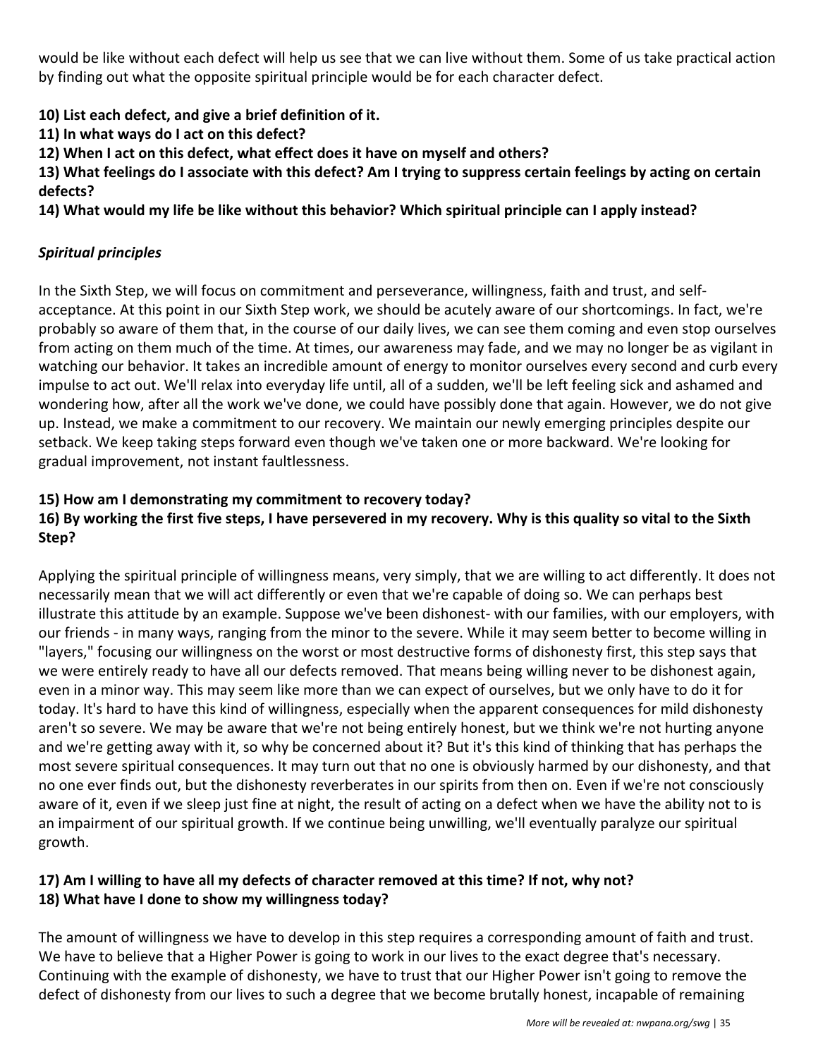would be like without each defect will help us see that we can live without them. Some of us take practical action by finding out what the opposite spiritual principle would be for each character defect.

**10) List each defect, and give a brief definition of it.**

**11) In what ways do I act on this defect?**

**12) When I act on this defect, what effect does it have on myself and others?**

**13) What feelings do I associate with this defect? Am I trying to suppress certain feelings by acting on certain defects?**

**14) What would my life be like without this behavior? Which spiritual principle can I apply instead?**

#### *Spiritual principles*

In the Sixth Step, we will focus on commitment and perseverance, willingness, faith and trust, and selfacceptance. At this point in our Sixth Step work, we should be acutely aware of our shortcomings. In fact, we're probably so aware of them that, in the course of our daily lives, we can see them coming and even stop ourselves from acting on them much of the time. At times, our awareness may fade, and we may no longer be as vigilant in watching our behavior. It takes an incredible amount of energy to monitor ourselves every second and curb every impulse to act out. We'll relax into everyday life until, all of a sudden, we'll be left feeling sick and ashamed and wondering how, after all the work we've done, we could have possibly done that again. However, we do not give up. Instead, we make a commitment to our recovery. We maintain our newly emerging principles despite our setback. We keep taking steps forward even though we've taken one or more backward. We're looking for gradual improvement, not instant faultlessness.

#### **15) How am I demonstrating my commitment to recovery today?**

#### **16) By working the first five steps, I have persevered in my recovery. Why is this quality so vital to the Sixth Step?**

Applying the spiritual principle of willingness means, very simply, that we are willing to act differently. It does not necessarily mean that we will act differently or even that we're capable of doing so. We can perhaps best illustrate this attitude by an example. Suppose we've been dishonest- with our families, with our employers, with our friends - in many ways, ranging from the minor to the severe. While it may seem better to become willing in "layers," focusing our willingness on the worst or most destructive forms of dishonesty first, this step says that we were entirely ready to have all our defects removed. That means being willing never to be dishonest again, even in a minor way. This may seem like more than we can expect of ourselves, but we only have to do it for today. It's hard to have this kind of willingness, especially when the apparent consequences for mild dishonesty aren't so severe. We may be aware that we're not being entirely honest, but we think we're not hurting anyone and we're getting away with it, so why be concerned about it? But it's this kind of thinking that has perhaps the most severe spiritual consequences. It may turn out that no one is obviously harmed by our dishonesty, and that no one ever finds out, but the dishonesty reverberates in our spirits from then on. Even if we're not consciously aware of it, even if we sleep just fine at night, the result of acting on a defect when we have the ability not to is an impairment of our spiritual growth. If we continue being unwilling, we'll eventually paralyze our spiritual growth.

#### **17) Am I willing to have all my defects of character removed at this time? If not, why not? 18) What have I done to show my willingness today?**

The amount of willingness we have to develop in this step requires a corresponding amount of faith and trust. We have to believe that a Higher Power is going to work in our lives to the exact degree that's necessary. Continuing with the example of dishonesty, we have to trust that our Higher Power isn't going to remove the defect of dishonesty from our lives to such a degree that we become brutally honest, incapable of remaining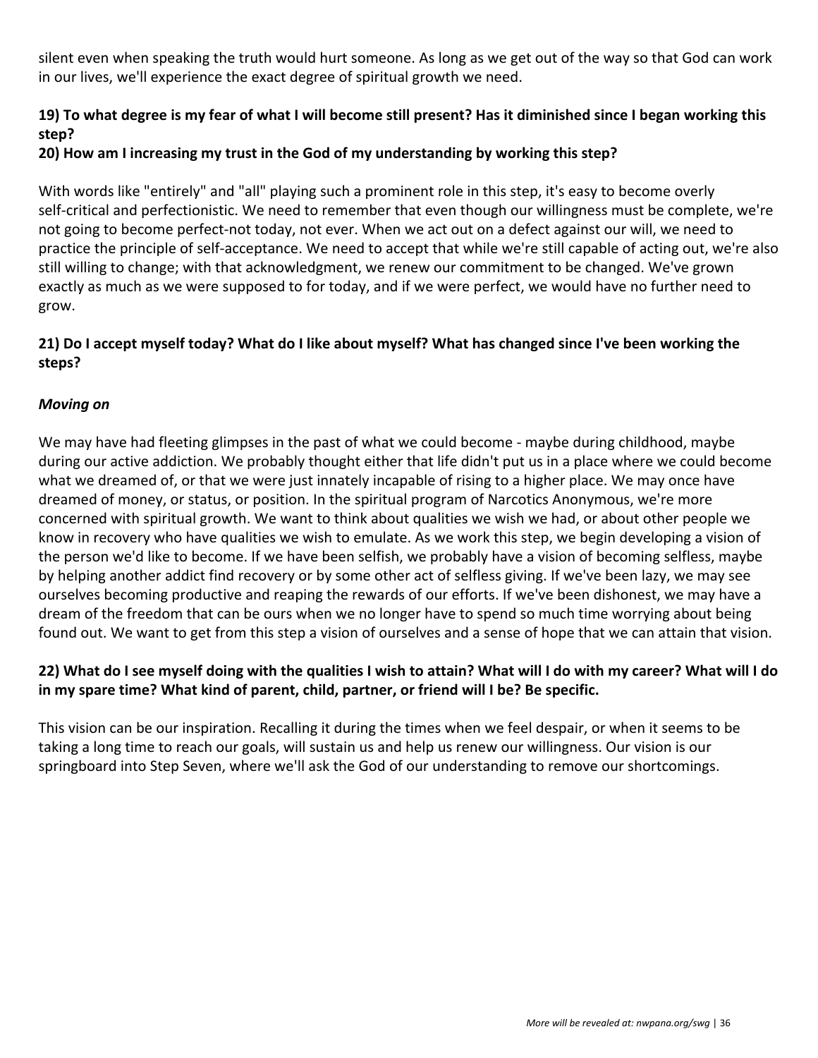silent even when speaking the truth would hurt someone. As long as we get out of the way so that God can work in our lives, we'll experience the exact degree of spiritual growth we need.

#### **19) To what degree is my fear of what I will become still present? Has it diminished since I began working this step?**

#### **20) How am I increasing my trust in the God of my understanding by working this step?**

With words like "entirely" and "all" playing such a prominent role in this step, it's easy to become overly self-critical and perfectionistic. We need to remember that even though our willingness must be complete, we're not going to become perfect-not today, not ever. When we act out on a defect against our will, we need to practice the principle of self-acceptance. We need to accept that while we're still capable of acting out, we're also still willing to change; with that acknowledgment, we renew our commitment to be changed. We've grown exactly as much as we were supposed to for today, and if we were perfect, we would have no further need to grow.

#### **21) Do I accept myself today? What do I like about myself? What has changed since I've been working the steps?**

#### *Moving on*

We may have had fleeting glimpses in the past of what we could become - maybe during childhood, maybe during our active addiction. We probably thought either that life didn't put us in a place where we could become what we dreamed of, or that we were just innately incapable of rising to a higher place. We may once have dreamed of money, or status, or position. In the spiritual program of Narcotics Anonymous, we're more concerned with spiritual growth. We want to think about qualities we wish we had, or about other people we know in recovery who have qualities we wish to emulate. As we work this step, we begin developing a vision of the person we'd like to become. If we have been selfish, we probably have a vision of becoming selfless, maybe by helping another addict find recovery or by some other act of selfless giving. If we've been lazy, we may see ourselves becoming productive and reaping the rewards of our efforts. If we've been dishonest, we may have a dream of the freedom that can be ours when we no longer have to spend so much time worrying about being found out. We want to get from this step a vision of ourselves and a sense of hope that we can attain that vision.

#### **22) What do I see myself doing with the qualities I wish to attain? What will I do with my career? What will I do in my spare time? What kind of parent, child, partner, or friend will I be? Be specific.**

This vision can be our inspiration. Recalling it during the times when we feel despair, or when it seems to be taking a long time to reach our goals, will sustain us and help us renew our willingness. Our vision is our springboard into Step Seven, where we'll ask the God of our understanding to remove our shortcomings.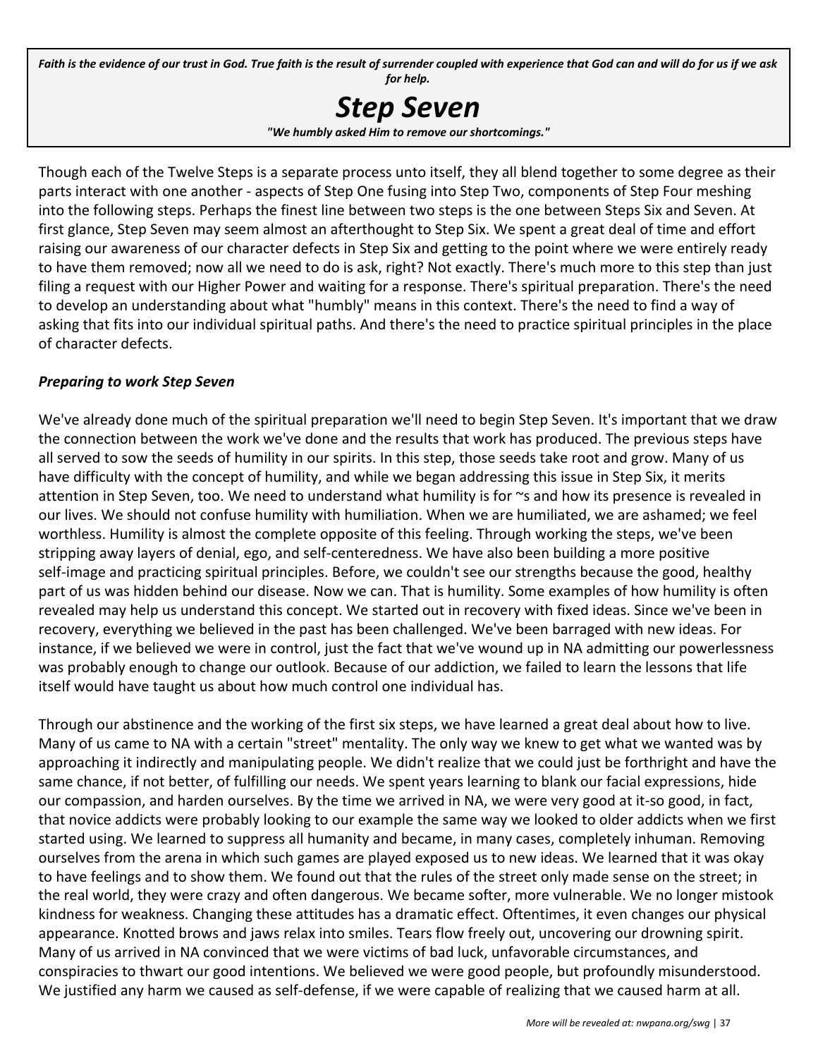Faith is the evidence of our trust in God. True faith is the result of surrender coupled with experience that God can and will do for us if we ask *for help.*



Though each of the Twelve Steps is a separate process unto itself, they all blend together to some degree as their parts interact with one another - aspects of Step One fusing into Step Two, components of Step Four meshing into the following steps. Perhaps the finest line between two steps is the one between Steps Six and Seven. At first glance, Step Seven may seem almost an afterthought to Step Six. We spent a great deal of time and effort raising our awareness of our character defects in Step Six and getting to the point where we were entirely ready to have them removed; now all we need to do is ask, right? Not exactly. There's much more to this step than just filing a request with our Higher Power and waiting for a response. There's spiritual preparation. There's the need to develop an understanding about what "humbly" means in this context. There's the need to find a way of asking that fits into our individual spiritual paths. And there's the need to practice spiritual principles in the place of character defects.

#### *Preparing to work Step Seven*

We've already done much of the spiritual preparation we'll need to begin Step Seven. It's important that we draw the connection between the work we've done and the results that work has produced. The previous steps have all served to sow the seeds of humility in our spirits. In this step, those seeds take root and grow. Many of us have difficulty with the concept of humility, and while we began addressing this issue in Step Six, it merits attention in Step Seven, too. We need to understand what humility is for ~s and how its presence is revealed in our lives. We should not confuse humility with humiliation. When we are humiliated, we are ashamed; we feel worthless. Humility is almost the complete opposite of this feeling. Through working the steps, we've been stripping away layers of denial, ego, and self-centeredness. We have also been building a more positive self-image and practicing spiritual principles. Before, we couldn't see our strengths because the good, healthy part of us was hidden behind our disease. Now we can. That is humility. Some examples of how humility is often revealed may help us understand this concept. We started out in recovery with fixed ideas. Since we've been in recovery, everything we believed in the past has been challenged. We've been barraged with new ideas. For instance, if we believed we were in control, just the fact that we've wound up in NA admitting our powerlessness was probably enough to change our outlook. Because of our addiction, we failed to learn the lessons that life itself would have taught us about how much control one individual has.

Through our abstinence and the working of the first six steps, we have learned a great deal about how to live. Many of us came to NA with a certain "street" mentality. The only way we knew to get what we wanted was by approaching it indirectly and manipulating people. We didn't realize that we could just be forthright and have the same chance, if not better, of fulfilling our needs. We spent years learning to blank our facial expressions, hide our compassion, and harden ourselves. By the time we arrived in NA, we were very good at it-so good, in fact, that novice addicts were probably looking to our example the same way we looked to older addicts when we first started using. We learned to suppress all humanity and became, in many cases, completely inhuman. Removing ourselves from the arena in which such games are played exposed us to new ideas. We learned that it was okay to have feelings and to show them. We found out that the rules of the street only made sense on the street; in the real world, they were crazy and often dangerous. We became softer, more vulnerable. We no longer mistook kindness for weakness. Changing these attitudes has a dramatic effect. Oftentimes, it even changes our physical appearance. Knotted brows and jaws relax into smiles. Tears flow freely out, uncovering our drowning spirit. Many of us arrived in NA convinced that we were victims of bad luck, unfavorable circumstances, and conspiracies to thwart our good intentions. We believed we were good people, but profoundly misunderstood. We justified any harm we caused as self-defense, if we were capable of realizing that we caused harm at all.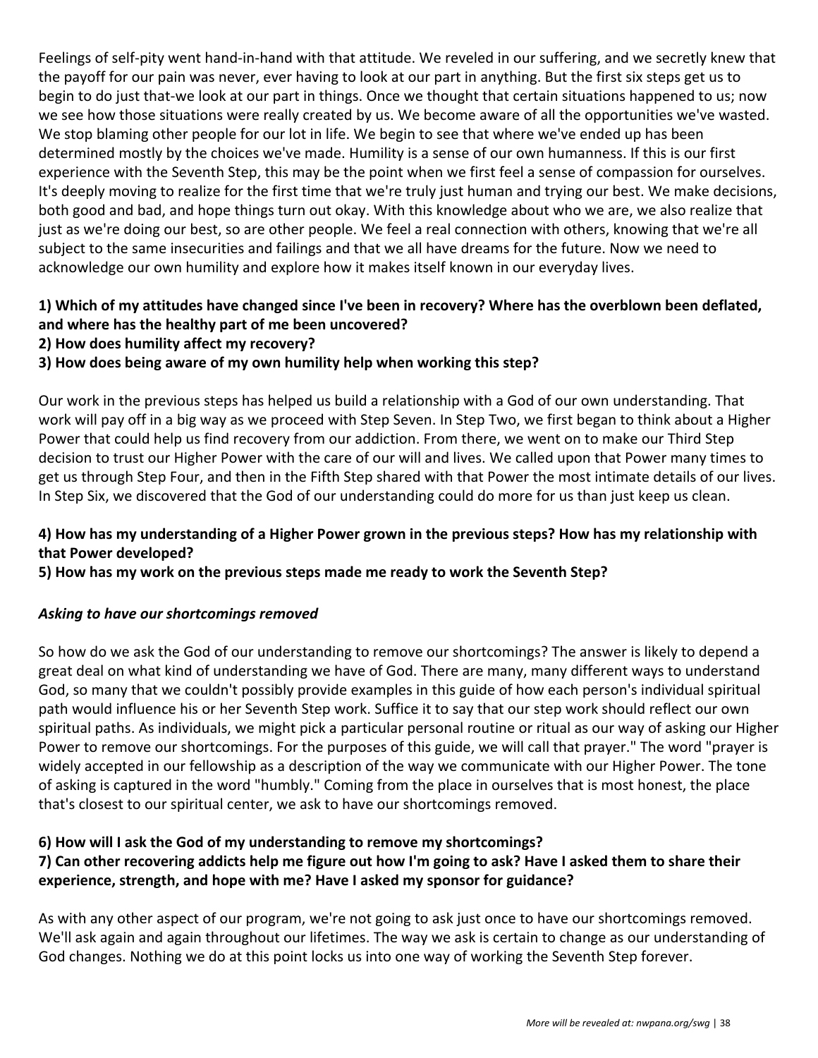Feelings of self-pity went hand-in-hand with that attitude. We reveled in our suffering, and we secretly knew that the payoff for our pain was never, ever having to look at our part in anything. But the first six steps get us to begin to do just that-we look at our part in things. Once we thought that certain situations happened to us; now we see how those situations were really created by us. We become aware of all the opportunities we've wasted. We stop blaming other people for our lot in life. We begin to see that where we've ended up has been determined mostly by the choices we've made. Humility is a sense of our own humanness. If this is our first experience with the Seventh Step, this may be the point when we first feel a sense of compassion for ourselves. It's deeply moving to realize for the first time that we're truly just human and trying our best. We make decisions, both good and bad, and hope things turn out okay. With this knowledge about who we are, we also realize that just as we're doing our best, so are other people. We feel a real connection with others, knowing that we're all subject to the same insecurities and failings and that we all have dreams for the future. Now we need to acknowledge our own humility and explore how it makes itself known in our everyday lives.

#### **1) Which of my attitudes have changed since I've been in recovery? Where has the overblown been deflated, and where has the healthy part of me been uncovered?**

**2) How does humility affect my recovery?**

#### **3) How does being aware of my own humility help when working this step?**

Our work in the previous steps has helped us build a relationship with a God of our own understanding. That work will pay off in a big way as we proceed with Step Seven. In Step Two, we first began to think about a Higher Power that could help us find recovery from our addiction. From there, we went on to make our Third Step decision to trust our Higher Power with the care of our will and lives. We called upon that Power many times to get us through Step Four, and then in the Fifth Step shared with that Power the most intimate details of our lives. In Step Six, we discovered that the God of our understanding could do more for us than just keep us clean.

#### **4) How has my understanding of a Higher Power grown in the previous steps? How has my relationship with that Power developed?**

**5) How has my work on the previous steps made me ready to work the Seventh Step?**

#### *Asking to have our shortcomings removed*

So how do we ask the God of our understanding to remove our shortcomings? The answer is likely to depend a great deal on what kind of understanding we have of God. There are many, many different ways to understand God, so many that we couldn't possibly provide examples in this guide of how each person's individual spiritual path would influence his or her Seventh Step work. Suffice it to say that our step work should reflect our own spiritual paths. As individuals, we might pick a particular personal routine or ritual as our way of asking our Higher Power to remove our shortcomings. For the purposes of this guide, we will call that prayer." The word "prayer is widely accepted in our fellowship as a description of the way we communicate with our Higher Power. The tone of asking is captured in the word "humbly." Coming from the place in ourselves that is most honest, the place that's closest to our spiritual center, we ask to have our shortcomings removed.

#### **6) How will I ask the God of my understanding to remove my shortcomings?**

#### **7) Can other recovering addicts help me figure out how I'm going to ask? Have I asked them to share their experience, strength, and hope with me? Have I asked my sponsor for guidance?**

As with any other aspect of our program, we're not going to ask just once to have our shortcomings removed. We'll ask again and again throughout our lifetimes. The way we ask is certain to change as our understanding of God changes. Nothing we do at this point locks us into one way of working the Seventh Step forever.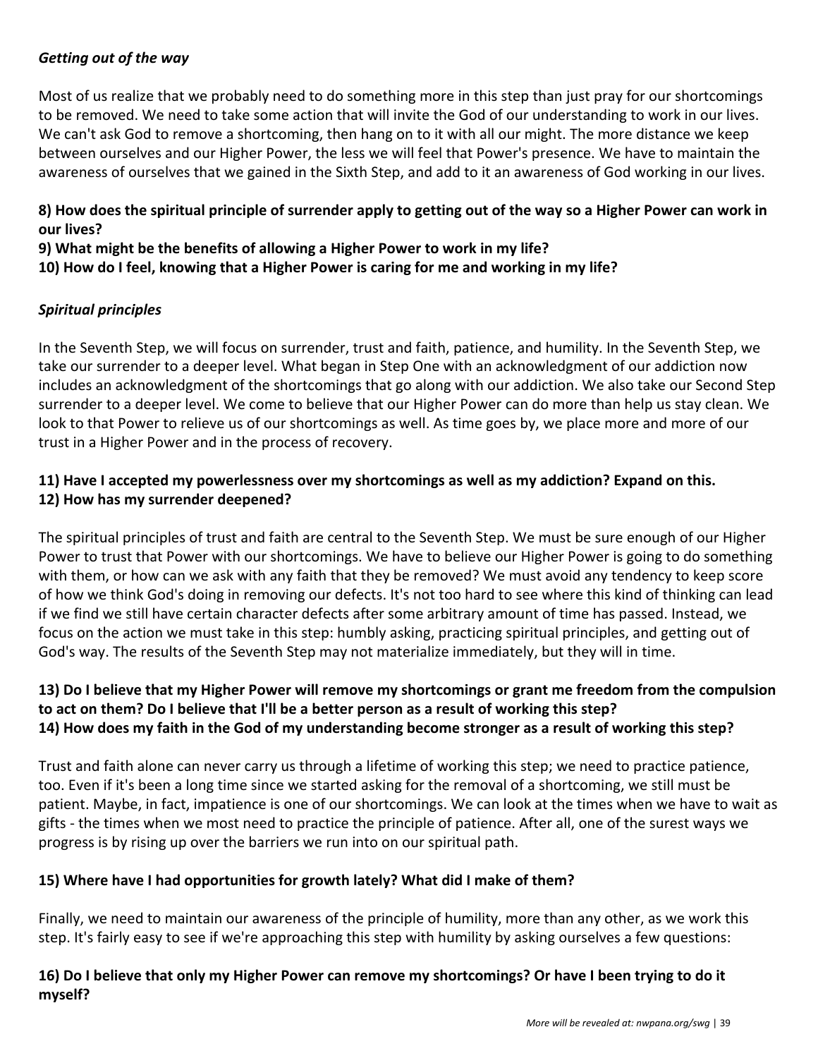#### *Getting out of the way*

Most of us realize that we probably need to do something more in this step than just pray for our shortcomings to be removed. We need to take some action that will invite the God of our understanding to work in our lives. We can't ask God to remove a shortcoming, then hang on to it with all our might. The more distance we keep between ourselves and our Higher Power, the less we will feel that Power's presence. We have to maintain the awareness of ourselves that we gained in the Sixth Step, and add to it an awareness of God working in our lives.

#### **8) How does the spiritual principle of surrender apply to getting out of the way so a Higher Power can work in our lives?**

**9) What might be the benefits of allowing a Higher Power to work in my life? 10) How do I feel, knowing that a Higher Power is caring for me and working in my life?**

#### *Spiritual principles*

In the Seventh Step, we will focus on surrender, trust and faith, patience, and humility. In the Seventh Step, we take our surrender to a deeper level. What began in Step One with an acknowledgment of our addiction now includes an acknowledgment of the shortcomings that go along with our addiction. We also take our Second Step surrender to a deeper level. We come to believe that our Higher Power can do more than help us stay clean. We look to that Power to relieve us of our shortcomings as well. As time goes by, we place more and more of our trust in a Higher Power and in the process of recovery.

#### **11) Have I accepted my powerlessness over my shortcomings as well as my addiction? Expand on this. 12) How has my surrender deepened?**

The spiritual principles of trust and faith are central to the Seventh Step. We must be sure enough of our Higher Power to trust that Power with our shortcomings. We have to believe our Higher Power is going to do something with them, or how can we ask with any faith that they be removed? We must avoid any tendency to keep score of how we think God's doing in removing our defects. It's not too hard to see where this kind of thinking can lead if we find we still have certain character defects after some arbitrary amount of time has passed. Instead, we focus on the action we must take in this step: humbly asking, practicing spiritual principles, and getting out of God's way. The results of the Seventh Step may not materialize immediately, but they will in time.

#### **13) Do I believe that my Higher Power will remove my shortcomings or grant me freedom from the compulsion to act on them? Do I believe that I'll be a better person as a result of working this step? 14) How does my faith in the God of my understanding become stronger as a result of working this step?**

Trust and faith alone can never carry us through a lifetime of working this step; we need to practice patience, too. Even if it's been a long time since we started asking for the removal of a shortcoming, we still must be patient. Maybe, in fact, impatience is one of our shortcomings. We can look at the times when we have to wait as gifts - the times when we most need to practice the principle of patience. After all, one of the surest ways we progress is by rising up over the barriers we run into on our spiritual path.

#### **15) Where have I had opportunities for growth lately? What did I make of them?**

Finally, we need to maintain our awareness of the principle of humility, more than any other, as we work this step. It's fairly easy to see if we're approaching this step with humility by asking ourselves a few questions:

#### **16) Do I believe that only my Higher Power can remove my shortcomings? Or have I been trying to do it myself?**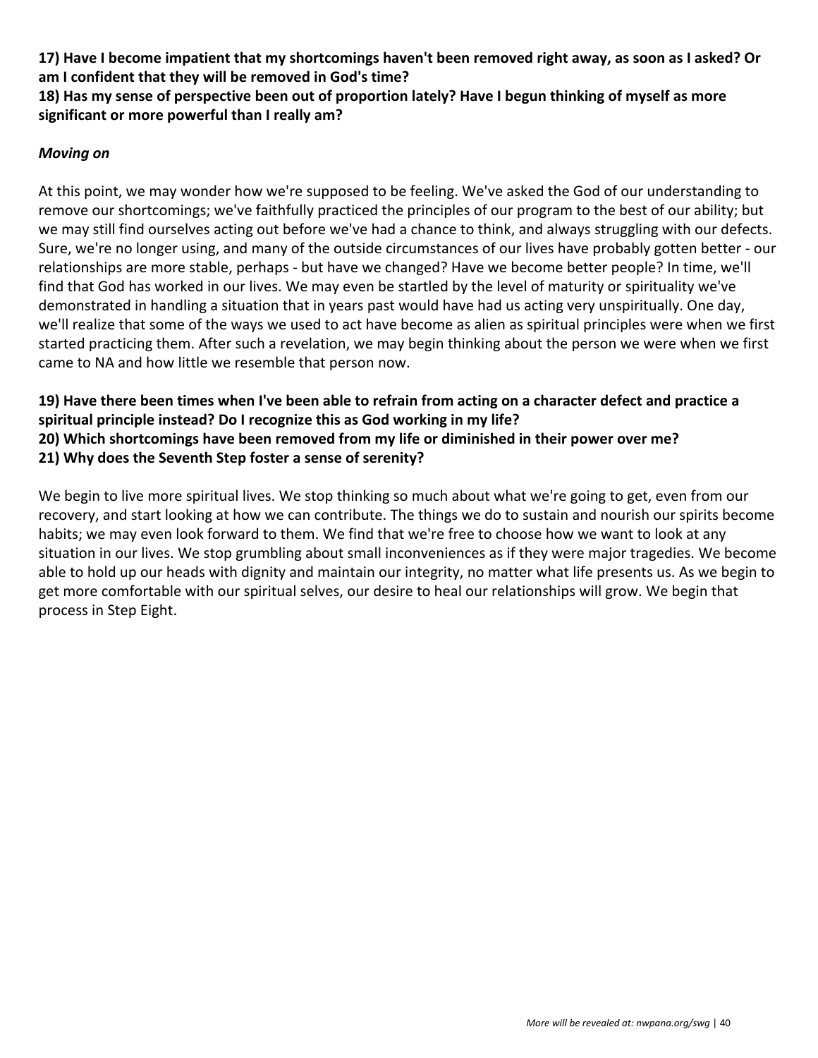**17) Have I become impatient that my shortcomings haven't been removed right away, as soon as I asked? Or am I confident that they will be removed in God's time?**

**18) Has my sense of perspective been out of proportion lately? Have I begun thinking of myself as more significant or more powerful than I really am?**

#### *Moving on*

At this point, we may wonder how we're supposed to be feeling. We've asked the God of our understanding to remove our shortcomings; we've faithfully practiced the principles of our program to the best of our ability; but we may still find ourselves acting out before we've had a chance to think, and always struggling with our defects. Sure, we're no longer using, and many of the outside circumstances of our lives have probably gotten better - our relationships are more stable, perhaps - but have we changed? Have we become better people? In time, we'll find that God has worked in our lives. We may even be startled by the level of maturity or spirituality we've demonstrated in handling a situation that in years past would have had us acting very unspiritually. One day, we'll realize that some of the ways we used to act have become as alien as spiritual principles were when we first started practicing them. After such a revelation, we may begin thinking about the person we were when we first came to NA and how little we resemble that person now.

#### **19) Have there been times when I've been able to refrain from acting on a character defect and practice a spiritual principle instead? Do I recognize this as God working in my life? 20) Which shortcomings have been removed from my life or diminished in their power over me? 21) Why does the Seventh Step foster a sense of serenity?**

We begin to live more spiritual lives. We stop thinking so much about what we're going to get, even from our recovery, and start looking at how we can contribute. The things we do to sustain and nourish our spirits become habits; we may even look forward to them. We find that we're free to choose how we want to look at any situation in our lives. We stop grumbling about small inconveniences as if they were major tragedies. We become able to hold up our heads with dignity and maintain our integrity, no matter what life presents us. As we begin to get more comfortable with our spiritual selves, our desire to heal our relationships will grow. We begin that process in Step Eight.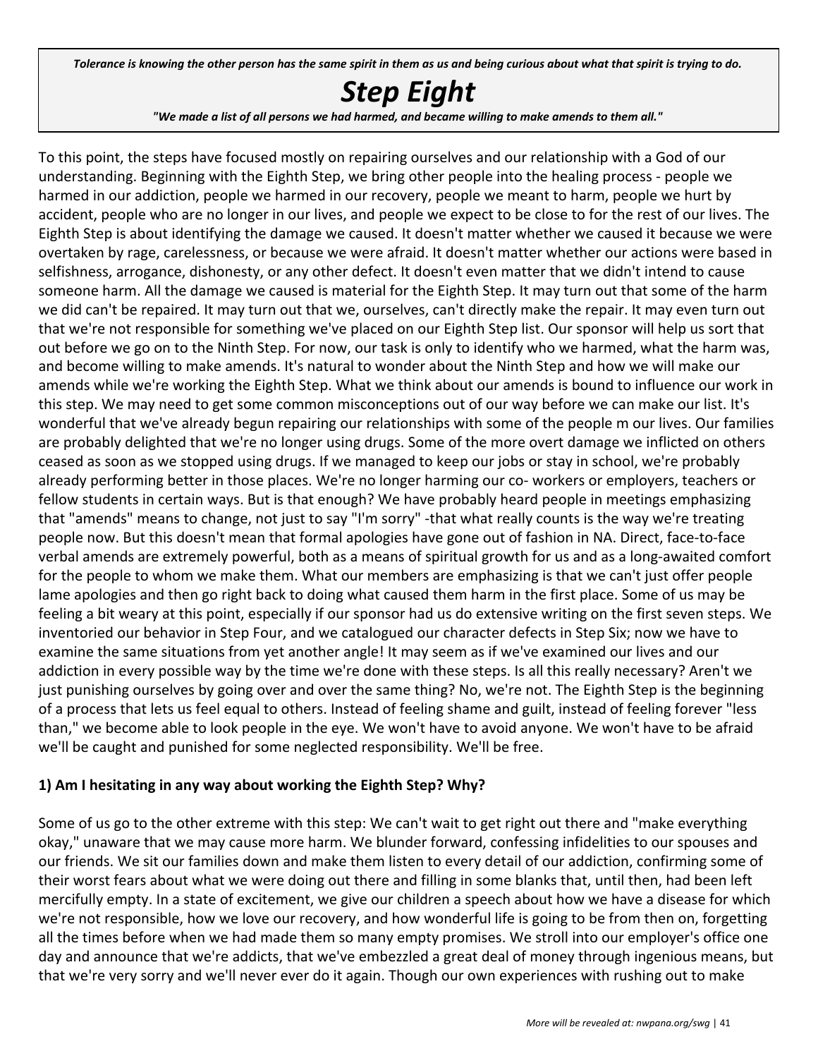Tolerance is knowing the other person has the same spirit in them as us and being curious about what that spirit is trying to do.

## *Step Eight*

"We made a list of all persons we had harmed, and became willing to make amends to them all."

To this point, the steps have focused mostly on repairing ourselves and our relationship with a God of our understanding. Beginning with the Eighth Step, we bring other people into the healing process - people we harmed in our addiction, people we harmed in our recovery, people we meant to harm, people we hurt by accident, people who are no longer in our lives, and people we expect to be close to for the rest of our lives. The Eighth Step is about identifying the damage we caused. It doesn't matter whether we caused it because we were overtaken by rage, carelessness, or because we were afraid. It doesn't matter whether our actions were based in selfishness, arrogance, dishonesty, or any other defect. It doesn't even matter that we didn't intend to cause someone harm. All the damage we caused is material for the Eighth Step. It may turn out that some of the harm we did can't be repaired. It may turn out that we, ourselves, can't directly make the repair. It may even turn out that we're not responsible for something we've placed on our Eighth Step list. Our sponsor will help us sort that out before we go on to the Ninth Step. For now, our task is only to identify who we harmed, what the harm was, and become willing to make amends. It's natural to wonder about the Ninth Step and how we will make our amends while we're working the Eighth Step. What we think about our amends is bound to influence our work in this step. We may need to get some common misconceptions out of our way before we can make our list. It's wonderful that we've already begun repairing our relationships with some of the people m our lives. Our families are probably delighted that we're no longer using drugs. Some of the more overt damage we inflicted on others ceased as soon as we stopped using drugs. If we managed to keep our jobs or stay in school, we're probably already performing better in those places. We're no longer harming our co- workers or employers, teachers or fellow students in certain ways. But is that enough? We have probably heard people in meetings emphasizing that "amends" means to change, not just to say "I'm sorry" -that what really counts is the way we're treating people now. But this doesn't mean that formal apologies have gone out of fashion in NA. Direct, face-to-face verbal amends are extremely powerful, both as a means of spiritual growth for us and as a long-awaited comfort for the people to whom we make them. What our members are emphasizing is that we can't just offer people lame apologies and then go right back to doing what caused them harm in the first place. Some of us may be feeling a bit weary at this point, especially if our sponsor had us do extensive writing on the first seven steps. We inventoried our behavior in Step Four, and we catalogued our character defects in Step Six; now we have to examine the same situations from yet another angle! It may seem as if we've examined our lives and our addiction in every possible way by the time we're done with these steps. Is all this really necessary? Aren't we just punishing ourselves by going over and over the same thing? No, we're not. The Eighth Step is the beginning of a process that lets us feel equal to others. Instead of feeling shame and guilt, instead of feeling forever "less than," we become able to look people in the eye. We won't have to avoid anyone. We won't have to be afraid we'll be caught and punished for some neglected responsibility. We'll be free.

#### **1) Am I hesitating in any way about working the Eighth Step? Why?**

Some of us go to the other extreme with this step: We can't wait to get right out there and "make everything okay," unaware that we may cause more harm. We blunder forward, confessing infidelities to our spouses and our friends. We sit our families down and make them listen to every detail of our addiction, confirming some of their worst fears about what we were doing out there and filling in some blanks that, until then, had been left mercifully empty. In a state of excitement, we give our children a speech about how we have a disease for which we're not responsible, how we love our recovery, and how wonderful life is going to be from then on, forgetting all the times before when we had made them so many empty promises. We stroll into our employer's office one day and announce that we're addicts, that we've embezzled a great deal of money through ingenious means, but that we're very sorry and we'll never ever do it again. Though our own experiences with rushing out to make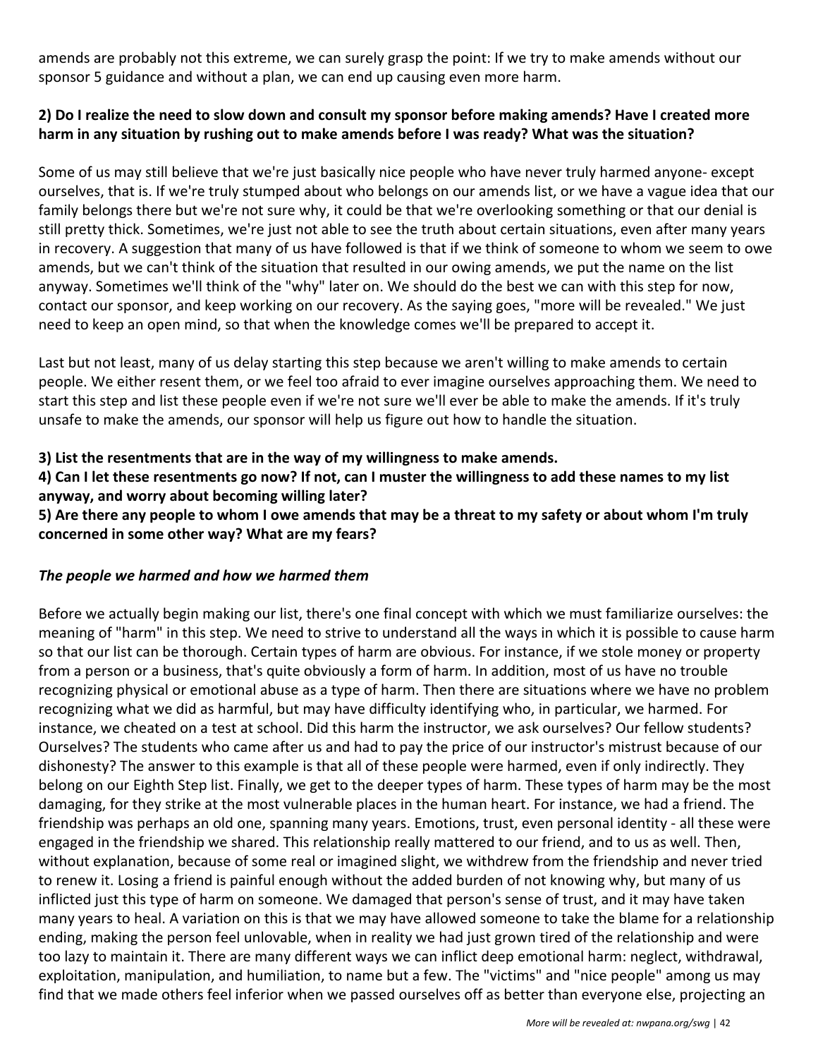amends are probably not this extreme, we can surely grasp the point: If we try to make amends without our sponsor 5 guidance and without a plan, we can end up causing even more harm.

#### **2) Do I realize the need to slow down and consult my sponsor before making amends? Have I created more harm in any situation by rushing out to make amends before I was ready? What was the situation?**

Some of us may still believe that we're just basically nice people who have never truly harmed anyone- except ourselves, that is. If we're truly stumped about who belongs on our amends list, or we have a vague idea that our family belongs there but we're not sure why, it could be that we're overlooking something or that our denial is still pretty thick. Sometimes, we're just not able to see the truth about certain situations, even after many years in recovery. A suggestion that many of us have followed is that if we think of someone to whom we seem to owe amends, but we can't think of the situation that resulted in our owing amends, we put the name on the list anyway. Sometimes we'll think of the "why" later on. We should do the best we can with this step for now, contact our sponsor, and keep working on our recovery. As the saying goes, "more will be revealed." We just need to keep an open mind, so that when the knowledge comes we'll be prepared to accept it.

Last but not least, many of us delay starting this step because we aren't willing to make amends to certain people. We either resent them, or we feel too afraid to ever imagine ourselves approaching them. We need to start this step and list these people even if we're not sure we'll ever be able to make the amends. If it's truly unsafe to make the amends, our sponsor will help us figure out how to handle the situation.

#### **3) List the resentments that are in the way of my willingness to make amends.**

**4) Can I let these resentments go now? If not, can I muster the willingness to add these names to my list anyway, and worry about becoming willing later?**

**5) Are there any people to whom I owe amends that may be a threat to my safety or about whom I'm truly concerned in some other way? What are my fears?**

#### *The people we harmed and how we harmed them*

Before we actually begin making our list, there's one final concept with which we must familiarize ourselves: the meaning of "harm" in this step. We need to strive to understand all the ways in which it is possible to cause harm so that our list can be thorough. Certain types of harm are obvious. For instance, if we stole money or property from a person or a business, that's quite obviously a form of harm. In addition, most of us have no trouble recognizing physical or emotional abuse as a type of harm. Then there are situations where we have no problem recognizing what we did as harmful, but may have difficulty identifying who, in particular, we harmed. For instance, we cheated on a test at school. Did this harm the instructor, we ask ourselves? Our fellow students? Ourselves? The students who came after us and had to pay the price of our instructor's mistrust because of our dishonesty? The answer to this example is that all of these people were harmed, even if only indirectly. They belong on our Eighth Step list. Finally, we get to the deeper types of harm. These types of harm may be the most damaging, for they strike at the most vulnerable places in the human heart. For instance, we had a friend. The friendship was perhaps an old one, spanning many years. Emotions, trust, even personal identity - all these were engaged in the friendship we shared. This relationship really mattered to our friend, and to us as well. Then, without explanation, because of some real or imagined slight, we withdrew from the friendship and never tried to renew it. Losing a friend is painful enough without the added burden of not knowing why, but many of us inflicted just this type of harm on someone. We damaged that person's sense of trust, and it may have taken many years to heal. A variation on this is that we may have allowed someone to take the blame for a relationship ending, making the person feel unlovable, when in reality we had just grown tired of the relationship and were too lazy to maintain it. There are many different ways we can inflict deep emotional harm: neglect, withdrawal, exploitation, manipulation, and humiliation, to name but a few. The "victims" and "nice people" among us may find that we made others feel inferior when we passed ourselves off as better than everyone else, projecting an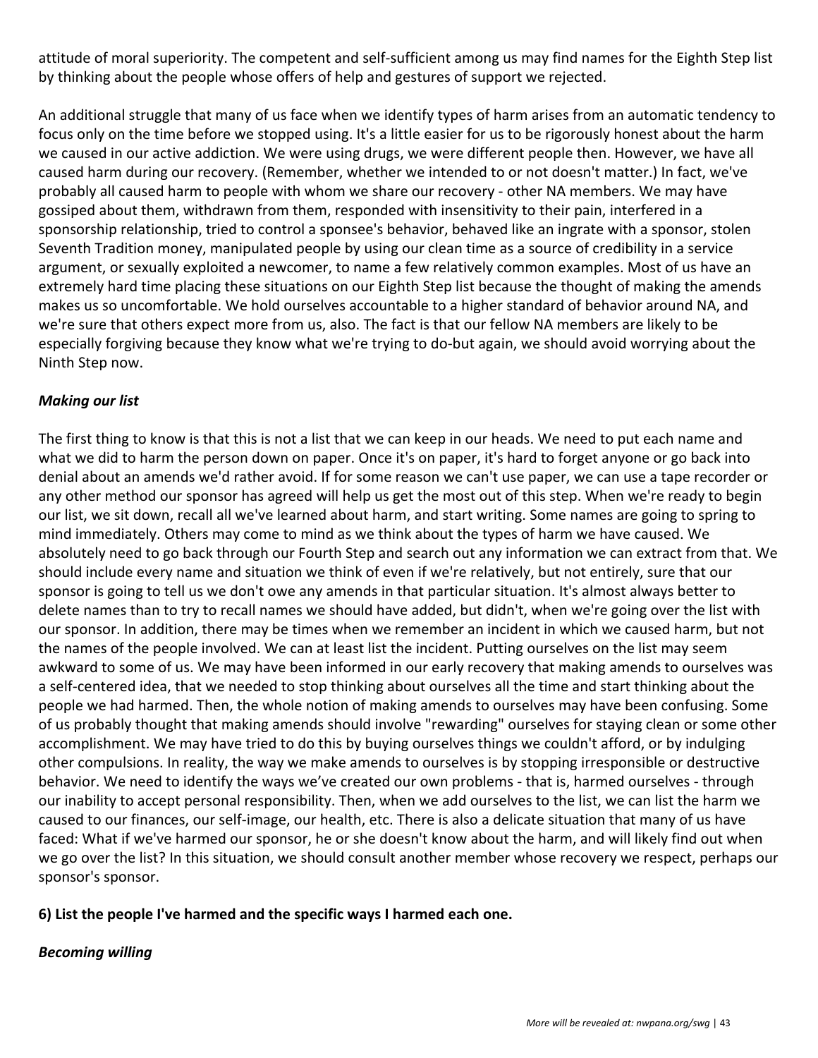attitude of moral superiority. The competent and self-sufficient among us may find names for the Eighth Step list by thinking about the people whose offers of help and gestures of support we rejected.

An additional struggle that many of us face when we identify types of harm arises from an automatic tendency to focus only on the time before we stopped using. It's a little easier for us to be rigorously honest about the harm we caused in our active addiction. We were using drugs, we were different people then. However, we have all caused harm during our recovery. (Remember, whether we intended to or not doesn't matter.) In fact, we've probably all caused harm to people with whom we share our recovery - other NA members. We may have gossiped about them, withdrawn from them, responded with insensitivity to their pain, interfered in a sponsorship relationship, tried to control a sponsee's behavior, behaved like an ingrate with a sponsor, stolen Seventh Tradition money, manipulated people by using our clean time as a source of credibility in a service argument, or sexually exploited a newcomer, to name a few relatively common examples. Most of us have an extremely hard time placing these situations on our Eighth Step list because the thought of making the amends makes us so uncomfortable. We hold ourselves accountable to a higher standard of behavior around NA, and we're sure that others expect more from us, also. The fact is that our fellow NA members are likely to be especially forgiving because they know what we're trying to do-but again, we should avoid worrying about the Ninth Step now.

#### *Making our list*

The first thing to know is that this is not a list that we can keep in our heads. We need to put each name and what we did to harm the person down on paper. Once it's on paper, it's hard to forget anyone or go back into denial about an amends we'd rather avoid. If for some reason we can't use paper, we can use a tape recorder or any other method our sponsor has agreed will help us get the most out of this step. When we're ready to begin our list, we sit down, recall all we've learned about harm, and start writing. Some names are going to spring to mind immediately. Others may come to mind as we think about the types of harm we have caused. We absolutely need to go back through our Fourth Step and search out any information we can extract from that. We should include every name and situation we think of even if we're relatively, but not entirely, sure that our sponsor is going to tell us we don't owe any amends in that particular situation. It's almost always better to delete names than to try to recall names we should have added, but didn't, when we're going over the list with our sponsor. In addition, there may be times when we remember an incident in which we caused harm, but not the names of the people involved. We can at least list the incident. Putting ourselves on the list may seem awkward to some of us. We may have been informed in our early recovery that making amends to ourselves was a self-centered idea, that we needed to stop thinking about ourselves all the time and start thinking about the people we had harmed. Then, the whole notion of making amends to ourselves may have been confusing. Some of us probably thought that making amends should involve "rewarding" ourselves for staying clean or some other accomplishment. We may have tried to do this by buying ourselves things we couldn't afford, or by indulging other compulsions. In reality, the way we make amends to ourselves is by stopping irresponsible or destructive behavior. We need to identify the ways we've created our own problems - that is, harmed ourselves - through our inability to accept personal responsibility. Then, when we add ourselves to the list, we can list the harm we caused to our finances, our self-image, our health, etc. There is also a delicate situation that many of us have faced: What if we've harmed our sponsor, he or she doesn't know about the harm, and will likely find out when we go over the list? In this situation, we should consult another member whose recovery we respect, perhaps our sponsor's sponsor.

#### **6) List the people I've harmed and the specific ways I harmed each one.**

#### *Becoming willing*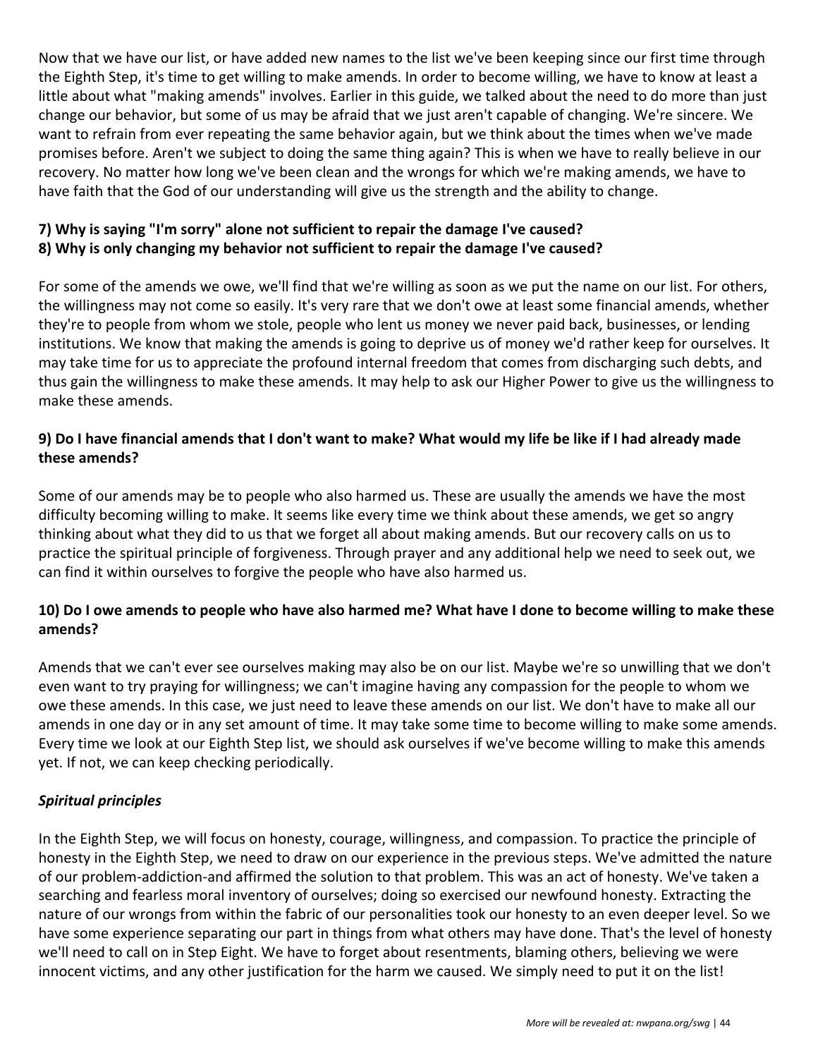Now that we have our list, or have added new names to the list we've been keeping since our first time through the Eighth Step, it's time to get willing to make amends. In order to become willing, we have to know at least a little about what "making amends" involves. Earlier in this guide, we talked about the need to do more than just change our behavior, but some of us may be afraid that we just aren't capable of changing. We're sincere. We want to refrain from ever repeating the same behavior again, but we think about the times when we've made promises before. Aren't we subject to doing the same thing again? This is when we have to really believe in our recovery. No matter how long we've been clean and the wrongs for which we're making amends, we have to have faith that the God of our understanding will give us the strength and the ability to change.

#### **7) Why is saying "I'm sorry" alone not sufficient to repair the damage I've caused? 8) Why is only changing my behavior not sufficient to repair the damage I've caused?**

For some of the amends we owe, we'll find that we're willing as soon as we put the name on our list. For others, the willingness may not come so easily. It's very rare that we don't owe at least some financial amends, whether they're to people from whom we stole, people who lent us money we never paid back, businesses, or lending institutions. We know that making the amends is going to deprive us of money we'd rather keep for ourselves. It may take time for us to appreciate the profound internal freedom that comes from discharging such debts, and thus gain the willingness to make these amends. It may help to ask our Higher Power to give us the willingness to make these amends.

#### **9) Do I have financial amends that I don't want to make? What would my life be like if I had already made these amends?**

Some of our amends may be to people who also harmed us. These are usually the amends we have the most difficulty becoming willing to make. It seems like every time we think about these amends, we get so angry thinking about what they did to us that we forget all about making amends. But our recovery calls on us to practice the spiritual principle of forgiveness. Through prayer and any additional help we need to seek out, we can find it within ourselves to forgive the people who have also harmed us.

#### **10) Do I owe amends to people who have also harmed me? What have I done to become willing to make these amends?**

Amends that we can't ever see ourselves making may also be on our list. Maybe we're so unwilling that we don't even want to try praying for willingness; we can't imagine having any compassion for the people to whom we owe these amends. In this case, we just need to leave these amends on our list. We don't have to make all our amends in one day or in any set amount of time. It may take some time to become willing to make some amends. Every time we look at our Eighth Step list, we should ask ourselves if we've become willing to make this amends yet. If not, we can keep checking periodically.

#### *Spiritual principles*

In the Eighth Step, we will focus on honesty, courage, willingness, and compassion. To practice the principle of honesty in the Eighth Step, we need to draw on our experience in the previous steps. We've admitted the nature of our problem-addiction-and affirmed the solution to that problem. This was an act of honesty. We've taken a searching and fearless moral inventory of ourselves; doing so exercised our newfound honesty. Extracting the nature of our wrongs from within the fabric of our personalities took our honesty to an even deeper level. So we have some experience separating our part in things from what others may have done. That's the level of honesty we'll need to call on in Step Eight. We have to forget about resentments, blaming others, believing we were innocent victims, and any other justification for the harm we caused. We simply need to put it on the list!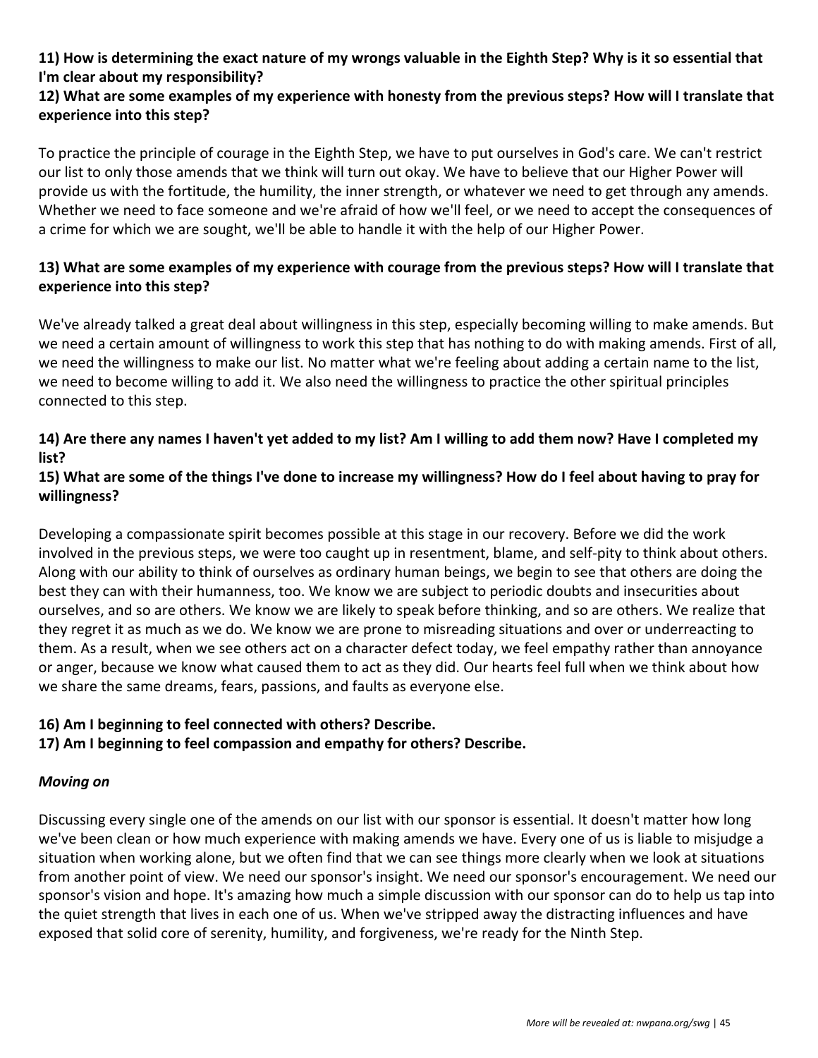#### **11) How is determining the exact nature of my wrongs valuable in the Eighth Step? Why is it so essential that I'm clear about my responsibility?**

#### **12) What are some examples of my experience with honesty from the previous steps? How will I translate that experience into this step?**

To practice the principle of courage in the Eighth Step, we have to put ourselves in God's care. We can't restrict our list to only those amends that we think will turn out okay. We have to believe that our Higher Power will provide us with the fortitude, the humility, the inner strength, or whatever we need to get through any amends. Whether we need to face someone and we're afraid of how we'll feel, or we need to accept the consequences of a crime for which we are sought, we'll be able to handle it with the help of our Higher Power.

#### **13) What are some examples of my experience with courage from the previous steps? How will I translate that experience into this step?**

We've already talked a great deal about willingness in this step, especially becoming willing to make amends. But we need a certain amount of willingness to work this step that has nothing to do with making amends. First of all, we need the willingness to make our list. No matter what we're feeling about adding a certain name to the list, we need to become willing to add it. We also need the willingness to practice the other spiritual principles connected to this step.

#### **14) Are there any names I haven't yet added to my list? Am I willing to add them now? Have I completed my list?**

#### **15) What are some of the things I've done to increase my willingness? How do I feel about having to pray for willingness?**

Developing a compassionate spirit becomes possible at this stage in our recovery. Before we did the work involved in the previous steps, we were too caught up in resentment, blame, and self-pity to think about others. Along with our ability to think of ourselves as ordinary human beings, we begin to see that others are doing the best they can with their humanness, too. We know we are subject to periodic doubts and insecurities about ourselves, and so are others. We know we are likely to speak before thinking, and so are others. We realize that they regret it as much as we do. We know we are prone to misreading situations and over or underreacting to them. As a result, when we see others act on a character defect today, we feel empathy rather than annoyance or anger, because we know what caused them to act as they did. Our hearts feel full when we think about how we share the same dreams, fears, passions, and faults as everyone else.

#### **16) Am I beginning to feel connected with others? Describe.**

#### **17) Am I beginning to feel compassion and empathy for others? Describe.**

#### *Moving on*

Discussing every single one of the amends on our list with our sponsor is essential. It doesn't matter how long we've been clean or how much experience with making amends we have. Every one of us is liable to misjudge a situation when working alone, but we often find that we can see things more clearly when we look at situations from another point of view. We need our sponsor's insight. We need our sponsor's encouragement. We need our sponsor's vision and hope. It's amazing how much a simple discussion with our sponsor can do to help us tap into the quiet strength that lives in each one of us. When we've stripped away the distracting influences and have exposed that solid core of serenity, humility, and forgiveness, we're ready for the Ninth Step.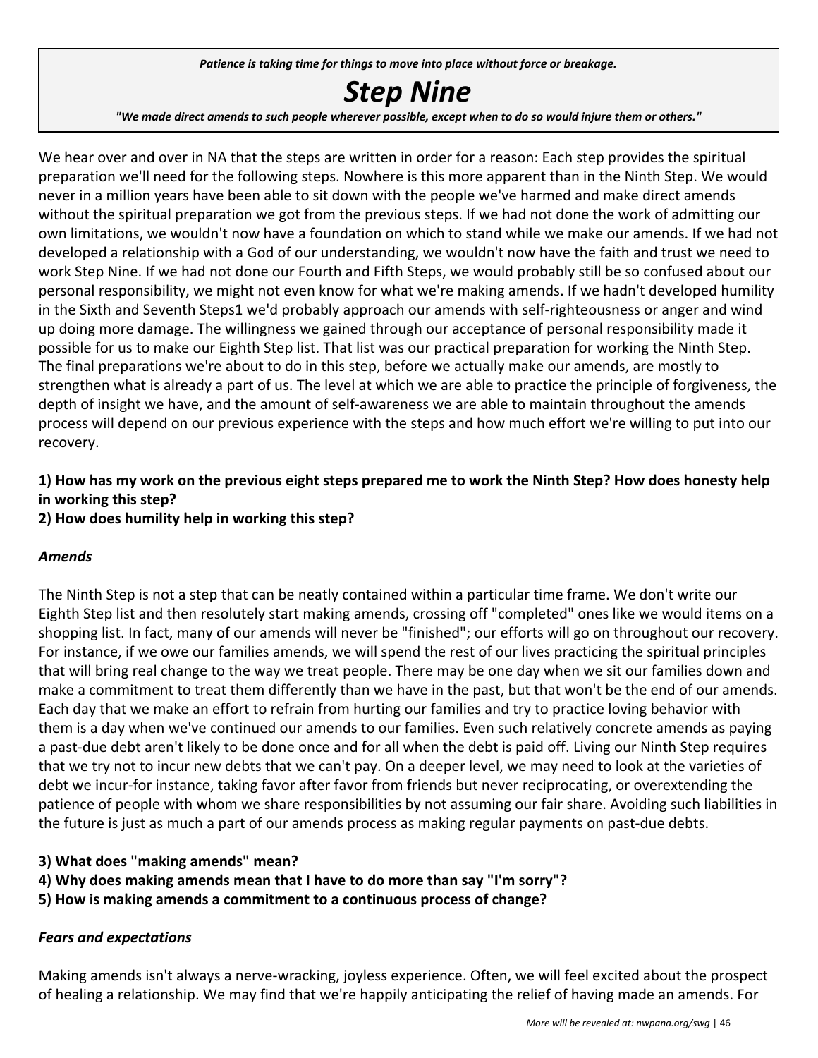*Patience is taking time for things to move into place without force or breakage.*

## *Step Nine*

"We made direct amends to such people wherever possible, except when to do so would injure them or others."

We hear over and over in NA that the steps are written in order for a reason: Each step provides the spiritual preparation we'll need for the following steps. Nowhere is this more apparent than in the Ninth Step. We would never in a million years have been able to sit down with the people we've harmed and make direct amends without the spiritual preparation we got from the previous steps. If we had not done the work of admitting our own limitations, we wouldn't now have a foundation on which to stand while we make our amends. If we had not developed a relationship with a God of our understanding, we wouldn't now have the faith and trust we need to work Step Nine. If we had not done our Fourth and Fifth Steps, we would probably still be so confused about our personal responsibility, we might not even know for what we're making amends. If we hadn't developed humility in the Sixth and Seventh Steps1 we'd probably approach our amends with self-righteousness or anger and wind up doing more damage. The willingness we gained through our acceptance of personal responsibility made it possible for us to make our Eighth Step list. That list was our practical preparation for working the Ninth Step. The final preparations we're about to do in this step, before we actually make our amends, are mostly to strengthen what is already a part of us. The level at which we are able to practice the principle of forgiveness, the depth of insight we have, and the amount of self-awareness we are able to maintain throughout the amends process will depend on our previous experience with the steps and how much effort we're willing to put into our recovery.

#### **1) How has my work on the previous eight steps prepared me to work the Ninth Step? How does honesty help in working this step?**

#### **2) How does humility help in working this step?**

#### *Amends*

The Ninth Step is not a step that can be neatly contained within a particular time frame. We don't write our Eighth Step list and then resolutely start making amends, crossing off "completed" ones like we would items on a shopping list. In fact, many of our amends will never be "finished"; our efforts will go on throughout our recovery. For instance, if we owe our families amends, we will spend the rest of our lives practicing the spiritual principles that will bring real change to the way we treat people. There may be one day when we sit our families down and make a commitment to treat them differently than we have in the past, but that won't be the end of our amends. Each day that we make an effort to refrain from hurting our families and try to practice loving behavior with them is a day when we've continued our amends to our families. Even such relatively concrete amends as paying a past-due debt aren't likely to be done once and for all when the debt is paid off. Living our Ninth Step requires that we try not to incur new debts that we can't pay. On a deeper level, we may need to look at the varieties of debt we incur-for instance, taking favor after favor from friends but never reciprocating, or overextending the patience of people with whom we share responsibilities by not assuming our fair share. Avoiding such liabilities in the future is just as much a part of our amends process as making regular payments on past-due debts.

#### **3) What does "making amends" mean?**

- **4) Why does making amends mean that I have to do more than say "I'm sorry"?**
- **5) How is making amends a commitment to a continuous process of change?**

#### *Fears and expectations*

Making amends isn't always a nerve-wracking, joyless experience. Often, we will feel excited about the prospect of healing a relationship. We may find that we're happily anticipating the relief of having made an amends. For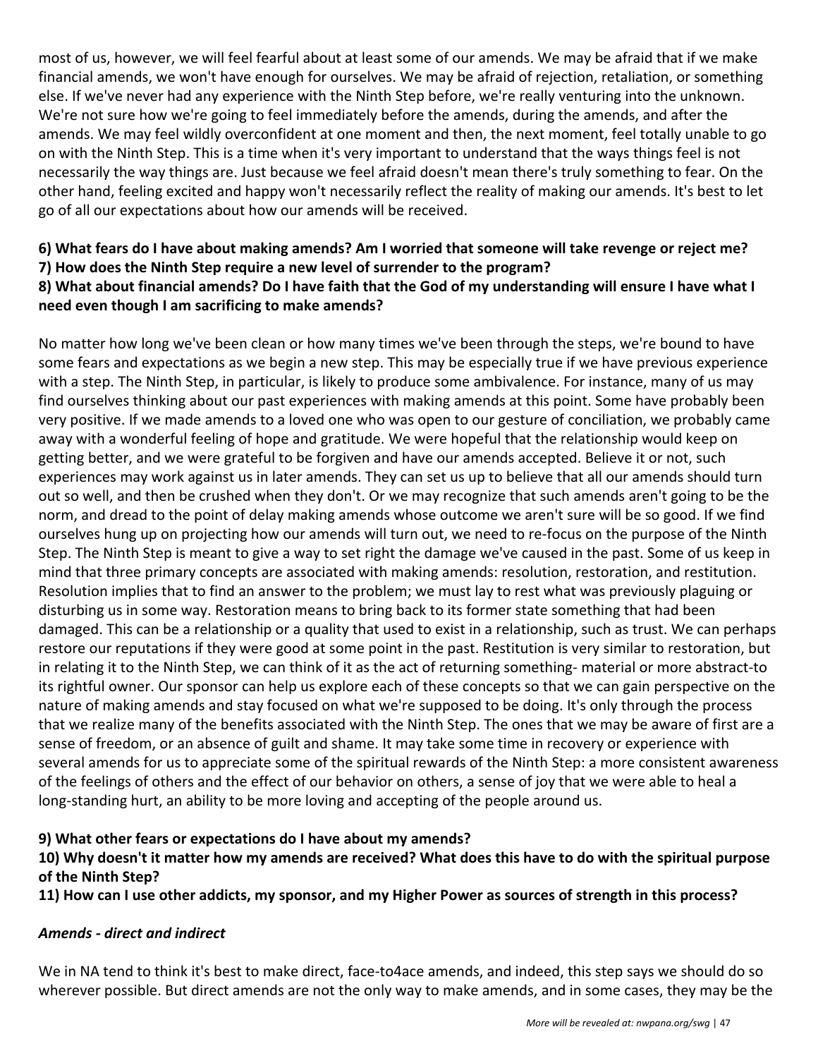most of us, however, we will feel fearful about at least some of our amends. We may be afraid that if we make financial amends, we won't have enough for ourselves. We may be afraid of rejection, retaliation, or something else. If we've never had any experience with the Ninth Step before, we're really venturing into the unknown. We're not sure how we're going to feel immediately before the amends, during the amends, and after the amends. We may feel wildly overconfident at one moment and then, the next moment, feel totally unable to go on with the Ninth Step. This is a time when it's very important to understand that the ways things feel is not necessarily the way things are. Just because we feel afraid doesn't mean there's truly something to fear. On the other hand, feeling excited and happy won't necessarily reflect the reality of making our amends. It's best to let go of all our expectations about how our amends will be received.

#### **6) What fears do I have about making amends? Am I worried that someone will take revenge or reject me? 7) How does the Ninth Step require a new level of surrender to the program? 8) What about financial amends? Do I have faith that the God of my understanding will ensure I have what I need even though I am sacrificing to make amends?**

No matter how long we've been clean or how many times we've been through the steps, we're bound to have some fears and expectations as we begin a new step. This may be especially true if we have previous experience with a step. The Ninth Step, in particular, is likely to produce some ambivalence. For instance, many of us may find ourselves thinking about our past experiences with making amends at this point. Some have probably been very positive. If we made amends to a loved one who was open to our gesture of conciliation, we probably came away with a wonderful feeling of hope and gratitude. We were hopeful that the relationship would keep on getting better, and we were grateful to be forgiven and have our amends accepted. Believe it or not, such experiences may work against us in later amends. They can set us up to believe that all our amends should turn out so well, and then be crushed when they don't. Or we may recognize that such amends aren't going to be the norm, and dread to the point of delay making amends whose outcome we aren't sure will be so good. If we find ourselves hung up on projecting how our amends will turn out, we need to re-focus on the purpose of the Ninth Step. The Ninth Step is meant to give a way to set right the damage we've caused in the past. Some of us keep in mind that three primary concepts are associated with making amends: resolution, restoration, and restitution. Resolution implies that to find an answer to the problem; we must lay to rest what was previously plaguing or disturbing us in some way. Restoration means to bring back to its former state something that had been damaged. This can be a relationship or a quality that used to exist in a relationship, such as trust. We can perhaps restore our reputations if they were good at some point in the past. Restitution is very similar to restoration, but in relating it to the Ninth Step, we can think of it as the act of returning something- material or more abstract-to its rightful owner. Our sponsor can help us explore each of these concepts so that we can gain perspective on the nature of making amends and stay focused on what we're supposed to be doing. It's only through the process that we realize many of the benefits associated with the Ninth Step. The ones that we may be aware of first are a sense of freedom, or an absence of guilt and shame. It may take some time in recovery or experience with several amends for us to appreciate some of the spiritual rewards of the Ninth Step: a more consistent awareness of the feelings of others and the effect of our behavior on others, a sense of joy that we were able to heal a long-standing hurt, an ability to be more loving and accepting of the people around us.

#### **9) What other fears or expectations do I have about my amends?**

#### **10) Why doesn't it matter how my amends are received? What does this have to do with the spiritual purpose of the Ninth Step?**

**11) How can I use other addicts, my sponsor, and my Higher Power as sources of strength in this process?**

#### *Amends - direct and indirect*

We in NA tend to think it's best to make direct, face-to4ace amends, and indeed, this step says we should do so wherever possible. But direct amends are not the only way to make amends, and in some cases, they may be the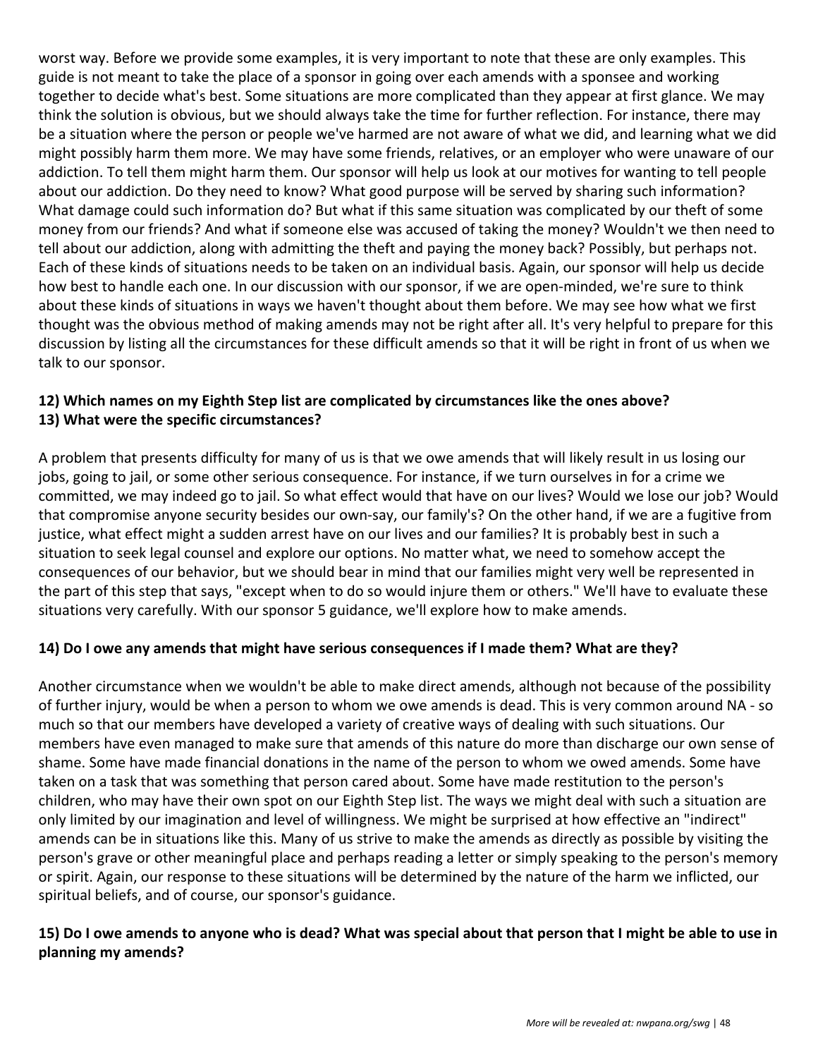worst way. Before we provide some examples, it is very important to note that these are only examples. This guide is not meant to take the place of a sponsor in going over each amends with a sponsee and working together to decide what's best. Some situations are more complicated than they appear at first glance. We may think the solution is obvious, but we should always take the time for further reflection. For instance, there may be a situation where the person or people we've harmed are not aware of what we did, and learning what we did might possibly harm them more. We may have some friends, relatives, or an employer who were unaware of our addiction. To tell them might harm them. Our sponsor will help us look at our motives for wanting to tell people about our addiction. Do they need to know? What good purpose will be served by sharing such information? What damage could such information do? But what if this same situation was complicated by our theft of some money from our friends? And what if someone else was accused of taking the money? Wouldn't we then need to tell about our addiction, along with admitting the theft and paying the money back? Possibly, but perhaps not. Each of these kinds of situations needs to be taken on an individual basis. Again, our sponsor will help us decide how best to handle each one. In our discussion with our sponsor, if we are open-minded, we're sure to think about these kinds of situations in ways we haven't thought about them before. We may see how what we first thought was the obvious method of making amends may not be right after all. It's very helpful to prepare for this discussion by listing all the circumstances for these difficult amends so that it will be right in front of us when we talk to our sponsor.

#### **12) Which names on my Eighth Step list are complicated by circumstances like the ones above? 13) What were the specific circumstances?**

A problem that presents difficulty for many of us is that we owe amends that will likely result in us losing our jobs, going to jail, or some other serious consequence. For instance, if we turn ourselves in for a crime we committed, we may indeed go to jail. So what effect would that have on our lives? Would we lose our job? Would that compromise anyone security besides our own-say, our family's? On the other hand, if we are a fugitive from justice, what effect might a sudden arrest have on our lives and our families? It is probably best in such a situation to seek legal counsel and explore our options. No matter what, we need to somehow accept the consequences of our behavior, but we should bear in mind that our families might very well be represented in the part of this step that says, "except when to do so would injure them or others." We'll have to evaluate these situations very carefully. With our sponsor 5 guidance, we'll explore how to make amends.

#### **14) Do I owe any amends that might have serious consequences if I made them? What are they?**

Another circumstance when we wouldn't be able to make direct amends, although not because of the possibility of further injury, would be when a person to whom we owe amends is dead. This is very common around NA - so much so that our members have developed a variety of creative ways of dealing with such situations. Our members have even managed to make sure that amends of this nature do more than discharge our own sense of shame. Some have made financial donations in the name of the person to whom we owed amends. Some have taken on a task that was something that person cared about. Some have made restitution to the person's children, who may have their own spot on our Eighth Step list. The ways we might deal with such a situation are only limited by our imagination and level of willingness. We might be surprised at how effective an "indirect" amends can be in situations like this. Many of us strive to make the amends as directly as possible by visiting the person's grave or other meaningful place and perhaps reading a letter or simply speaking to the person's memory or spirit. Again, our response to these situations will be determined by the nature of the harm we inflicted, our spiritual beliefs, and of course, our sponsor's guidance.

#### **15) Do I owe amends to anyone who is dead? What was special about that person that I might be able to use in planning my amends?**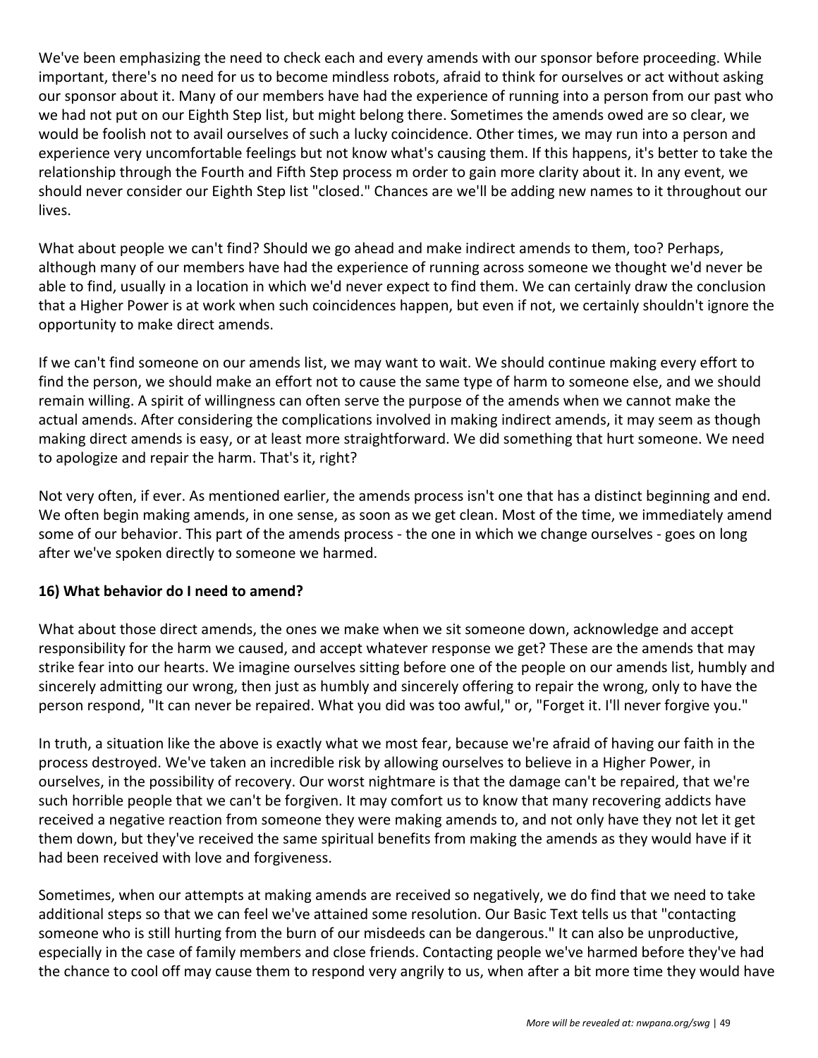We've been emphasizing the need to check each and every amends with our sponsor before proceeding. While important, there's no need for us to become mindless robots, afraid to think for ourselves or act without asking our sponsor about it. Many of our members have had the experience of running into a person from our past who we had not put on our Eighth Step list, but might belong there. Sometimes the amends owed are so clear, we would be foolish not to avail ourselves of such a lucky coincidence. Other times, we may run into a person and experience very uncomfortable feelings but not know what's causing them. If this happens, it's better to take the relationship through the Fourth and Fifth Step process m order to gain more clarity about it. In any event, we should never consider our Eighth Step list "closed." Chances are we'll be adding new names to it throughout our lives.

What about people we can't find? Should we go ahead and make indirect amends to them, too? Perhaps, although many of our members have had the experience of running across someone we thought we'd never be able to find, usually in a location in which we'd never expect to find them. We can certainly draw the conclusion that a Higher Power is at work when such coincidences happen, but even if not, we certainly shouldn't ignore the opportunity to make direct amends.

If we can't find someone on our amends list, we may want to wait. We should continue making every effort to find the person, we should make an effort not to cause the same type of harm to someone else, and we should remain willing. A spirit of willingness can often serve the purpose of the amends when we cannot make the actual amends. After considering the complications involved in making indirect amends, it may seem as though making direct amends is easy, or at least more straightforward. We did something that hurt someone. We need to apologize and repair the harm. That's it, right?

Not very often, if ever. As mentioned earlier, the amends process isn't one that has a distinct beginning and end. We often begin making amends, in one sense, as soon as we get clean. Most of the time, we immediately amend some of our behavior. This part of the amends process - the one in which we change ourselves - goes on long after we've spoken directly to someone we harmed.

#### **16) What behavior do I need to amend?**

What about those direct amends, the ones we make when we sit someone down, acknowledge and accept responsibility for the harm we caused, and accept whatever response we get? These are the amends that may strike fear into our hearts. We imagine ourselves sitting before one of the people on our amends list, humbly and sincerely admitting our wrong, then just as humbly and sincerely offering to repair the wrong, only to have the person respond, "It can never be repaired. What you did was too awful," or, "Forget it. I'll never forgive you."

In truth, a situation like the above is exactly what we most fear, because we're afraid of having our faith in the process destroyed. We've taken an incredible risk by allowing ourselves to believe in a Higher Power, in ourselves, in the possibility of recovery. Our worst nightmare is that the damage can't be repaired, that we're such horrible people that we can't be forgiven. It may comfort us to know that many recovering addicts have received a negative reaction from someone they were making amends to, and not only have they not let it get them down, but they've received the same spiritual benefits from making the amends as they would have if it had been received with love and forgiveness.

Sometimes, when our attempts at making amends are received so negatively, we do find that we need to take additional steps so that we can feel we've attained some resolution. Our Basic Text tells us that "contacting someone who is still hurting from the burn of our misdeeds can be dangerous." It can also be unproductive, especially in the case of family members and close friends. Contacting people we've harmed before they've had the chance to cool off may cause them to respond very angrily to us, when after a bit more time they would have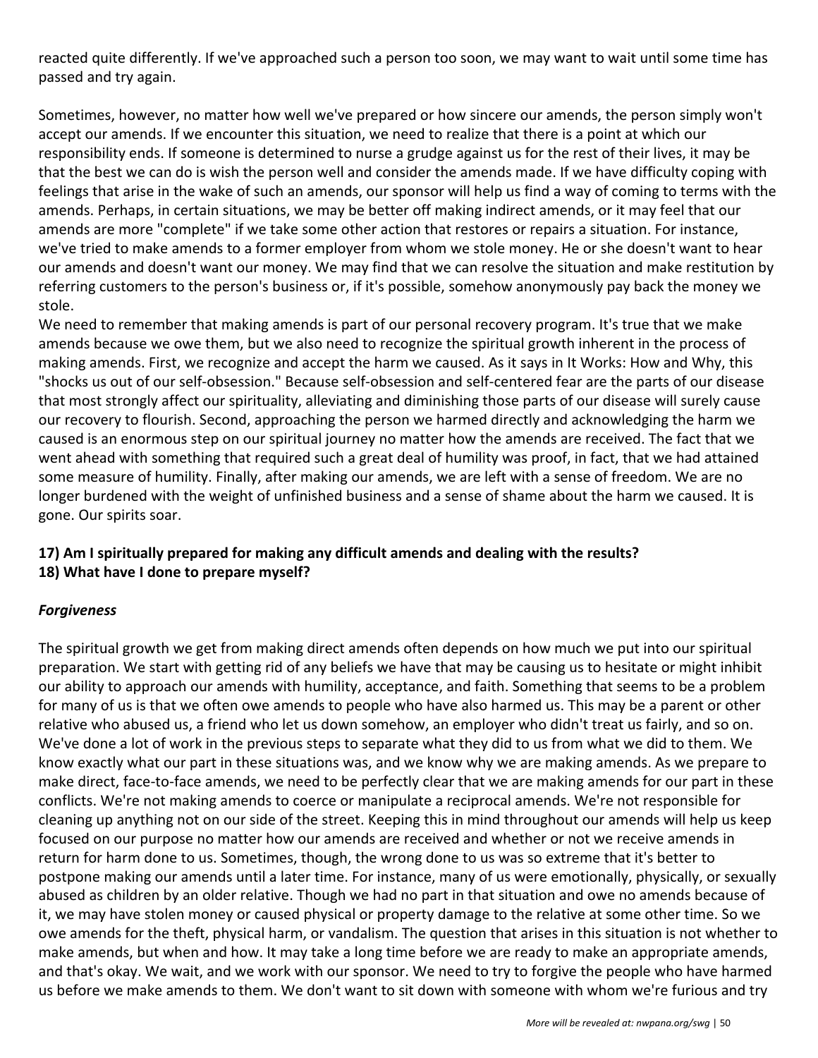reacted quite differently. If we've approached such a person too soon, we may want to wait until some time has passed and try again.

Sometimes, however, no matter how well we've prepared or how sincere our amends, the person simply won't accept our amends. If we encounter this situation, we need to realize that there is a point at which our responsibility ends. If someone is determined to nurse a grudge against us for the rest of their lives, it may be that the best we can do is wish the person well and consider the amends made. If we have difficulty coping with feelings that arise in the wake of such an amends, our sponsor will help us find a way of coming to terms with the amends. Perhaps, in certain situations, we may be better off making indirect amends, or it may feel that our amends are more "complete" if we take some other action that restores or repairs a situation. For instance, we've tried to make amends to a former employer from whom we stole money. He or she doesn't want to hear our amends and doesn't want our money. We may find that we can resolve the situation and make restitution by referring customers to the person's business or, if it's possible, somehow anonymously pay back the money we stole.

We need to remember that making amends is part of our personal recovery program. It's true that we make amends because we owe them, but we also need to recognize the spiritual growth inherent in the process of making amends. First, we recognize and accept the harm we caused. As it says in It Works: How and Why, this "shocks us out of our self-obsession." Because self-obsession and self-centered fear are the parts of our disease that most strongly affect our spirituality, alleviating and diminishing those parts of our disease will surely cause our recovery to flourish. Second, approaching the person we harmed directly and acknowledging the harm we caused is an enormous step on our spiritual journey no matter how the amends are received. The fact that we went ahead with something that required such a great deal of humility was proof, in fact, that we had attained some measure of humility. Finally, after making our amends, we are left with a sense of freedom. We are no longer burdened with the weight of unfinished business and a sense of shame about the harm we caused. It is gone. Our spirits soar.

#### **17) Am I spiritually prepared for making any difficult amends and dealing with the results? 18) What have I done to prepare myself?**

#### *Forgiveness*

The spiritual growth we get from making direct amends often depends on how much we put into our spiritual preparation. We start with getting rid of any beliefs we have that may be causing us to hesitate or might inhibit our ability to approach our amends with humility, acceptance, and faith. Something that seems to be a problem for many of us is that we often owe amends to people who have also harmed us. This may be a parent or other relative who abused us, a friend who let us down somehow, an employer who didn't treat us fairly, and so on. We've done a lot of work in the previous steps to separate what they did to us from what we did to them. We know exactly what our part in these situations was, and we know why we are making amends. As we prepare to make direct, face-to-face amends, we need to be perfectly clear that we are making amends for our part in these conflicts. We're not making amends to coerce or manipulate a reciprocal amends. We're not responsible for cleaning up anything not on our side of the street. Keeping this in mind throughout our amends will help us keep focused on our purpose no matter how our amends are received and whether or not we receive amends in return for harm done to us. Sometimes, though, the wrong done to us was so extreme that it's better to postpone making our amends until a later time. For instance, many of us were emotionally, physically, or sexually abused as children by an older relative. Though we had no part in that situation and owe no amends because of it, we may have stolen money or caused physical or property damage to the relative at some other time. So we owe amends for the theft, physical harm, or vandalism. The question that arises in this situation is not whether to make amends, but when and how. It may take a long time before we are ready to make an appropriate amends, and that's okay. We wait, and we work with our sponsor. We need to try to forgive the people who have harmed us before we make amends to them. We don't want to sit down with someone with whom we're furious and try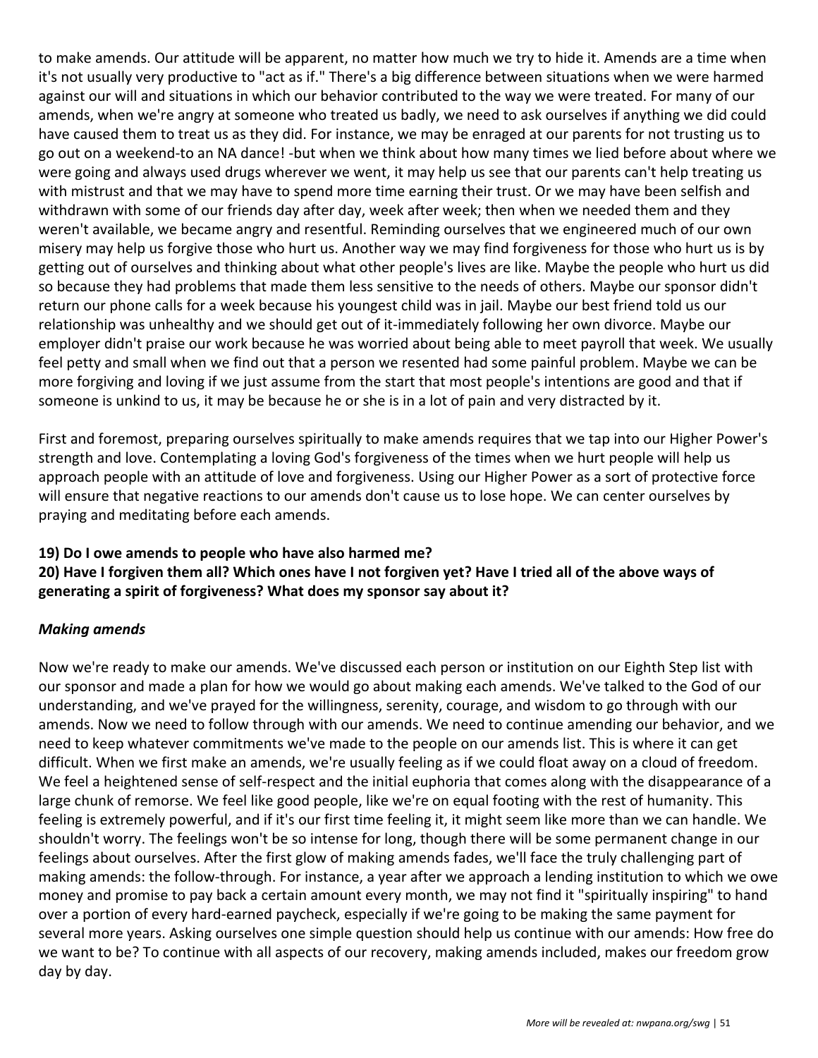to make amends. Our attitude will be apparent, no matter how much we try to hide it. Amends are a time when it's not usually very productive to "act as if." There's a big difference between situations when we were harmed against our will and situations in which our behavior contributed to the way we were treated. For many of our amends, when we're angry at someone who treated us badly, we need to ask ourselves if anything we did could have caused them to treat us as they did. For instance, we may be enraged at our parents for not trusting us to go out on a weekend-to an NA dance! -but when we think about how many times we lied before about where we were going and always used drugs wherever we went, it may help us see that our parents can't help treating us with mistrust and that we may have to spend more time earning their trust. Or we may have been selfish and withdrawn with some of our friends day after day, week after week; then when we needed them and they weren't available, we became angry and resentful. Reminding ourselves that we engineered much of our own misery may help us forgive those who hurt us. Another way we may find forgiveness for those who hurt us is by getting out of ourselves and thinking about what other people's lives are like. Maybe the people who hurt us did so because they had problems that made them less sensitive to the needs of others. Maybe our sponsor didn't return our phone calls for a week because his youngest child was in jail. Maybe our best friend told us our relationship was unhealthy and we should get out of it-immediately following her own divorce. Maybe our employer didn't praise our work because he was worried about being able to meet payroll that week. We usually feel petty and small when we find out that a person we resented had some painful problem. Maybe we can be more forgiving and loving if we just assume from the start that most people's intentions are good and that if someone is unkind to us, it may be because he or she is in a lot of pain and very distracted by it.

First and foremost, preparing ourselves spiritually to make amends requires that we tap into our Higher Power's strength and love. Contemplating a loving God's forgiveness of the times when we hurt people will help us approach people with an attitude of love and forgiveness. Using our Higher Power as a sort of protective force will ensure that negative reactions to our amends don't cause us to lose hope. We can center ourselves by praying and meditating before each amends.

#### **19) Do I owe amends to people who have also harmed me?**

**20) Have I forgiven them all? Which ones have I not forgiven yet? Have I tried all of the above ways of generating a spirit of forgiveness? What does my sponsor say about it?**

#### *Making amends*

Now we're ready to make our amends. We've discussed each person or institution on our Eighth Step list with our sponsor and made a plan for how we would go about making each amends. We've talked to the God of our understanding, and we've prayed for the willingness, serenity, courage, and wisdom to go through with our amends. Now we need to follow through with our amends. We need to continue amending our behavior, and we need to keep whatever commitments we've made to the people on our amends list. This is where it can get difficult. When we first make an amends, we're usually feeling as if we could float away on a cloud of freedom. We feel a heightened sense of self-respect and the initial euphoria that comes along with the disappearance of a large chunk of remorse. We feel like good people, like we're on equal footing with the rest of humanity. This feeling is extremely powerful, and if it's our first time feeling it, it might seem like more than we can handle. We shouldn't worry. The feelings won't be so intense for long, though there will be some permanent change in our feelings about ourselves. After the first glow of making amends fades, we'll face the truly challenging part of making amends: the follow-through. For instance, a year after we approach a lending institution to which we owe money and promise to pay back a certain amount every month, we may not find it "spiritually inspiring" to hand over a portion of every hard-earned paycheck, especially if we're going to be making the same payment for several more years. Asking ourselves one simple question should help us continue with our amends: How free do we want to be? To continue with all aspects of our recovery, making amends included, makes our freedom grow day by day.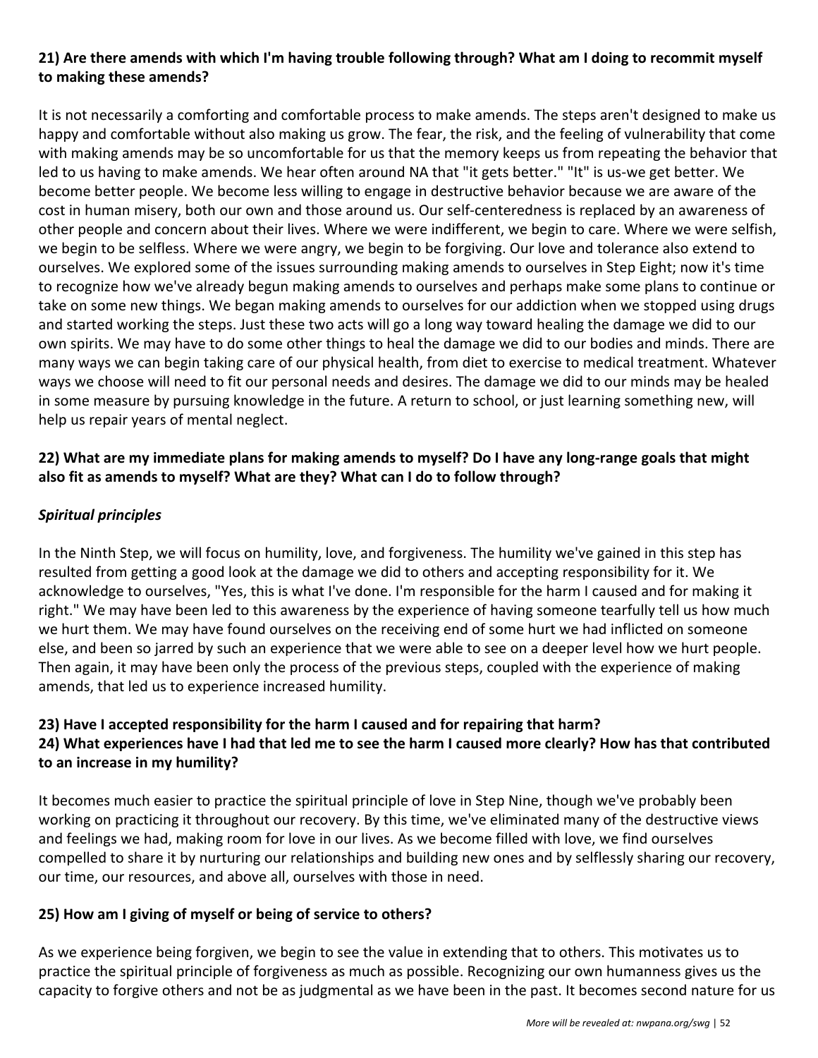#### **21) Are there amends with which I'm having trouble following through? What am I doing to recommit myself to making these amends?**

It is not necessarily a comforting and comfortable process to make amends. The steps aren't designed to make us happy and comfortable without also making us grow. The fear, the risk, and the feeling of vulnerability that come with making amends may be so uncomfortable for us that the memory keeps us from repeating the behavior that led to us having to make amends. We hear often around NA that "it gets better." "It" is us-we get better. We become better people. We become less willing to engage in destructive behavior because we are aware of the cost in human misery, both our own and those around us. Our self-centeredness is replaced by an awareness of other people and concern about their lives. Where we were indifferent, we begin to care. Where we were selfish, we begin to be selfless. Where we were angry, we begin to be forgiving. Our love and tolerance also extend to ourselves. We explored some of the issues surrounding making amends to ourselves in Step Eight; now it's time to recognize how we've already begun making amends to ourselves and perhaps make some plans to continue or take on some new things. We began making amends to ourselves for our addiction when we stopped using drugs and started working the steps. Just these two acts will go a long way toward healing the damage we did to our own spirits. We may have to do some other things to heal the damage we did to our bodies and minds. There are many ways we can begin taking care of our physical health, from diet to exercise to medical treatment. Whatever ways we choose will need to fit our personal needs and desires. The damage we did to our minds may be healed in some measure by pursuing knowledge in the future. A return to school, or just learning something new, will help us repair years of mental neglect.

#### **22) What are my immediate plans for making amends to myself? Do I have any long-range goals that might also fit as amends to myself? What are they? What can I do to follow through?**

#### *Spiritual principles*

In the Ninth Step, we will focus on humility, love, and forgiveness. The humility we've gained in this step has resulted from getting a good look at the damage we did to others and accepting responsibility for it. We acknowledge to ourselves, "Yes, this is what I've done. I'm responsible for the harm I caused and for making it right." We may have been led to this awareness by the experience of having someone tearfully tell us how much we hurt them. We may have found ourselves on the receiving end of some hurt we had inflicted on someone else, and been so jarred by such an experience that we were able to see on a deeper level how we hurt people. Then again, it may have been only the process of the previous steps, coupled with the experience of making amends, that led us to experience increased humility.

#### **23) Have I accepted responsibility for the harm I caused and for repairing that harm?**

#### **24) What experiences have I had that led me to see the harm I caused more clearly? How has that contributed to an increase in my humility?**

It becomes much easier to practice the spiritual principle of love in Step Nine, though we've probably been working on practicing it throughout our recovery. By this time, we've eliminated many of the destructive views and feelings we had, making room for love in our lives. As we become filled with love, we find ourselves compelled to share it by nurturing our relationships and building new ones and by selflessly sharing our recovery, our time, our resources, and above all, ourselves with those in need.

#### **25) How am I giving of myself or being of service to others?**

As we experience being forgiven, we begin to see the value in extending that to others. This motivates us to practice the spiritual principle of forgiveness as much as possible. Recognizing our own humanness gives us the capacity to forgive others and not be as judgmental as we have been in the past. It becomes second nature for us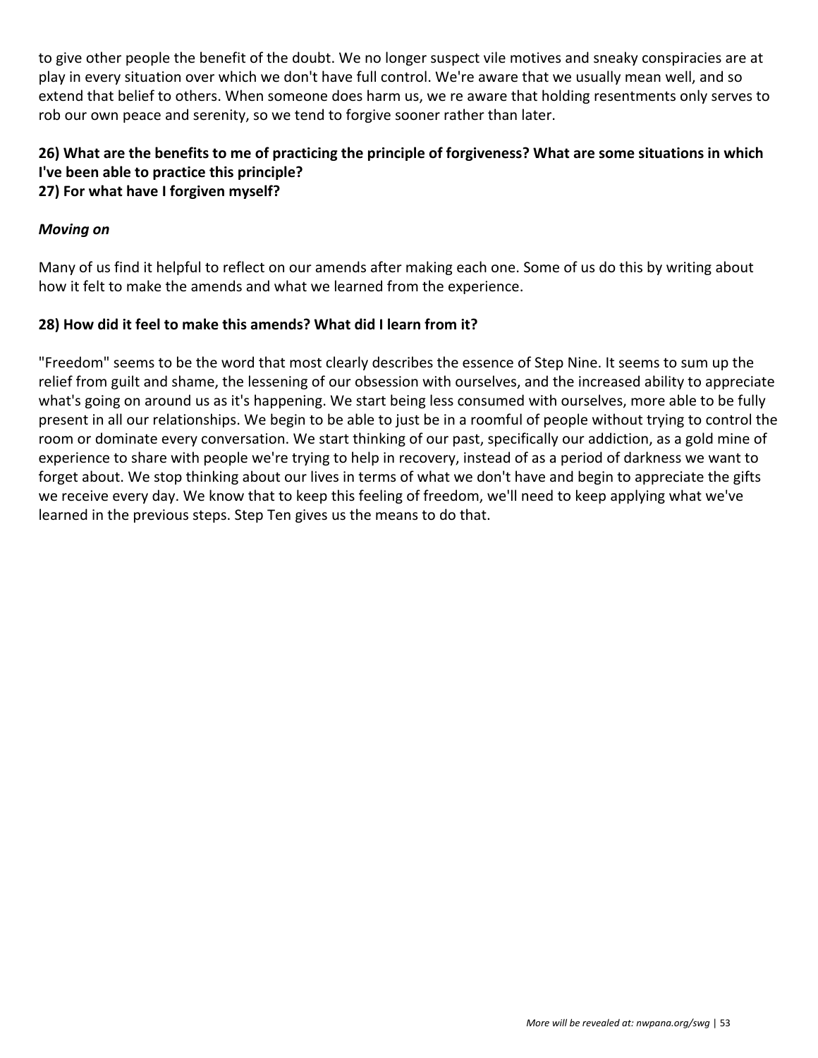to give other people the benefit of the doubt. We no longer suspect vile motives and sneaky conspiracies are at play in every situation over which we don't have full control. We're aware that we usually mean well, and so extend that belief to others. When someone does harm us, we re aware that holding resentments only serves to rob our own peace and serenity, so we tend to forgive sooner rather than later.

### **26) What are the benefits to me of practicing the principle of forgiveness? What are some situations in which I've been able to practice this principle?**

#### **27) For what have I forgiven myself?**

#### *Moving on*

Many of us find it helpful to reflect on our amends after making each one. Some of us do this by writing about how it felt to make the amends and what we learned from the experience.

#### **28) How did it feel to make this amends? What did I learn from it?**

"Freedom" seems to be the word that most clearly describes the essence of Step Nine. It seems to sum up the relief from guilt and shame, the lessening of our obsession with ourselves, and the increased ability to appreciate what's going on around us as it's happening. We start being less consumed with ourselves, more able to be fully present in all our relationships. We begin to be able to just be in a roomful of people without trying to control the room or dominate every conversation. We start thinking of our past, specifically our addiction, as a gold mine of experience to share with people we're trying to help in recovery, instead of as a period of darkness we want to forget about. We stop thinking about our lives in terms of what we don't have and begin to appreciate the gifts we receive every day. We know that to keep this feeling of freedom, we'll need to keep applying what we've learned in the previous steps. Step Ten gives us the means to do that.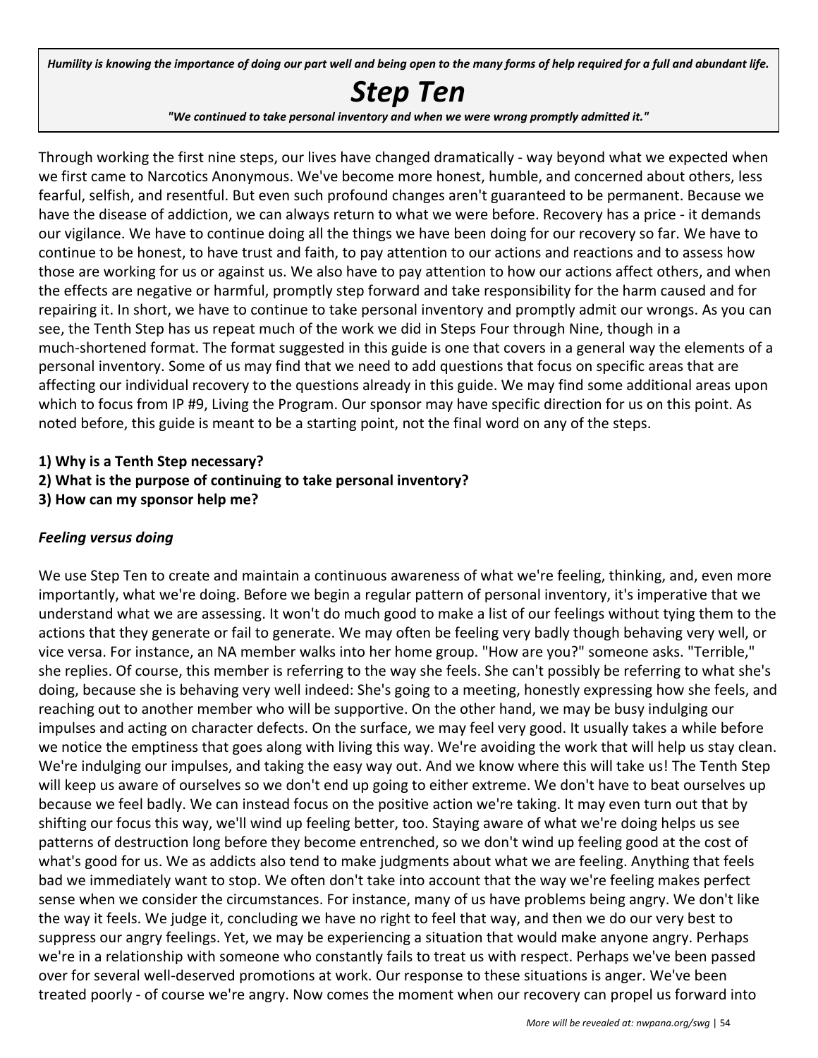Humility is knowing the importance of doing our part well and being open to the many forms of help required for a full and abundant life.

## *Step Ten*

*"We continued to take personal inventory and when we were wrong promptly admitted it."*

Through working the first nine steps, our lives have changed dramatically - way beyond what we expected when we first came to Narcotics Anonymous. We've become more honest, humble, and concerned about others, less fearful, selfish, and resentful. But even such profound changes aren't guaranteed to be permanent. Because we have the disease of addiction, we can always return to what we were before. Recovery has a price - it demands our vigilance. We have to continue doing all the things we have been doing for our recovery so far. We have to continue to be honest, to have trust and faith, to pay attention to our actions and reactions and to assess how those are working for us or against us. We also have to pay attention to how our actions affect others, and when the effects are negative or harmful, promptly step forward and take responsibility for the harm caused and for repairing it. In short, we have to continue to take personal inventory and promptly admit our wrongs. As you can see, the Tenth Step has us repeat much of the work we did in Steps Four through Nine, though in a much-shortened format. The format suggested in this guide is one that covers in a general way the elements of a personal inventory. Some of us may find that we need to add questions that focus on specific areas that are affecting our individual recovery to the questions already in this guide. We may find some additional areas upon which to focus from IP #9, Living the Program. Our sponsor may have specific direction for us on this point. As noted before, this guide is meant to be a starting point, not the final word on any of the steps.

#### **1) Why is a Tenth Step necessary?**

- **2) What is the purpose of continuing to take personal inventory?**
- **3) How can my sponsor help me?**

#### *Feeling versus doing*

We use Step Ten to create and maintain a continuous awareness of what we're feeling, thinking, and, even more importantly, what we're doing. Before we begin a regular pattern of personal inventory, it's imperative that we understand what we are assessing. It won't do much good to make a list of our feelings without tying them to the actions that they generate or fail to generate. We may often be feeling very badly though behaving very well, or vice versa. For instance, an NA member walks into her home group. "How are you?" someone asks. "Terrible," she replies. Of course, this member is referring to the way she feels. She can't possibly be referring to what she's doing, because she is behaving very well indeed: She's going to a meeting, honestly expressing how she feels, and reaching out to another member who will be supportive. On the other hand, we may be busy indulging our impulses and acting on character defects. On the surface, we may feel very good. It usually takes a while before we notice the emptiness that goes along with living this way. We're avoiding the work that will help us stay clean. We're indulging our impulses, and taking the easy way out. And we know where this will take us! The Tenth Step will keep us aware of ourselves so we don't end up going to either extreme. We don't have to beat ourselves up because we feel badly. We can instead focus on the positive action we're taking. It may even turn out that by shifting our focus this way, we'll wind up feeling better, too. Staying aware of what we're doing helps us see patterns of destruction long before they become entrenched, so we don't wind up feeling good at the cost of what's good for us. We as addicts also tend to make judgments about what we are feeling. Anything that feels bad we immediately want to stop. We often don't take into account that the way we're feeling makes perfect sense when we consider the circumstances. For instance, many of us have problems being angry. We don't like the way it feels. We judge it, concluding we have no right to feel that way, and then we do our very best to suppress our angry feelings. Yet, we may be experiencing a situation that would make anyone angry. Perhaps we're in a relationship with someone who constantly fails to treat us with respect. Perhaps we've been passed over for several well-deserved promotions at work. Our response to these situations is anger. We've been treated poorly - of course we're angry. Now comes the moment when our recovery can propel us forward into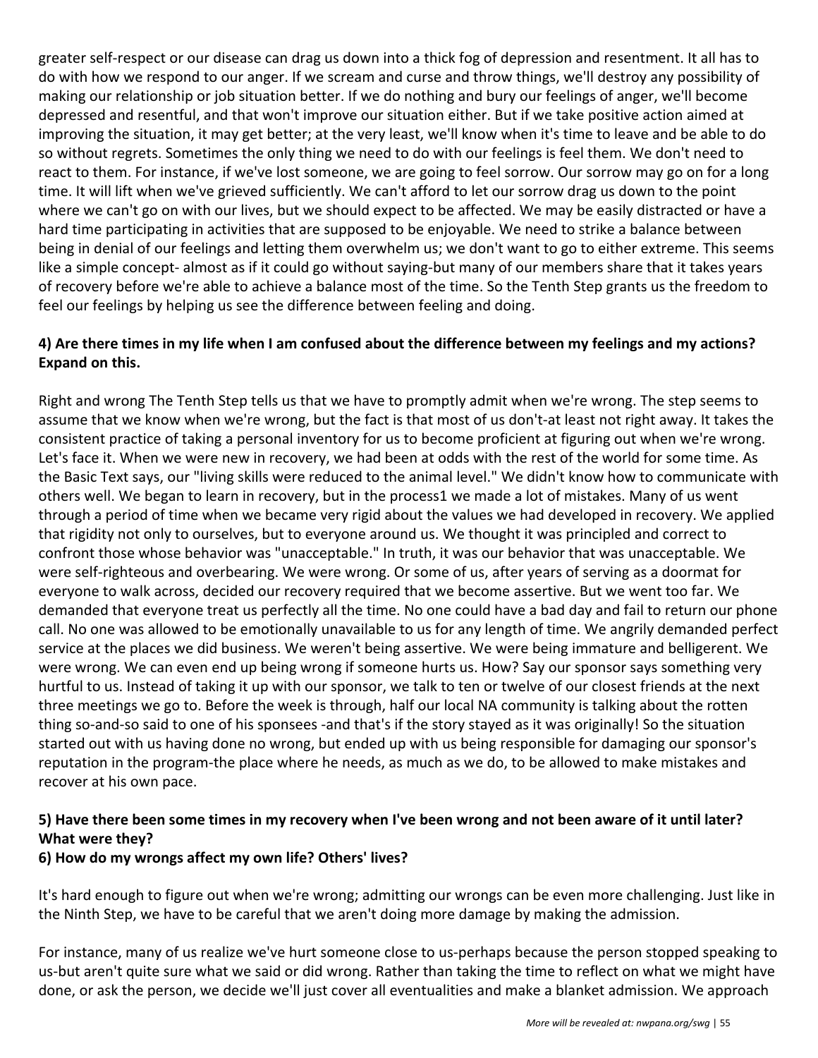greater self-respect or our disease can drag us down into a thick fog of depression and resentment. It all has to do with how we respond to our anger. If we scream and curse and throw things, we'll destroy any possibility of making our relationship or job situation better. If we do nothing and bury our feelings of anger, we'll become depressed and resentful, and that won't improve our situation either. But if we take positive action aimed at improving the situation, it may get better; at the very least, we'll know when it's time to leave and be able to do so without regrets. Sometimes the only thing we need to do with our feelings is feel them. We don't need to react to them. For instance, if we've lost someone, we are going to feel sorrow. Our sorrow may go on for a long time. It will lift when we've grieved sufficiently. We can't afford to let our sorrow drag us down to the point where we can't go on with our lives, but we should expect to be affected. We may be easily distracted or have a hard time participating in activities that are supposed to be enjoyable. We need to strike a balance between being in denial of our feelings and letting them overwhelm us; we don't want to go to either extreme. This seems like a simple concept- almost as if it could go without saying-but many of our members share that it takes years of recovery before we're able to achieve a balance most of the time. So the Tenth Step grants us the freedom to feel our feelings by helping us see the difference between feeling and doing.

#### **4) Are there times in my life when I am confused about the difference between my feelings and my actions? Expand on this.**

Right and wrong The Tenth Step tells us that we have to promptly admit when we're wrong. The step seems to assume that we know when we're wrong, but the fact is that most of us don't-at least not right away. It takes the consistent practice of taking a personal inventory for us to become proficient at figuring out when we're wrong. Let's face it. When we were new in recovery, we had been at odds with the rest of the world for some time. As the Basic Text says, our "living skills were reduced to the animal level." We didn't know how to communicate with others well. We began to learn in recovery, but in the process1 we made a lot of mistakes. Many of us went through a period of time when we became very rigid about the values we had developed in recovery. We applied that rigidity not only to ourselves, but to everyone around us. We thought it was principled and correct to confront those whose behavior was "unacceptable." In truth, it was our behavior that was unacceptable. We were self-righteous and overbearing. We were wrong. Or some of us, after years of serving as a doormat for everyone to walk across, decided our recovery required that we become assertive. But we went too far. We demanded that everyone treat us perfectly all the time. No one could have a bad day and fail to return our phone call. No one was allowed to be emotionally unavailable to us for any length of time. We angrily demanded perfect service at the places we did business. We weren't being assertive. We were being immature and belligerent. We were wrong. We can even end up being wrong if someone hurts us. How? Say our sponsor says something very hurtful to us. Instead of taking it up with our sponsor, we talk to ten or twelve of our closest friends at the next three meetings we go to. Before the week is through, half our local NA community is talking about the rotten thing so-and-so said to one of his sponsees -and that's if the story stayed as it was originally! So the situation started out with us having done no wrong, but ended up with us being responsible for damaging our sponsor's reputation in the program-the place where he needs, as much as we do, to be allowed to make mistakes and recover at his own pace.

#### **5) Have there been some times in my recovery when I've been wrong and not been aware of it until later? What were they?**

#### **6) How do my wrongs affect my own life? Others' lives?**

It's hard enough to figure out when we're wrong; admitting our wrongs can be even more challenging. Just like in the Ninth Step, we have to be careful that we aren't doing more damage by making the admission.

For instance, many of us realize we've hurt someone close to us-perhaps because the person stopped speaking to us-but aren't quite sure what we said or did wrong. Rather than taking the time to reflect on what we might have done, or ask the person, we decide we'll just cover all eventualities and make a blanket admission. We approach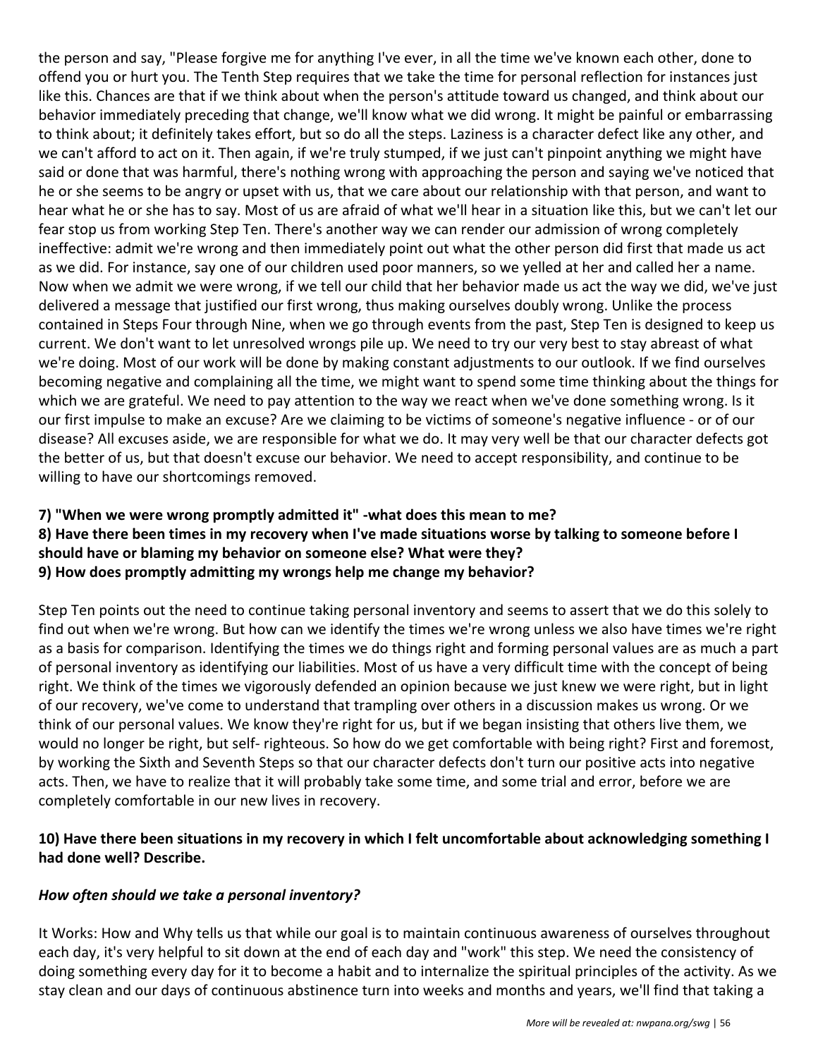the person and say, "Please forgive me for anything I've ever, in all the time we've known each other, done to offend you or hurt you. The Tenth Step requires that we take the time for personal reflection for instances just like this. Chances are that if we think about when the person's attitude toward us changed, and think about our behavior immediately preceding that change, we'll know what we did wrong. It might be painful or embarrassing to think about; it definitely takes effort, but so do all the steps. Laziness is a character defect like any other, and we can't afford to act on it. Then again, if we're truly stumped, if we just can't pinpoint anything we might have said or done that was harmful, there's nothing wrong with approaching the person and saying we've noticed that he or she seems to be angry or upset with us, that we care about our relationship with that person, and want to hear what he or she has to say. Most of us are afraid of what we'll hear in a situation like this, but we can't let our fear stop us from working Step Ten. There's another way we can render our admission of wrong completely ineffective: admit we're wrong and then immediately point out what the other person did first that made us act as we did. For instance, say one of our children used poor manners, so we yelled at her and called her a name. Now when we admit we were wrong, if we tell our child that her behavior made us act the way we did, we've just delivered a message that justified our first wrong, thus making ourselves doubly wrong. Unlike the process contained in Steps Four through Nine, when we go through events from the past, Step Ten is designed to keep us current. We don't want to let unresolved wrongs pile up. We need to try our very best to stay abreast of what we're doing. Most of our work will be done by making constant adjustments to our outlook. If we find ourselves becoming negative and complaining all the time, we might want to spend some time thinking about the things for which we are grateful. We need to pay attention to the way we react when we've done something wrong. Is it our first impulse to make an excuse? Are we claiming to be victims of someone's negative influence - or of our disease? All excuses aside, we are responsible for what we do. It may very well be that our character defects got the better of us, but that doesn't excuse our behavior. We need to accept responsibility, and continue to be willing to have our shortcomings removed.

#### **7) "When we were wrong promptly admitted it" -what does this mean to me? 8) Have there been times in my recovery when I've made situations worse by talking to someone before I should have or blaming my behavior on someone else? What were they? 9) How does promptly admitting my wrongs help me change my behavior?**

Step Ten points out the need to continue taking personal inventory and seems to assert that we do this solely to find out when we're wrong. But how can we identify the times we're wrong unless we also have times we're right as a basis for comparison. Identifying the times we do things right and forming personal values are as much a part of personal inventory as identifying our liabilities. Most of us have a very difficult time with the concept of being right. We think of the times we vigorously defended an opinion because we just knew we were right, but in light of our recovery, we've come to understand that trampling over others in a discussion makes us wrong. Or we think of our personal values. We know they're right for us, but if we began insisting that others live them, we would no longer be right, but self- righteous. So how do we get comfortable with being right? First and foremost, by working the Sixth and Seventh Steps so that our character defects don't turn our positive acts into negative acts. Then, we have to realize that it will probably take some time, and some trial and error, before we are completely comfortable in our new lives in recovery.

#### **10) Have there been situations in my recovery in which I felt uncomfortable about acknowledging something I had done well? Describe.**

#### *How often should we take a personal inventory?*

It Works: How and Why tells us that while our goal is to maintain continuous awareness of ourselves throughout each day, it's very helpful to sit down at the end of each day and "work" this step. We need the consistency of doing something every day for it to become a habit and to internalize the spiritual principles of the activity. As we stay clean and our days of continuous abstinence turn into weeks and months and years, we'll find that taking a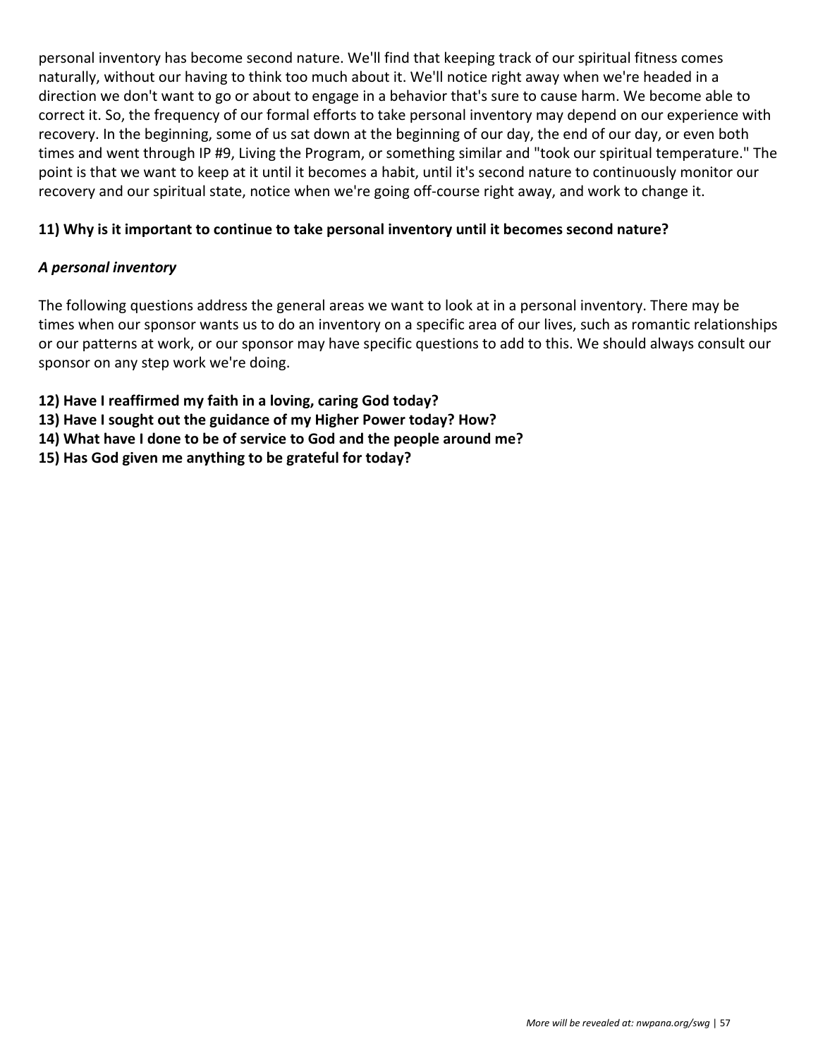personal inventory has become second nature. We'll find that keeping track of our spiritual fitness comes naturally, without our having to think too much about it. We'll notice right away when we're headed in a direction we don't want to go or about to engage in a behavior that's sure to cause harm. We become able to correct it. So, the frequency of our formal efforts to take personal inventory may depend on our experience with recovery. In the beginning, some of us sat down at the beginning of our day, the end of our day, or even both times and went through IP #9, Living the Program, or something similar and "took our spiritual temperature." The point is that we want to keep at it until it becomes a habit, until it's second nature to continuously monitor our recovery and our spiritual state, notice when we're going off-course right away, and work to change it.

#### **11) Why is it important to continue to take personal inventory until it becomes second nature?**

#### *A personal inventory*

The following questions address the general areas we want to look at in a personal inventory. There may be times when our sponsor wants us to do an inventory on a specific area of our lives, such as romantic relationships or our patterns at work, or our sponsor may have specific questions to add to this. We should always consult our sponsor on any step work we're doing.

**12) Have I reaffirmed my faith in a loving, caring God today?**

- **13) Have I sought out the guidance of my Higher Power today? How?**
- **14) What have I done to be of service to God and the people around me?**
- **15) Has God given me anything to be grateful for today?**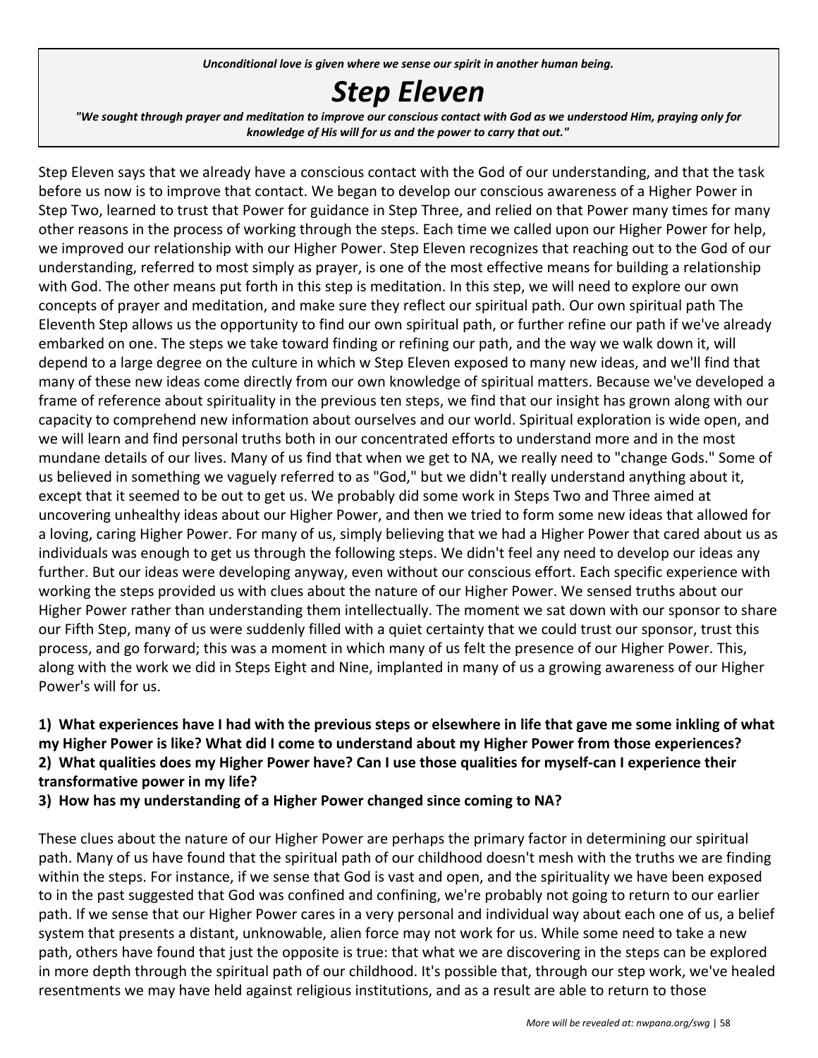*Unconditional love is given where we sense our spirit in another human being.*

## *Step Eleven*

"We sought through prayer and meditation to improve our conscious contact with God as we understood Him, praying only for *knowledge of His will for us and the power to carry that out."*

Step Eleven says that we already have a conscious contact with the God of our understanding, and that the task before us now is to improve that contact. We began to develop our conscious awareness of a Higher Power in Step Two, learned to trust that Power for guidance in Step Three, and relied on that Power many times for many other reasons in the process of working through the steps. Each time we called upon our Higher Power for help, we improved our relationship with our Higher Power. Step Eleven recognizes that reaching out to the God of our understanding, referred to most simply as prayer, is one of the most effective means for building a relationship with God. The other means put forth in this step is meditation. In this step, we will need to explore our own concepts of prayer and meditation, and make sure they reflect our spiritual path. Our own spiritual path The Eleventh Step allows us the opportunity to find our own spiritual path, or further refine our path if we've already embarked on one. The steps we take toward finding or refining our path, and the way we walk down it, will depend to a large degree on the culture in which w Step Eleven exposed to many new ideas, and we'll find that many of these new ideas come directly from our own knowledge of spiritual matters. Because we've developed a frame of reference about spirituality in the previous ten steps, we find that our insight has grown along with our capacity to comprehend new information about ourselves and our world. Spiritual exploration is wide open, and we will learn and find personal truths both in our concentrated efforts to understand more and in the most mundane details of our lives. Many of us find that when we get to NA, we really need to "change Gods." Some of us believed in something we vaguely referred to as "God," but we didn't really understand anything about it, except that it seemed to be out to get us. We probably did some work in Steps Two and Three aimed at uncovering unhealthy ideas about our Higher Power, and then we tried to form some new ideas that allowed for a loving, caring Higher Power. For many of us, simply believing that we had a Higher Power that cared about us as individuals was enough to get us through the following steps. We didn't feel any need to develop our ideas any further. But our ideas were developing anyway, even without our conscious effort. Each specific experience with working the steps provided us with clues about the nature of our Higher Power. We sensed truths about our Higher Power rather than understanding them intellectually. The moment we sat down with our sponsor to share our Fifth Step, many of us were suddenly filled with a quiet certainty that we could trust our sponsor, trust this process, and go forward; this was a moment in which many of us felt the presence of our Higher Power. This, along with the work we did in Steps Eight and Nine, implanted in many of us a growing awareness of our Higher Power's will for us.

#### **1) What experiences have I had with the previous steps or elsewhere in life that gave me some inkling of what my Higher Power is like? What did I come to understand about my Higher Power from those experiences? 2) What qualities does my Higher Power have? Can I use those qualities for myself-can I experience their transformative power in my life?**

**3) How has my understanding of a Higher Power changed since coming to NA?**

These clues about the nature of our Higher Power are perhaps the primary factor in determining our spiritual path. Many of us have found that the spiritual path of our childhood doesn't mesh with the truths we are finding within the steps. For instance, if we sense that God is vast and open, and the spirituality we have been exposed to in the past suggested that God was confined and confining, we're probably not going to return to our earlier path. If we sense that our Higher Power cares in a very personal and individual way about each one of us, a belief system that presents a distant, unknowable, alien force may not work for us. While some need to take a new path, others have found that just the opposite is true: that what we are discovering in the steps can be explored in more depth through the spiritual path of our childhood. It's possible that, through our step work, we've healed resentments we may have held against religious institutions, and as a result are able to return to those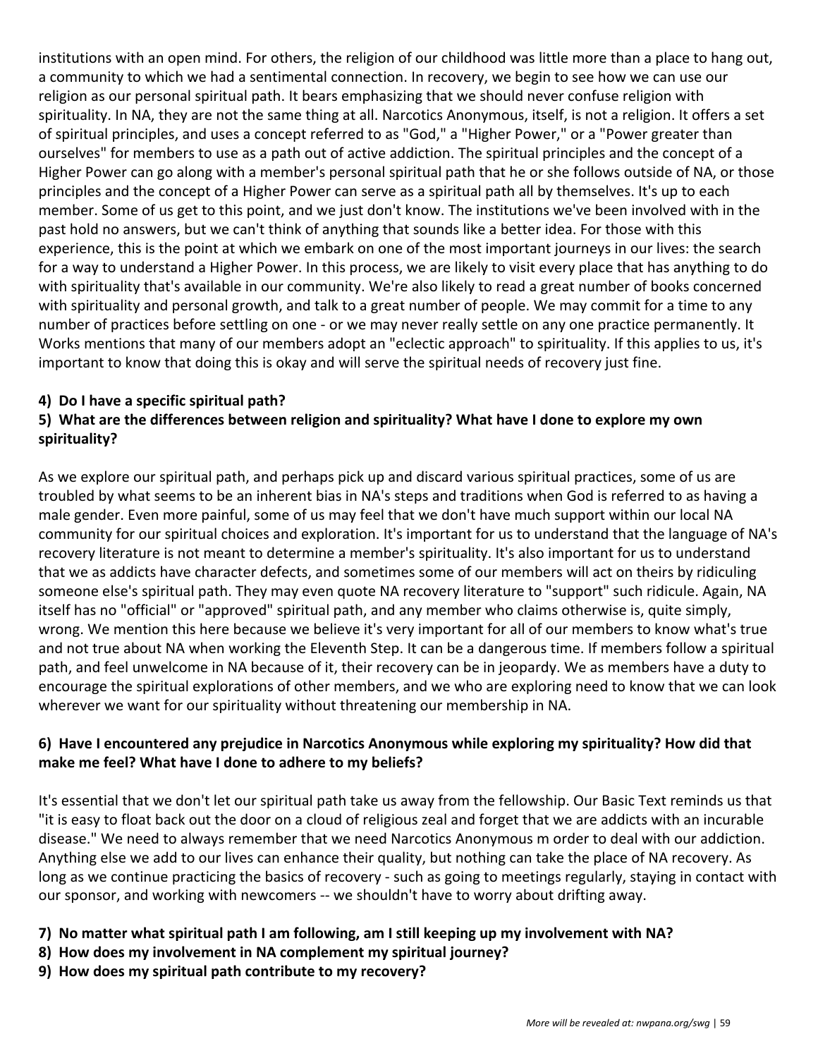institutions with an open mind. For others, the religion of our childhood was little more than a place to hang out, a community to which we had a sentimental connection. In recovery, we begin to see how we can use our religion as our personal spiritual path. It bears emphasizing that we should never confuse religion with spirituality. In NA, they are not the same thing at all. Narcotics Anonymous, itself, is not a religion. It offers a set of spiritual principles, and uses a concept referred to as "God," a "Higher Power," or a "Power greater than ourselves" for members to use as a path out of active addiction. The spiritual principles and the concept of a Higher Power can go along with a member's personal spiritual path that he or she follows outside of NA, or those principles and the concept of a Higher Power can serve as a spiritual path all by themselves. It's up to each member. Some of us get to this point, and we just don't know. The institutions we've been involved with in the past hold no answers, but we can't think of anything that sounds like a better idea. For those with this experience, this is the point at which we embark on one of the most important journeys in our lives: the search for a way to understand a Higher Power. In this process, we are likely to visit every place that has anything to do with spirituality that's available in our community. We're also likely to read a great number of books concerned with spirituality and personal growth, and talk to a great number of people. We may commit for a time to any number of practices before settling on one - or we may never really settle on any one practice permanently. It Works mentions that many of our members adopt an "eclectic approach" to spirituality. If this applies to us, it's important to know that doing this is okay and will serve the spiritual needs of recovery just fine.

#### **4) Do I have a specific spiritual path?**

#### **5) What are the differences between religion and spirituality? What have I done to explore my own spirituality?**

As we explore our spiritual path, and perhaps pick up and discard various spiritual practices, some of us are troubled by what seems to be an inherent bias in NA's steps and traditions when God is referred to as having a male gender. Even more painful, some of us may feel that we don't have much support within our local NA community for our spiritual choices and exploration. It's important for us to understand that the language of NA's recovery literature is not meant to determine a member's spirituality. It's also important for us to understand that we as addicts have character defects, and sometimes some of our members will act on theirs by ridiculing someone else's spiritual path. They may even quote NA recovery literature to "support" such ridicule. Again, NA itself has no "official" or "approved" spiritual path, and any member who claims otherwise is, quite simply, wrong. We mention this here because we believe it's very important for all of our members to know what's true and not true about NA when working the Eleventh Step. It can be a dangerous time. If members follow a spiritual path, and feel unwelcome in NA because of it, their recovery can be in jeopardy. We as members have a duty to encourage the spiritual explorations of other members, and we who are exploring need to know that we can look wherever we want for our spirituality without threatening our membership in NA.

#### **6) Have I encountered any prejudice in Narcotics Anonymous while exploring my spirituality? How did that make me feel? What have I done to adhere to my beliefs?**

It's essential that we don't let our spiritual path take us away from the fellowship. Our Basic Text reminds us that "it is easy to float back out the door on a cloud of religious zeal and forget that we are addicts with an incurable disease." We need to always remember that we need Narcotics Anonymous m order to deal with our addiction. Anything else we add to our lives can enhance their quality, but nothing can take the place of NA recovery. As long as we continue practicing the basics of recovery - such as going to meetings regularly, staying in contact with our sponsor, and working with newcomers -- we shouldn't have to worry about drifting away.

#### **7) No matter what spiritual path I am following, am I still keeping up my involvement with NA?**

- **8) How does my involvement in NA complement my spiritual journey?**
- **9) How does my spiritual path contribute to my recovery?**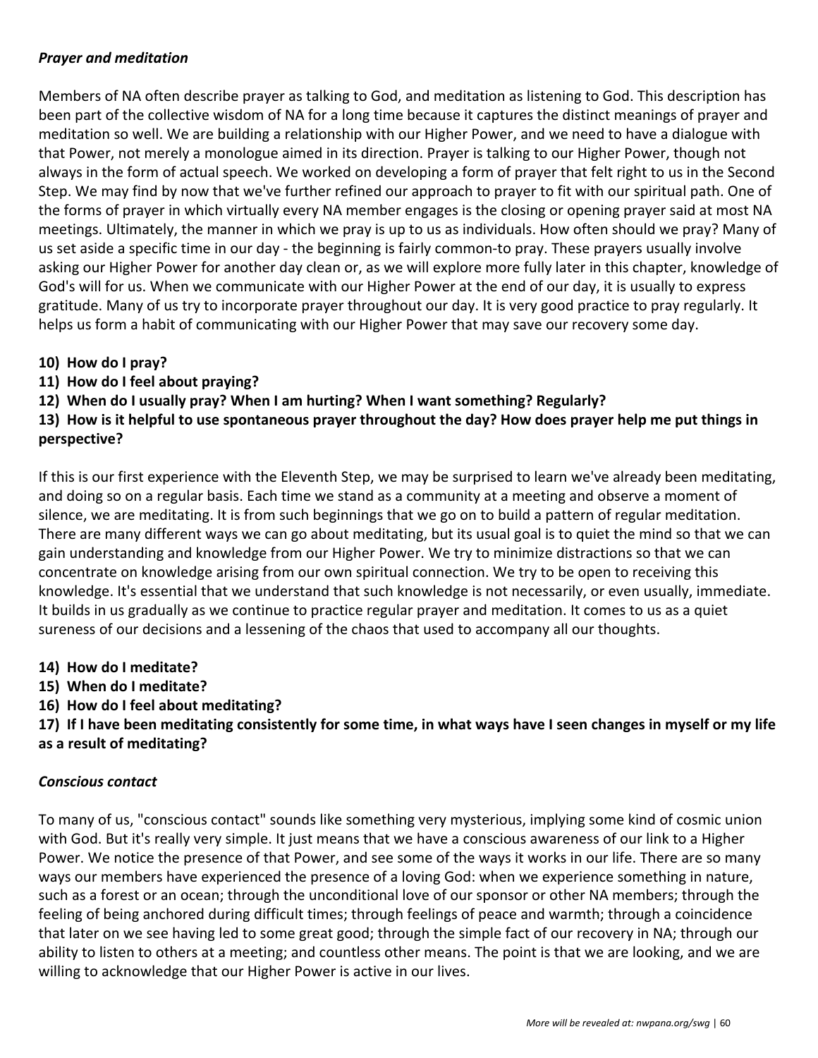#### *Prayer and meditation*

Members of NA often describe prayer as talking to God, and meditation as listening to God. This description has been part of the collective wisdom of NA for a long time because it captures the distinct meanings of prayer and meditation so well. We are building a relationship with our Higher Power, and we need to have a dialogue with that Power, not merely a monologue aimed in its direction. Prayer is talking to our Higher Power, though not always in the form of actual speech. We worked on developing a form of prayer that felt right to us in the Second Step. We may find by now that we've further refined our approach to prayer to fit with our spiritual path. One of the forms of prayer in which virtually every NA member engages is the closing or opening prayer said at most NA meetings. Ultimately, the manner in which we pray is up to us as individuals. How often should we pray? Many of us set aside a specific time in our day - the beginning is fairly common-to pray. These prayers usually involve asking our Higher Power for another day clean or, as we will explore more fully later in this chapter, knowledge of God's will for us. When we communicate with our Higher Power at the end of our day, it is usually to express gratitude. Many of us try to incorporate prayer throughout our day. It is very good practice to pray regularly. It helps us form a habit of communicating with our Higher Power that may save our recovery some day.

- **10) How do I pray?**
- **11) How do I feel about praying?**
- **12) When do I usually pray? When I am hurting? When I want something? Regularly?**

**13) How is it helpful to use spontaneous prayer throughout the day? How does prayer help me put things in perspective?**

If this is our first experience with the Eleventh Step, we may be surprised to learn we've already been meditating, and doing so on a regular basis. Each time we stand as a community at a meeting and observe a moment of silence, we are meditating. It is from such beginnings that we go on to build a pattern of regular meditation. There are many different ways we can go about meditating, but its usual goal is to quiet the mind so that we can gain understanding and knowledge from our Higher Power. We try to minimize distractions so that we can concentrate on knowledge arising from our own spiritual connection. We try to be open to receiving this knowledge. It's essential that we understand that such knowledge is not necessarily, or even usually, immediate. It builds in us gradually as we continue to practice regular prayer and meditation. It comes to us as a quiet sureness of our decisions and a lessening of the chaos that used to accompany all our thoughts.

- **14) How do I meditate?**
- **15) When do I meditate?**
- **16) How do I feel about meditating?**

**17) If I have been meditating consistently for some time, in what ways have I seen changes in myself or my life as a result of meditating?**

#### *Conscious contact*

To many of us, "conscious contact" sounds like something very mysterious, implying some kind of cosmic union with God. But it's really very simple. It just means that we have a conscious awareness of our link to a Higher Power. We notice the presence of that Power, and see some of the ways it works in our life. There are so many ways our members have experienced the presence of a loving God: when we experience something in nature, such as a forest or an ocean; through the unconditional love of our sponsor or other NA members; through the feeling of being anchored during difficult times; through feelings of peace and warmth; through a coincidence that later on we see having led to some great good; through the simple fact of our recovery in NA; through our ability to listen to others at a meeting; and countless other means. The point is that we are looking, and we are willing to acknowledge that our Higher Power is active in our lives.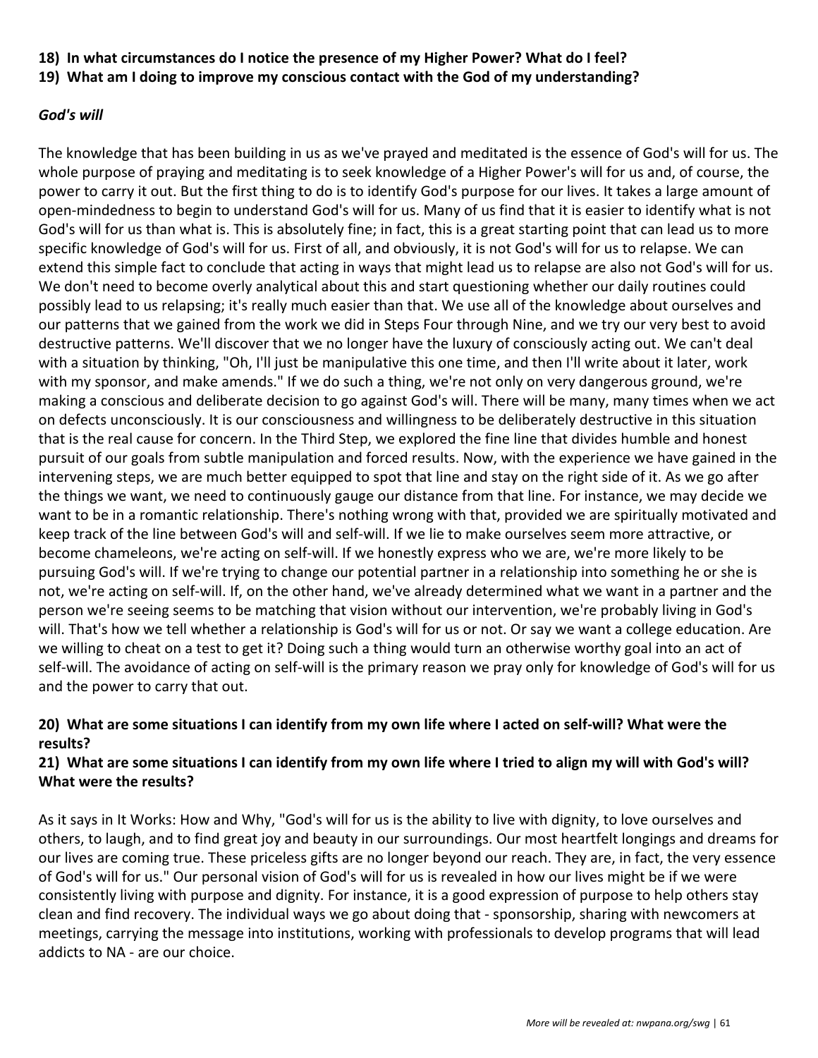- **18) In what circumstances do I notice the presence of my Higher Power? What do I feel?**
- **19) What am I doing to improve my conscious contact with the God of my understanding?**

#### *God's will*

The knowledge that has been building in us as we've prayed and meditated is the essence of God's will for us. The whole purpose of praying and meditating is to seek knowledge of a Higher Power's will for us and, of course, the power to carry it out. But the first thing to do is to identify God's purpose for our lives. It takes a large amount of open-mindedness to begin to understand God's will for us. Many of us find that it is easier to identify what is not God's will for us than what is. This is absolutely fine; in fact, this is a great starting point that can lead us to more specific knowledge of God's will for us. First of all, and obviously, it is not God's will for us to relapse. We can extend this simple fact to conclude that acting in ways that might lead us to relapse are also not God's will for us. We don't need to become overly analytical about this and start questioning whether our daily routines could possibly lead to us relapsing; it's really much easier than that. We use all of the knowledge about ourselves and our patterns that we gained from the work we did in Steps Four through Nine, and we try our very best to avoid destructive patterns. We'll discover that we no longer have the luxury of consciously acting out. We can't deal with a situation by thinking, "Oh, I'll just be manipulative this one time, and then I'll write about it later, work with my sponsor, and make amends." If we do such a thing, we're not only on very dangerous ground, we're making a conscious and deliberate decision to go against God's will. There will be many, many times when we act on defects unconsciously. It is our consciousness and willingness to be deliberately destructive in this situation that is the real cause for concern. In the Third Step, we explored the fine line that divides humble and honest pursuit of our goals from subtle manipulation and forced results. Now, with the experience we have gained in the intervening steps, we are much better equipped to spot that line and stay on the right side of it. As we go after the things we want, we need to continuously gauge our distance from that line. For instance, we may decide we want to be in a romantic relationship. There's nothing wrong with that, provided we are spiritually motivated and keep track of the line between God's will and self-will. If we lie to make ourselves seem more attractive, or become chameleons, we're acting on self-will. If we honestly express who we are, we're more likely to be pursuing God's will. If we're trying to change our potential partner in a relationship into something he or she is not, we're acting on self-will. If, on the other hand, we've already determined what we want in a partner and the person we're seeing seems to be matching that vision without our intervention, we're probably living in God's will. That's how we tell whether a relationship is God's will for us or not. Or say we want a college education. Are we willing to cheat on a test to get it? Doing such a thing would turn an otherwise worthy goal into an act of self-will. The avoidance of acting on self-will is the primary reason we pray only for knowledge of God's will for us and the power to carry that out.

#### **20) What are some situations I can identify from my own life where I acted on self-will? What were the results?**

#### **21) What are some situations I can identify from my own life where I tried to align my will with God's will? What were the results?**

As it says in It Works: How and Why, "God's will for us is the ability to live with dignity, to love ourselves and others, to laugh, and to find great joy and beauty in our surroundings. Our most heartfelt longings and dreams for our lives are coming true. These priceless gifts are no longer beyond our reach. They are, in fact, the very essence of God's will for us." Our personal vision of God's will for us is revealed in how our lives might be if we were consistently living with purpose and dignity. For instance, it is a good expression of purpose to help others stay clean and find recovery. The individual ways we go about doing that - sponsorship, sharing with newcomers at meetings, carrying the message into institutions, working with professionals to develop programs that will lead addicts to NA - are our choice.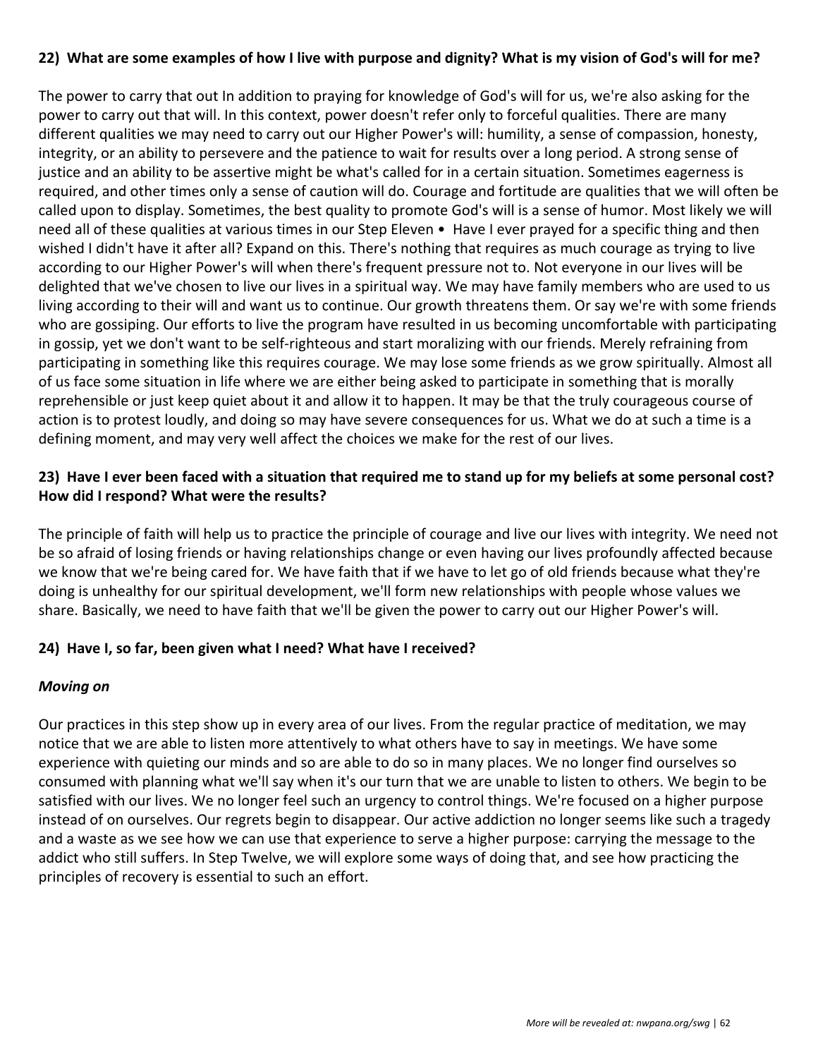#### **22) What are some examples of how I live with purpose and dignity? What is my vision of God's will for me?**

The power to carry that out In addition to praying for knowledge of God's will for us, we're also asking for the power to carry out that will. In this context, power doesn't refer only to forceful qualities. There are many different qualities we may need to carry out our Higher Power's will: humility, a sense of compassion, honesty, integrity, or an ability to persevere and the patience to wait for results over a long period. A strong sense of justice and an ability to be assertive might be what's called for in a certain situation. Sometimes eagerness is required, and other times only a sense of caution will do. Courage and fortitude are qualities that we will often be called upon to display. Sometimes, the best quality to promote God's will is a sense of humor. Most likely we will need all of these qualities at various times in our Step Eleven • Have I ever prayed for a specific thing and then wished I didn't have it after all? Expand on this. There's nothing that requires as much courage as trying to live according to our Higher Power's will when there's frequent pressure not to. Not everyone in our lives will be delighted that we've chosen to live our lives in a spiritual way. We may have family members who are used to us living according to their will and want us to continue. Our growth threatens them. Or say we're with some friends who are gossiping. Our efforts to live the program have resulted in us becoming uncomfortable with participating in gossip, yet we don't want to be self-righteous and start moralizing with our friends. Merely refraining from participating in something like this requires courage. We may lose some friends as we grow spiritually. Almost all of us face some situation in life where we are either being asked to participate in something that is morally reprehensible or just keep quiet about it and allow it to happen. It may be that the truly courageous course of action is to protest loudly, and doing so may have severe consequences for us. What we do at such a time is a defining moment, and may very well affect the choices we make for the rest of our lives.

#### **23) Have I ever been faced with a situation that required me to stand up for my beliefs at some personal cost? How did I respond? What were the results?**

The principle of faith will help us to practice the principle of courage and live our lives with integrity. We need not be so afraid of losing friends or having relationships change or even having our lives profoundly affected because we know that we're being cared for. We have faith that if we have to let go of old friends because what they're doing is unhealthy for our spiritual development, we'll form new relationships with people whose values we share. Basically, we need to have faith that we'll be given the power to carry out our Higher Power's will.

#### **24) Have I, so far, been given what I need? What have I received?**

#### *Moving on*

Our practices in this step show up in every area of our lives. From the regular practice of meditation, we may notice that we are able to listen more attentively to what others have to say in meetings. We have some experience with quieting our minds and so are able to do so in many places. We no longer find ourselves so consumed with planning what we'll say when it's our turn that we are unable to listen to others. We begin to be satisfied with our lives. We no longer feel such an urgency to control things. We're focused on a higher purpose instead of on ourselves. Our regrets begin to disappear. Our active addiction no longer seems like such a tragedy and a waste as we see how we can use that experience to serve a higher purpose: carrying the message to the addict who still suffers. In Step Twelve, we will explore some ways of doing that, and see how practicing the principles of recovery is essential to such an effort.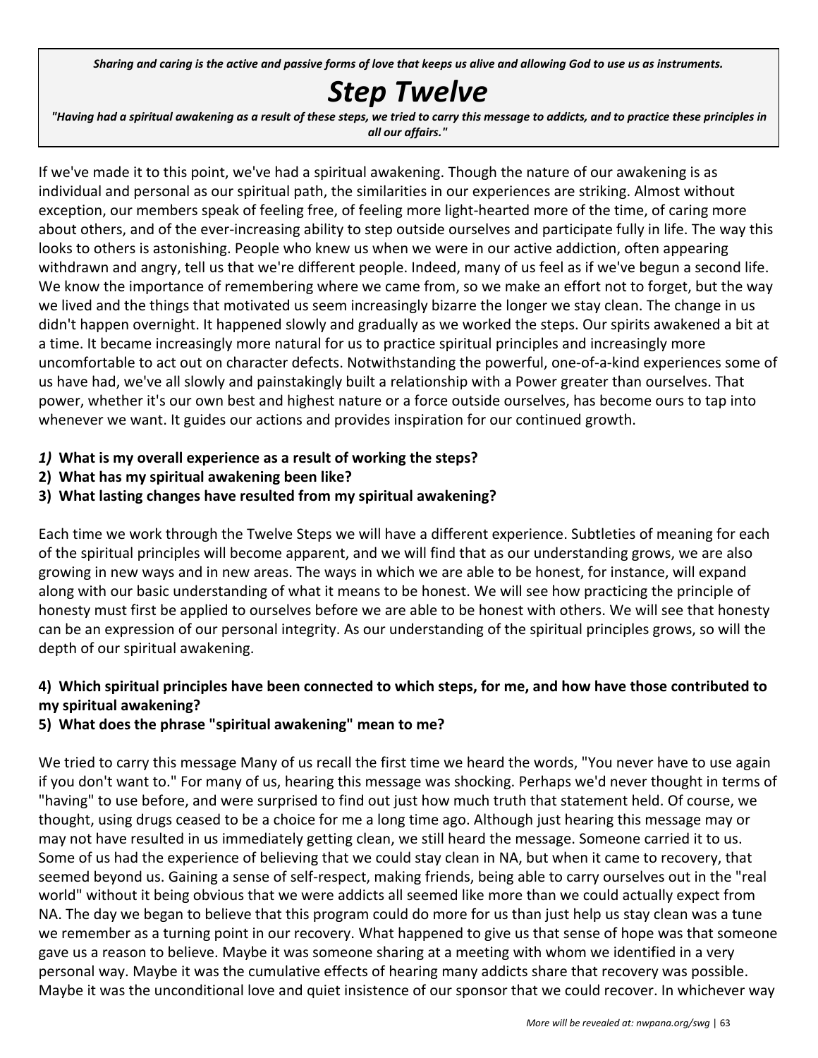Sharing and caring is the active and passive forms of love that keeps us alive and allowing God to use us as instruments.

## *Step Twelve*

"Having had a spiritual awakening as a result of these steps, we tried to carry this message to addicts, and to practice these principles in *all our affairs."*

If we've made it to this point, we've had a spiritual awakening. Though the nature of our awakening is as individual and personal as our spiritual path, the similarities in our experiences are striking. Almost without exception, our members speak of feeling free, of feeling more light-hearted more of the time, of caring more about others, and of the ever-increasing ability to step outside ourselves and participate fully in life. The way this looks to others is astonishing. People who knew us when we were in our active addiction, often appearing withdrawn and angry, tell us that we're different people. Indeed, many of us feel as if we've begun a second life. We know the importance of remembering where we came from, so we make an effort not to forget, but the way we lived and the things that motivated us seem increasingly bizarre the longer we stay clean. The change in us didn't happen overnight. It happened slowly and gradually as we worked the steps. Our spirits awakened a bit at a time. It became increasingly more natural for us to practice spiritual principles and increasingly more uncomfortable to act out on character defects. Notwithstanding the powerful, one-of-a-kind experiences some of us have had, we've all slowly and painstakingly built a relationship with a Power greater than ourselves. That power, whether it's our own best and highest nature or a force outside ourselves, has become ours to tap into whenever we want. It guides our actions and provides inspiration for our continued growth.

- *1)* **What is my overall experience as a result of working the steps?**
- **2) What has my spiritual awakening been like?**
- **3) What lasting changes have resulted from my spiritual awakening?**

Each time we work through the Twelve Steps we will have a different experience. Subtleties of meaning for each of the spiritual principles will become apparent, and we will find that as our understanding grows, we are also growing in new ways and in new areas. The ways in which we are able to be honest, for instance, will expand along with our basic understanding of what it means to be honest. We will see how practicing the principle of honesty must first be applied to ourselves before we are able to be honest with others. We will see that honesty can be an expression of our personal integrity. As our understanding of the spiritual principles grows, so will the depth of our spiritual awakening.

#### **4) Which spiritual principles have been connected to which steps, for me, and how have those contributed to my spiritual awakening?**

#### **5) What does the phrase "spiritual awakening" mean to me?**

We tried to carry this message Many of us recall the first time we heard the words, "You never have to use again if you don't want to." For many of us, hearing this message was shocking. Perhaps we'd never thought in terms of "having" to use before, and were surprised to find out just how much truth that statement held. Of course, we thought, using drugs ceased to be a choice for me a long time ago. Although just hearing this message may or may not have resulted in us immediately getting clean, we still heard the message. Someone carried it to us. Some of us had the experience of believing that we could stay clean in NA, but when it came to recovery, that seemed beyond us. Gaining a sense of self-respect, making friends, being able to carry ourselves out in the "real world" without it being obvious that we were addicts all seemed like more than we could actually expect from NA. The day we began to believe that this program could do more for us than just help us stay clean was a tune we remember as a turning point in our recovery. What happened to give us that sense of hope was that someone gave us a reason to believe. Maybe it was someone sharing at a meeting with whom we identified in a very personal way. Maybe it was the cumulative effects of hearing many addicts share that recovery was possible. Maybe it was the unconditional love and quiet insistence of our sponsor that we could recover. In whichever way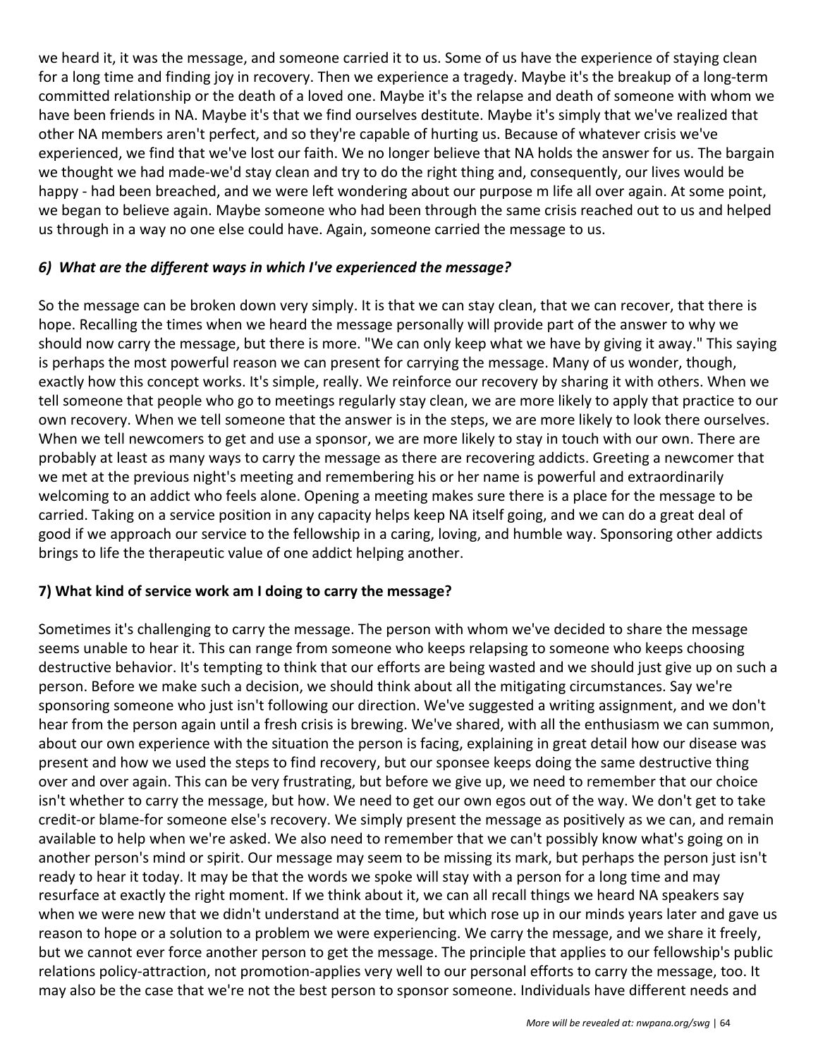we heard it, it was the message, and someone carried it to us. Some of us have the experience of staying clean for a long time and finding joy in recovery. Then we experience a tragedy. Maybe it's the breakup of a long-term committed relationship or the death of a loved one. Maybe it's the relapse and death of someone with whom we have been friends in NA. Maybe it's that we find ourselves destitute. Maybe it's simply that we've realized that other NA members aren't perfect, and so they're capable of hurting us. Because of whatever crisis we've experienced, we find that we've lost our faith. We no longer believe that NA holds the answer for us. The bargain we thought we had made-we'd stay clean and try to do the right thing and, consequently, our lives would be happy - had been breached, and we were left wondering about our purpose m life all over again. At some point, we began to believe again. Maybe someone who had been through the same crisis reached out to us and helped us through in a way no one else could have. Again, someone carried the message to us.

#### *6) What are the different ways in which I've experienced the message?*

So the message can be broken down very simply. It is that we can stay clean, that we can recover, that there is hope. Recalling the times when we heard the message personally will provide part of the answer to why we should now carry the message, but there is more. "We can only keep what we have by giving it away." This saying is perhaps the most powerful reason we can present for carrying the message. Many of us wonder, though, exactly how this concept works. It's simple, really. We reinforce our recovery by sharing it with others. When we tell someone that people who go to meetings regularly stay clean, we are more likely to apply that practice to our own recovery. When we tell someone that the answer is in the steps, we are more likely to look there ourselves. When we tell newcomers to get and use a sponsor, we are more likely to stay in touch with our own. There are probably at least as many ways to carry the message as there are recovering addicts. Greeting a newcomer that we met at the previous night's meeting and remembering his or her name is powerful and extraordinarily welcoming to an addict who feels alone. Opening a meeting makes sure there is a place for the message to be carried. Taking on a service position in any capacity helps keep NA itself going, and we can do a great deal of good if we approach our service to the fellowship in a caring, loving, and humble way. Sponsoring other addicts brings to life the therapeutic value of one addict helping another.

#### **7) What kind of service work am I doing to carry the message?**

Sometimes it's challenging to carry the message. The person with whom we've decided to share the message seems unable to hear it. This can range from someone who keeps relapsing to someone who keeps choosing destructive behavior. It's tempting to think that our efforts are being wasted and we should just give up on such a person. Before we make such a decision, we should think about all the mitigating circumstances. Say we're sponsoring someone who just isn't following our direction. We've suggested a writing assignment, and we don't hear from the person again until a fresh crisis is brewing. We've shared, with all the enthusiasm we can summon, about our own experience with the situation the person is facing, explaining in great detail how our disease was present and how we used the steps to find recovery, but our sponsee keeps doing the same destructive thing over and over again. This can be very frustrating, but before we give up, we need to remember that our choice isn't whether to carry the message, but how. We need to get our own egos out of the way. We don't get to take credit-or blame-for someone else's recovery. We simply present the message as positively as we can, and remain available to help when we're asked. We also need to remember that we can't possibly know what's going on in another person's mind or spirit. Our message may seem to be missing its mark, but perhaps the person just isn't ready to hear it today. It may be that the words we spoke will stay with a person for a long time and may resurface at exactly the right moment. If we think about it, we can all recall things we heard NA speakers say when we were new that we didn't understand at the time, but which rose up in our minds years later and gave us reason to hope or a solution to a problem we were experiencing. We carry the message, and we share it freely, but we cannot ever force another person to get the message. The principle that applies to our fellowship's public relations policy-attraction, not promotion-applies very well to our personal efforts to carry the message, too. It may also be the case that we're not the best person to sponsor someone. Individuals have different needs and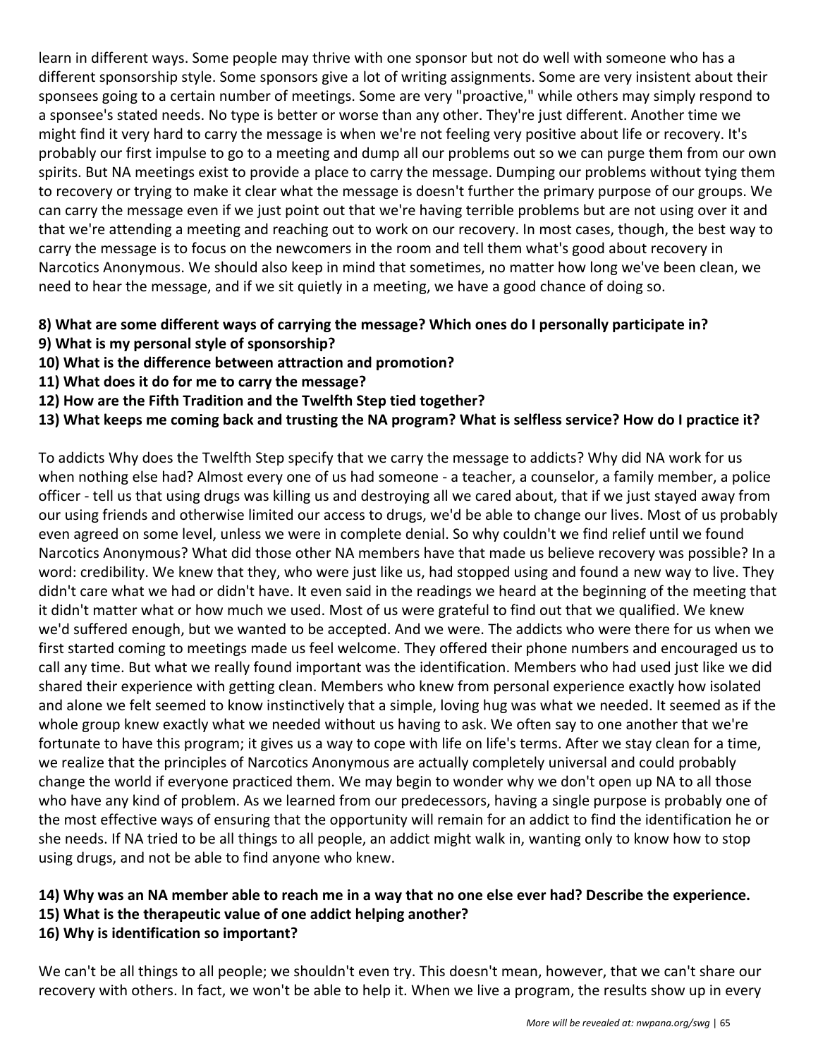learn in different ways. Some people may thrive with one sponsor but not do well with someone who has a different sponsorship style. Some sponsors give a lot of writing assignments. Some are very insistent about their sponsees going to a certain number of meetings. Some are very "proactive," while others may simply respond to a sponsee's stated needs. No type is better or worse than any other. They're just different. Another time we might find it very hard to carry the message is when we're not feeling very positive about life or recovery. It's probably our first impulse to go to a meeting and dump all our problems out so we can purge them from our own spirits. But NA meetings exist to provide a place to carry the message. Dumping our problems without tying them to recovery or trying to make it clear what the message is doesn't further the primary purpose of our groups. We can carry the message even if we just point out that we're having terrible problems but are not using over it and that we're attending a meeting and reaching out to work on our recovery. In most cases, though, the best way to carry the message is to focus on the newcomers in the room and tell them what's good about recovery in Narcotics Anonymous. We should also keep in mind that sometimes, no matter how long we've been clean, we need to hear the message, and if we sit quietly in a meeting, we have a good chance of doing so.

#### **8) What are some different ways of carrying the message? Which ones do I personally participate in?**

- **9) What is my personal style of sponsorship?**
- **10) What is the difference between attraction and promotion?**
- **11) What does it do for me to carry the message?**
- **12) How are the Fifth Tradition and the Twelfth Step tied together?**
- **13) What keeps me coming back and trusting the NA program? What is selfless service? How do I practice it?**

To addicts Why does the Twelfth Step specify that we carry the message to addicts? Why did NA work for us when nothing else had? Almost every one of us had someone - a teacher, a counselor, a family member, a police officer - tell us that using drugs was killing us and destroying all we cared about, that if we just stayed away from our using friends and otherwise limited our access to drugs, we'd be able to change our lives. Most of us probably even agreed on some level, unless we were in complete denial. So why couldn't we find relief until we found Narcotics Anonymous? What did those other NA members have that made us believe recovery was possible? In a word: credibility. We knew that they, who were just like us, had stopped using and found a new way to live. They didn't care what we had or didn't have. It even said in the readings we heard at the beginning of the meeting that it didn't matter what or how much we used. Most of us were grateful to find out that we qualified. We knew we'd suffered enough, but we wanted to be accepted. And we were. The addicts who were there for us when we first started coming to meetings made us feel welcome. They offered their phone numbers and encouraged us to call any time. But what we really found important was the identification. Members who had used just like we did shared their experience with getting clean. Members who knew from personal experience exactly how isolated and alone we felt seemed to know instinctively that a simple, loving hug was what we needed. It seemed as if the whole group knew exactly what we needed without us having to ask. We often say to one another that we're fortunate to have this program; it gives us a way to cope with life on life's terms. After we stay clean for a time, we realize that the principles of Narcotics Anonymous are actually completely universal and could probably change the world if everyone practiced them. We may begin to wonder why we don't open up NA to all those who have any kind of problem. As we learned from our predecessors, having a single purpose is probably one of the most effective ways of ensuring that the opportunity will remain for an addict to find the identification he or she needs. If NA tried to be all things to all people, an addict might walk in, wanting only to know how to stop using drugs, and not be able to find anyone who knew.

#### **14) Why was an NA member able to reach me in a way that no one else ever had? Describe the experience.**

- **15) What is the therapeutic value of one addict helping another?**
- **16) Why is identification so important?**

We can't be all things to all people; we shouldn't even try. This doesn't mean, however, that we can't share our recovery with others. In fact, we won't be able to help it. When we live a program, the results show up in every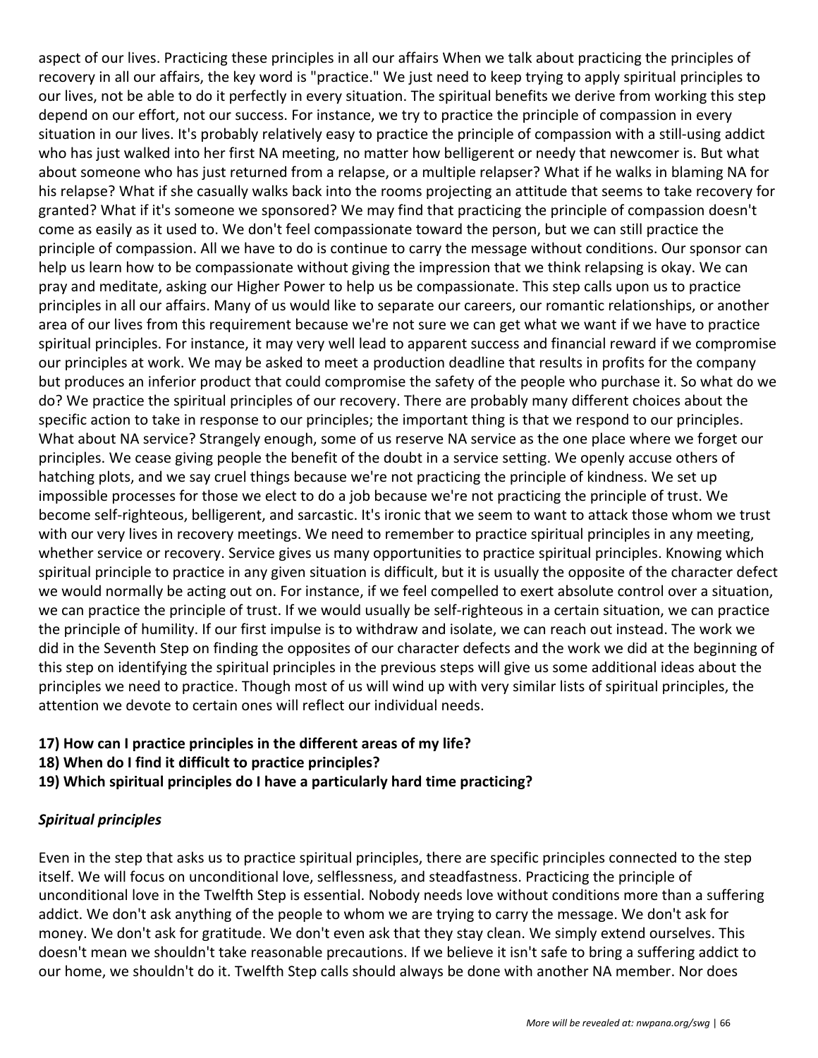aspect of our lives. Practicing these principles in all our affairs When we talk about practicing the principles of recovery in all our affairs, the key word is "practice." We just need to keep trying to apply spiritual principles to our lives, not be able to do it perfectly in every situation. The spiritual benefits we derive from working this step depend on our effort, not our success. For instance, we try to practice the principle of compassion in every situation in our lives. It's probably relatively easy to practice the principle of compassion with a still-using addict who has just walked into her first NA meeting, no matter how belligerent or needy that newcomer is. But what about someone who has just returned from a relapse, or a multiple relapser? What if he walks in blaming NA for his relapse? What if she casually walks back into the rooms projecting an attitude that seems to take recovery for granted? What if it's someone we sponsored? We may find that practicing the principle of compassion doesn't come as easily as it used to. We don't feel compassionate toward the person, but we can still practice the principle of compassion. All we have to do is continue to carry the message without conditions. Our sponsor can help us learn how to be compassionate without giving the impression that we think relapsing is okay. We can pray and meditate, asking our Higher Power to help us be compassionate. This step calls upon us to practice principles in all our affairs. Many of us would like to separate our careers, our romantic relationships, or another area of our lives from this requirement because we're not sure we can get what we want if we have to practice spiritual principles. For instance, it may very well lead to apparent success and financial reward if we compromise our principles at work. We may be asked to meet a production deadline that results in profits for the company but produces an inferior product that could compromise the safety of the people who purchase it. So what do we do? We practice the spiritual principles of our recovery. There are probably many different choices about the specific action to take in response to our principles; the important thing is that we respond to our principles. What about NA service? Strangely enough, some of us reserve NA service as the one place where we forget our principles. We cease giving people the benefit of the doubt in a service setting. We openly accuse others of hatching plots, and we say cruel things because we're not practicing the principle of kindness. We set up impossible processes for those we elect to do a job because we're not practicing the principle of trust. We become self-righteous, belligerent, and sarcastic. It's ironic that we seem to want to attack those whom we trust with our very lives in recovery meetings. We need to remember to practice spiritual principles in any meeting, whether service or recovery. Service gives us many opportunities to practice spiritual principles. Knowing which spiritual principle to practice in any given situation is difficult, but it is usually the opposite of the character defect we would normally be acting out on. For instance, if we feel compelled to exert absolute control over a situation, we can practice the principle of trust. If we would usually be self-righteous in a certain situation, we can practice the principle of humility. If our first impulse is to withdraw and isolate, we can reach out instead. The work we did in the Seventh Step on finding the opposites of our character defects and the work we did at the beginning of this step on identifying the spiritual principles in the previous steps will give us some additional ideas about the principles we need to practice. Though most of us will wind up with very similar lists of spiritual principles, the attention we devote to certain ones will reflect our individual needs.

- **17) How can I practice principles in the different areas of my life?**
- **18) When do I find it difficult to practice principles?**
- **19) Which spiritual principles do I have a particularly hard time practicing?**

#### *Spiritual principles*

Even in the step that asks us to practice spiritual principles, there are specific principles connected to the step itself. We will focus on unconditional love, selflessness, and steadfastness. Practicing the principle of unconditional love in the Twelfth Step is essential. Nobody needs love without conditions more than a suffering addict. We don't ask anything of the people to whom we are trying to carry the message. We don't ask for money. We don't ask for gratitude. We don't even ask that they stay clean. We simply extend ourselves. This doesn't mean we shouldn't take reasonable precautions. If we believe it isn't safe to bring a suffering addict to our home, we shouldn't do it. Twelfth Step calls should always be done with another NA member. Nor does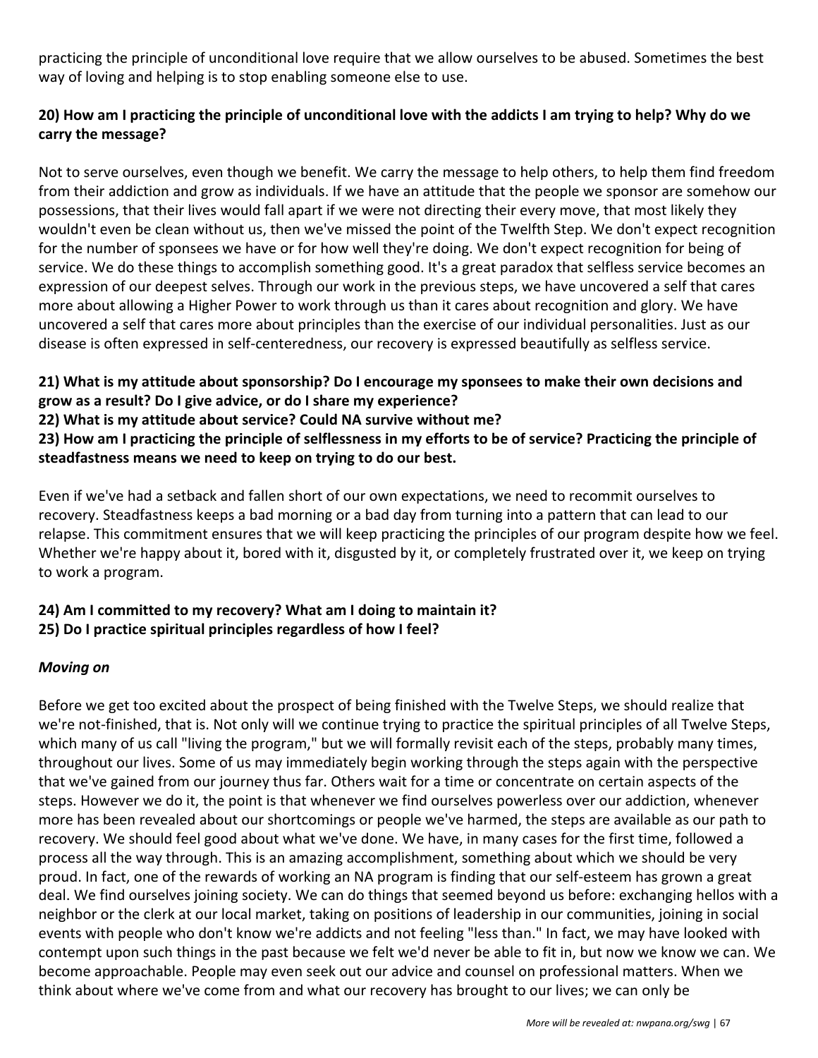practicing the principle of unconditional love require that we allow ourselves to be abused. Sometimes the best way of loving and helping is to stop enabling someone else to use.

#### **20) How am I practicing the principle of unconditional love with the addicts I am trying to help? Why do we carry the message?**

Not to serve ourselves, even though we benefit. We carry the message to help others, to help them find freedom from their addiction and grow as individuals. If we have an attitude that the people we sponsor are somehow our possessions, that their lives would fall apart if we were not directing their every move, that most likely they wouldn't even be clean without us, then we've missed the point of the Twelfth Step. We don't expect recognition for the number of sponsees we have or for how well they're doing. We don't expect recognition for being of service. We do these things to accomplish something good. It's a great paradox that selfless service becomes an expression of our deepest selves. Through our work in the previous steps, we have uncovered a self that cares more about allowing a Higher Power to work through us than it cares about recognition and glory. We have uncovered a self that cares more about principles than the exercise of our individual personalities. Just as our disease is often expressed in self-centeredness, our recovery is expressed beautifully as selfless service.

#### **21) What is my attitude about sponsorship? Do I encourage my sponsees to make their own decisions and grow as a result? Do I give advice, or do I share my experience?**

**22) What is my attitude about service? Could NA survive without me?**

**23) How am I practicing the principle of selflessness in my efforts to be of service? Practicing the principle of steadfastness means we need to keep on trying to do our best.**

Even if we've had a setback and fallen short of our own expectations, we need to recommit ourselves to recovery. Steadfastness keeps a bad morning or a bad day from turning into a pattern that can lead to our relapse. This commitment ensures that we will keep practicing the principles of our program despite how we feel. Whether we're happy about it, bored with it, disgusted by it, or completely frustrated over it, we keep on trying to work a program.

#### **24) Am I committed to my recovery? What am I doing to maintain it? 25) Do I practice spiritual principles regardless of how I feel?**

#### *Moving on*

Before we get too excited about the prospect of being finished with the Twelve Steps, we should realize that we're not-finished, that is. Not only will we continue trying to practice the spiritual principles of all Twelve Steps, which many of us call "living the program," but we will formally revisit each of the steps, probably many times, throughout our lives. Some of us may immediately begin working through the steps again with the perspective that we've gained from our journey thus far. Others wait for a time or concentrate on certain aspects of the steps. However we do it, the point is that whenever we find ourselves powerless over our addiction, whenever more has been revealed about our shortcomings or people we've harmed, the steps are available as our path to recovery. We should feel good about what we've done. We have, in many cases for the first time, followed a process all the way through. This is an amazing accomplishment, something about which we should be very proud. In fact, one of the rewards of working an NA program is finding that our self-esteem has grown a great deal. We find ourselves joining society. We can do things that seemed beyond us before: exchanging hellos with a neighbor or the clerk at our local market, taking on positions of leadership in our communities, joining in social events with people who don't know we're addicts and not feeling "less than." In fact, we may have looked with contempt upon such things in the past because we felt we'd never be able to fit in, but now we know we can. We become approachable. People may even seek out our advice and counsel on professional matters. When we think about where we've come from and what our recovery has brought to our lives; we can only be